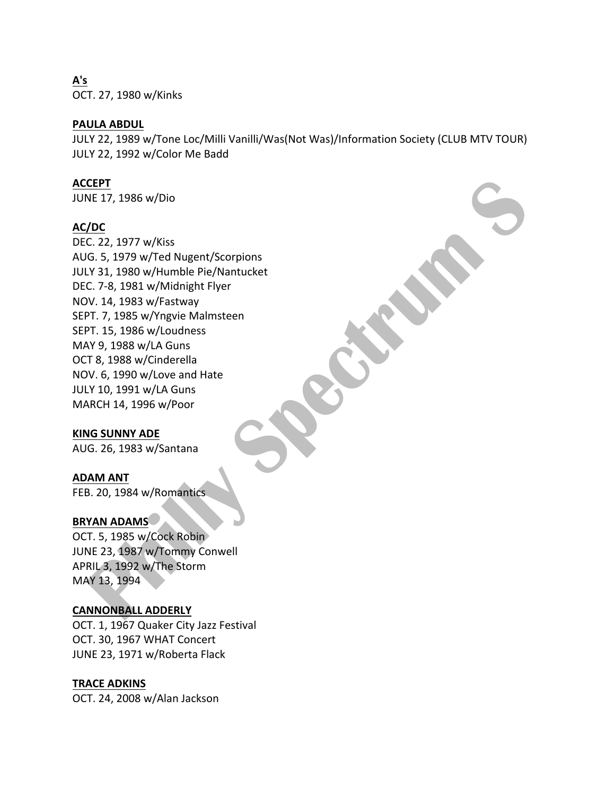**A's** OCT. 27, 1980 w/Kinks

## **PAULA ABDUL**

JULY 22, 1989 w/Tone Loc/Milli Vanilli/Was(Not Was)/Information Society (CLUB MTV TOUR) JULY 22, 1992 w/Color Me Badd

## **ACCEPT**

JUNE 17, 1986 w/Dio

## **AC/DC**

DEC. 22, 1977 w/Kiss AUG. 5, 1979 w/Ted Nugent/Scorpions JULY 31, 1980 w/Humble Pie/Nantucket DEC. 7-8, 1981 w/Midnight Flyer NOV. 14, 1983 w/Fastway SEPT. 7, 1985 w/Yngvie Malmsteen SEPT. 15, 1986 w/Loudness MAY 9, 1988 w/LA Guns OCT 8, 1988 w/Cinderella NOV. 6, 1990 w/Love and Hate JULY 10, 1991 w/LA Guns MARCH 14, 1996 w/Poor

## **KING SUNNY ADE**

AUG. 26, 1983 w/Santana

#### **ADAM ANT**

FEB. 20, 1984 w/Romantics.

#### **BRYAN ADAMS**

OCT. 5, 1985 w/Cock Robin JUNE 23, 1987 w/Tommy Conwell APRIL 3, 1992 w/The Storm MAY 13, 1994

#### **CANNONBALL ADDERLY**

OCT. 1, 1967 Quaker City Jazz Festival OCT. 30, 1967 WHAT Concert JUNE 23, 1971 w/Roberta Flack

#### **TRACE ADKINS**

OCT. 24, 2008 w/Alan Jackson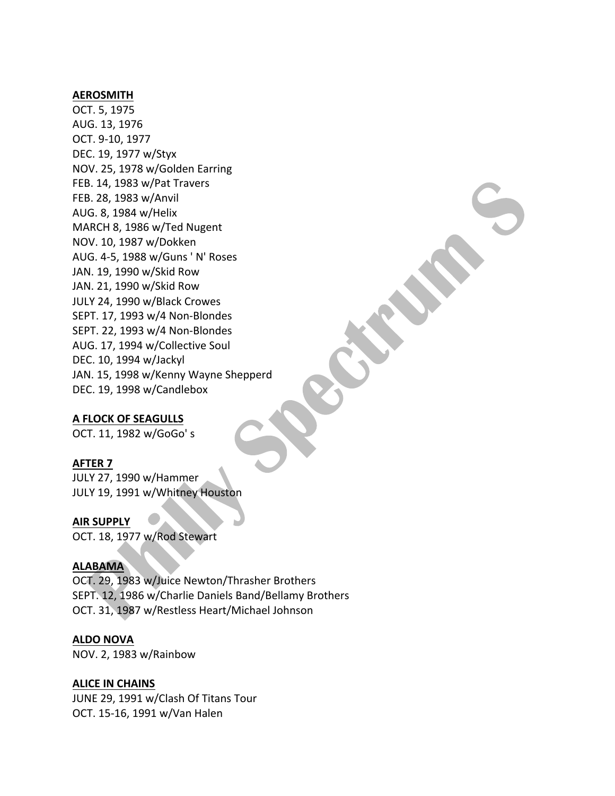#### **AEROSMITH**

OCT. 5, 1975 AUG. 13, 1976 OCT. 9-10, 1977 DEC. 19, 1977 w/Styx NOV. 25, 1978 w/Golden Earring FEB. 14, 1983 w/Pat Travers FEB. 28, 1983 w/Anvil AUG. 8, 1984 w/Helix MARCH 8, 1986 w/Ted Nugent NOV. 10, 1987 w/Dokken AUG. 4-5, 1988 w/Guns ' N' Roses JAN. 19, 1990 w/Skid Row JAN. 21, 1990 w/Skid Row JULY 24, 1990 w/Black Crowes SEPT. 17, 1993 w/4 Non-Blondes SEPT. 22, 1993 w/4 Non-Blondes AUG. 17, 1994 w/Collective Soul DEC. 10, 1994 w/Jackyl JAN. 15, 1998 w/Kenny Wayne Shepperd DEC. 19, 1998 w/Candlebox

#### **A FLOCK OF SEAGULLS**

OCT. 11, 1982 w/GoGo' s

#### **AFTER 7**

JULY 27, 1990 w/Hammer JULY 19, 1991 w/Whitney Houston

#### **AIR SUPPLY**

OCT. 18, 1977 w/Rod Stewart

#### **ALABAMA**

OCT. 29, 1983 w/Juice Newton/Thrasher Brothers SEPT. 12, 1986 w/Charlie Daniels Band/Bellamy Brothers OCT. 31, 1987 w/Restless Heart/Michael Johnson

#### **ALDO NOVA**

NOV. 2, 1983 w/Rainbow

#### **ALICE IN CHAINS**

JUNE 29, 1991 w/Clash Of Titans Tour OCT. 15-16, 1991 w/Van Halen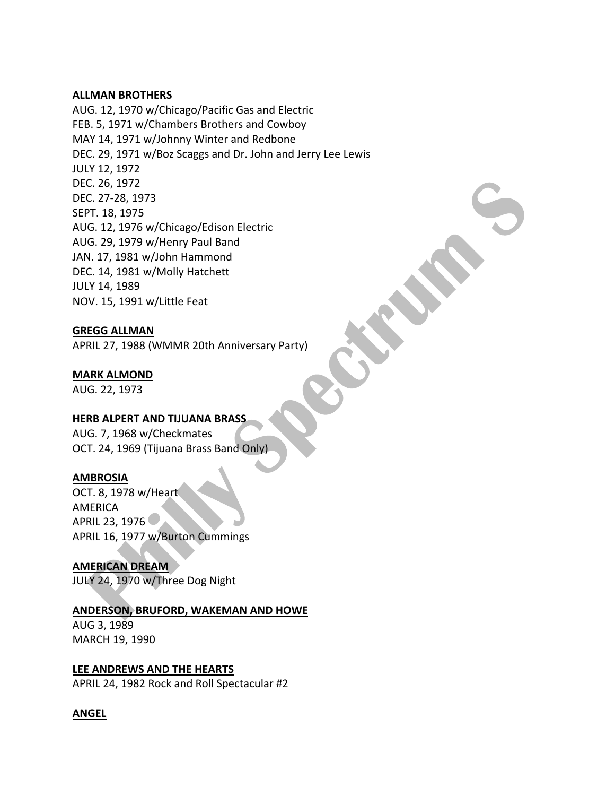#### **ALLMAN BROTHERS**

AUG. 12, 1970 w/Chicago/Pacific Gas and Electric FEB. 5, 1971 w/Chambers Brothers and Cowboy MAY 14, 1971 w/Johnny Winter and Redbone DEC. 29, 1971 w/Boz Scaggs and Dr. John and Jerry Lee Lewis JULY 12, 1972 DEC. 26, 1972 DEC. 27-28, 1973 SEPT. 18, 1975 AUG. 12, 1976 w/Chicago/Edison Electric AUG. 29, 1979 w/Henry Paul Band JAN. 17, 1981 w/John Hammond DEC. 14, 1981 w/Molly Hatchett JULY 14, 1989 NOV. 15, 1991 w/Little Feat

## **GREGG ALLMAN**

APRIL 27, 1988 (WMMR 20th Anniversary Party)

## **MARK ALMOND**

AUG. 22, 1973

## **HERB ALPERT AND TIJUANA BRASS**

AUG. 7, 1968 w/Checkmates OCT. 24, 1969 (Tijuana Brass Band Only)

## **AMBROSIA**

OCT. 8, 1978 w/Heart AMERICA APRIL 23, 1976 APRIL 16, 1977 w/Burton Cummings

**AMERICAN DREAM** JULY 24, 1970 w/Three Dog Night

## **ANDERSON, BRUFORD, WAKEMAN AND HOWE**

AUG 3, 1989 MARCH 19, 1990

## **LEE ANDREWS AND THE HEARTS**

APRIL 24, 1982 Rock and Roll Spectacular #2

## **ANGEL**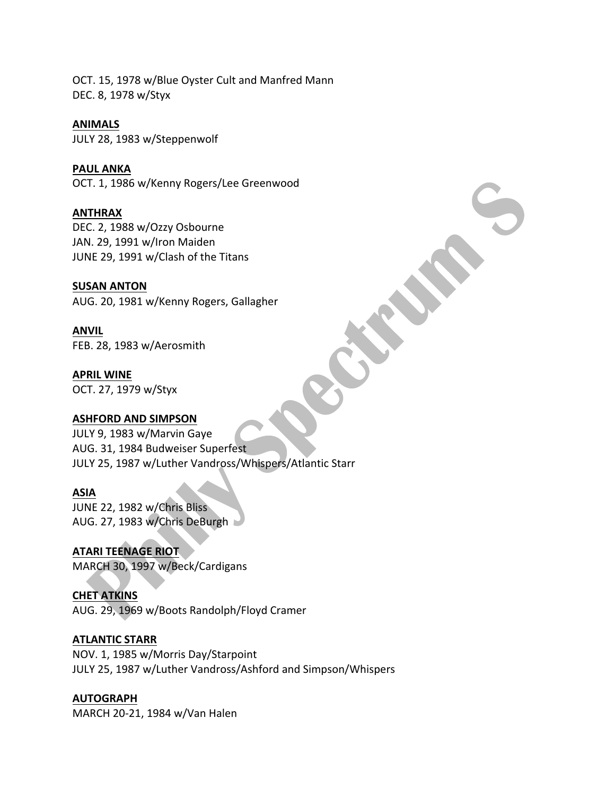OCT. 15, 1978 w/Blue Oyster Cult and Manfred Mann DEC. 8, 1978 w/Styx

## **ANIMALS**

JULY 28, 1983 w/Steppenwolf

## **PAUL ANKA**

OCT. 1, 1986 w/Kenny Rogers/Lee Greenwood

## **ANTHRAX**

DEC. 2, 1988 w/Ozzy Osbourne JAN. 29, 1991 w/Iron Maiden JUNE 29, 1991 w/Clash of the Titans

## **SUSAN ANTON**

AUG. 20, 1981 w/Kenny Rogers, Gallagher

## **ANVIL**

FEB. 28, 1983 w/Aerosmith

**APRIL WINE** OCT. 27, 1979 w/Styx

## **ASHFORD AND SIMPSON**

JULY 9, 1983 w/Marvin Gaye AUG. 31, 1984 Budweiser Superfest JULY 25, 1987 w/Luther Vandross/Whispers/Atlantic Starr

## **ASIA**

JUNE 22, 1982 w/Chris Bliss AUG. 27, 1983 w/Chris DeBurgh

**ATARI TEENAGE RIOT** MARCH 30, 1997 w/Beck/Cardigans

## **CHET ATKINS**

AUG. 29, 1969 w/Boots Randolph/Floyd Cramer

## **ATLANTIC STARR**

NOV. 1, 1985 w/Morris Day/Starpoint JULY 25, 1987 w/Luther Vandross/Ashford and Simpson/Whispers

## **AUTOGRAPH**

MARCH 20-21, 1984 w/Van Halen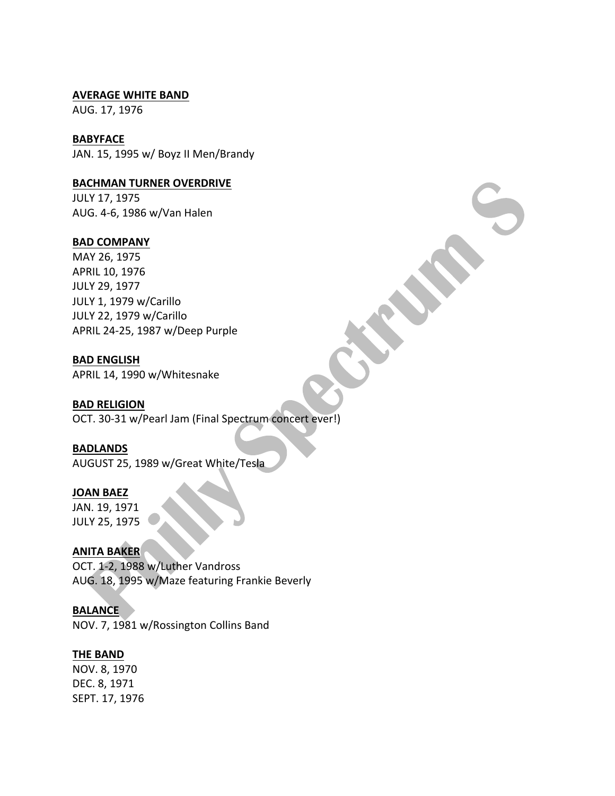#### **AVERAGE WHITE BAND**

AUG. 17, 1976

## **BABYFACE**

JAN. 15, 1995 w/ Boyz II Men/Brandy

## **BACHMAN TURNER OVERDRIVE**

JULY 17, 1975 AUG. 4-6, 1986 w/Van Halen

## **BAD COMPANY**

MAY 26, 1975 APRIL 10, 1976 JULY 29, 1977 JULY 1, 1979 w/Carillo JULY 22, 1979 w/Carillo APRIL 24-25, 1987 w/Deep Purple

## **BAD ENGLISH**

APRIL 14, 1990 w/Whitesnake

## **BAD RELIGION**

OCT. 30-31 w/Pearl Jam (Final Spectrum concert ever!)

#### **BADLANDS**

AUGUST 25, 1989 w/Great White/Tesla

## **JOAN BAEZ**

JAN. 19, 1971 JULY 25, 1975

## **ANITA BAKER**

OCT. 1-2, 1988 w/Luther Vandross AUG. 18, 1995 w/Maze featuring Frankie Beverly

## **BALANCE**

NOV. 7, 1981 w/Rossington Collins Band

## **THE BAND**

NOV. 8, 1970 DEC. 8, 1971 SEPT. 17, 1976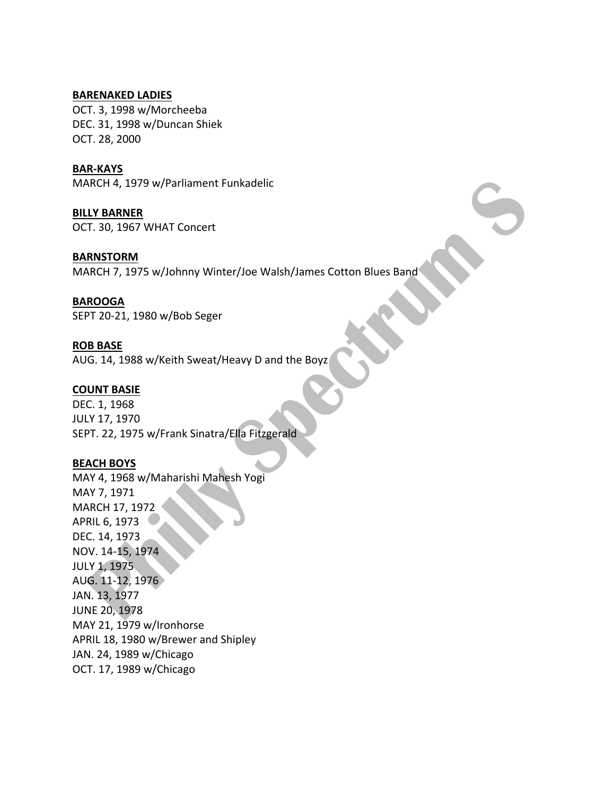#### **BARENAKED LADIES**

OCT. 3, 1998 w/Morcheeba DEC. 31, 1998 w/Duncan Shiek OCT. 28, 2000

#### **BAR-KAYS**

MARCH 4, 1979 w/Parliament Funkadelic

**BILLY BARNER** OCT. 30, 1967 WHAT Concert

#### **BARNSTORM**

MARCH 7, 1975 w/Johnny Winter/Joe Walsh/James Cotton Blues Band

#### **BAROOGA**

SEPT 20-21, 1980 w/Bob Seger

#### **ROB BASE**

AUG. 14, 1988 w/Keith Sweat/Heavy D and the Boyz

#### **COUNT BASIE**

DEC. 1, 1968 JULY 17, 1970 SEPT. 22, 1975 w/Frank Sinatra/Ella Fitzgerald

## **BEACH BOYS**

MAY 4, 1968 w/Maharishi Mahesh Yogi MAY 7, 1971 MARCH 17, 1972 APRIL 6, 1973 DEC. 14, 1973 NOV. 14-15, 1974 **JULY 1, 1975** AUG. 11-12, 1976 JAN. 13, 1977 **JUNE 20, 1978** MAY 21, 1979 w/Ironhorse APRIL 18, 1980 w/Brewer and Shipley JAN. 24, 1989 w/Chicago OCT. 17, 1989 w/Chicago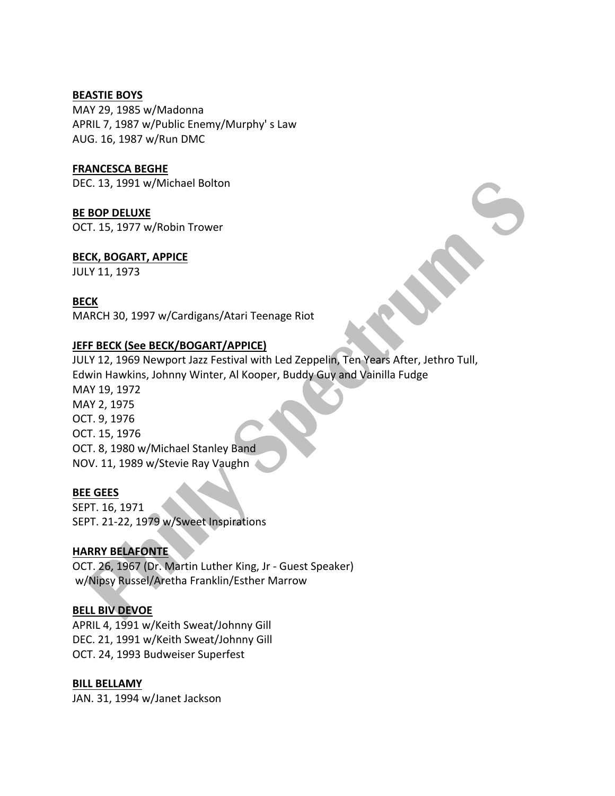#### **BEASTIE BOYS**

MAY 29, 1985 w/Madonna APRIL 7, 1987 w/Public Enemy/Murphy's Law AUG. 16, 1987 w/Run DMC

## **FRANCESCA BEGHE**

DEC. 13, 1991 w/Michael Bolton

## **BE BOP DELUXE**

OCT. 15, 1977 w/Robin Trower

## **BECK, BOGART, APPICE**

JULY 11, 1973

## **BECK**

MARCH 30, 1997 w/Cardigans/Atari Teenage Riot

## **JEFF BECK (See BECK/BOGART/APPICE)**

JULY 12, 1969 Newport Jazz Festival with Led Zeppelin, Ten Years After, Jethro Tull, Edwin Hawkins, Johnny Winter, Al Kooper, Buddy Guy and Vainilla Fudge MAY 19, 1972 MAY 2, 1975 OCT. 9, 1976 OCT. 15, 1976 OCT. 8, 1980 w/Michael Stanley Band NOV. 11, 1989 w/Stevie Ray Vaughn

## **BEE GEES**

SEPT. 16, 1971 SEPT. 21-22, 1979 w/Sweet Inspirations

## **HARRY BELAFONTE**

OCT. 26, 1967 (Dr. Martin Luther King, Jr - Guest Speaker) w/Nipsy Russel/Aretha Franklin/Esther Marrow

## **BELL BIV DEVOE**

APRIL 4, 1991 w/Keith Sweat/Johnny Gill DEC. 21, 1991 w/Keith Sweat/Johnny Gill OCT. 24, 1993 Budweiser Superfest

#### **BILL BELLAMY**

JAN. 31, 1994 w/Janet Jackson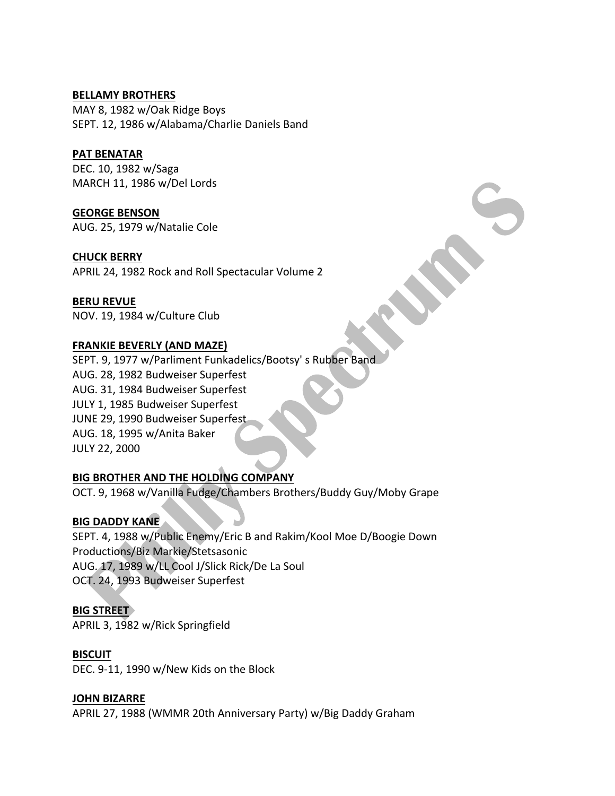## **BELLAMY BROTHERS**

MAY 8, 1982 w/Oak Ridge Boys SEPT. 12, 1986 w/Alabama/Charlie Daniels Band

## **PAT BENATAR**

DEC. 10, 1982 w/Saga MARCH 11, 1986 w/Del Lords

**GEORGE BENSON** AUG. 25, 1979 w/Natalie Cole

## **CHUCK BERRY**

APRIL 24, 1982 Rock and Roll Spectacular Volume 2

#### **BERU REVUE**

NOV. 19, 1984 w/Culture Club

## **FRANKIE BEVERLY (AND MAZE)**

SEPT. 9, 1977 w/Parliment Funkadelics/Bootsy' s Rubber Band AUG. 28, 1982 Budweiser Superfest AUG. 31, 1984 Budweiser Superfest JULY 1, 1985 Budweiser Superfest JUNE 29, 1990 Budweiser Superfest AUG. 18, 1995 w/Anita Baker JULY 22, 2000

## **BIG BROTHER AND THE HOLDING COMPANY**

OCT. 9, 1968 w/Vanilla Fudge/Chambers Brothers/Buddy Guy/Moby Grape

## **BIG DADDY KANE**

SEPT. 4, 1988 w/Public Enemy/Eric B and Rakim/Kool Moe D/Boogie Down Productions/Biz Markie/Stetsasonic AUG. 17, 1989 w/LL Cool J/Slick Rick/De La Soul OCT. 24, 1993 Budweiser Superfest

## **BIG STREET**

APRIL 3, 1982 w/Rick Springfield

#### **BISCUIT**

DEC. 9-11, 1990 w/New Kids on the Block

#### **JOHN BIZARRE**

APRIL 27, 1988 (WMMR 20th Anniversary Party) w/Big Daddy Graham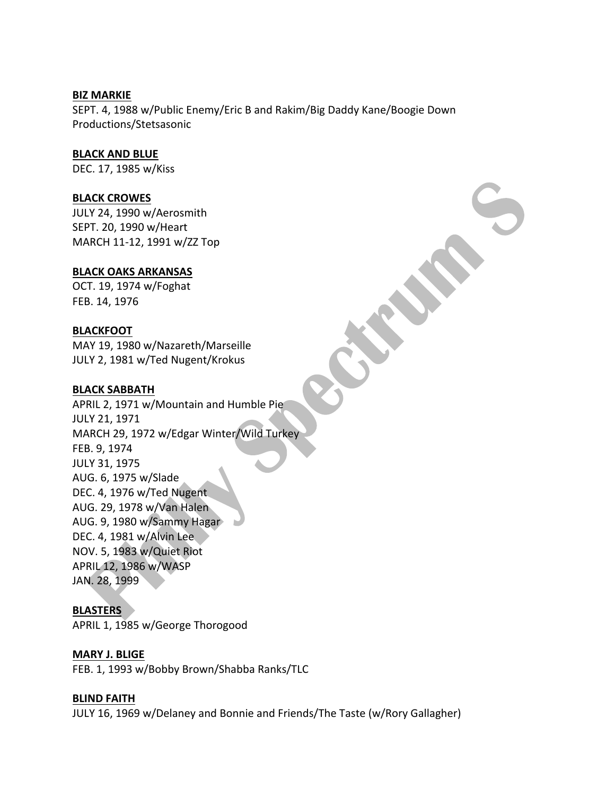#### **BIZ MARKIE**

SEPT. 4, 1988 w/Public Enemy/Eric B and Rakim/Big Daddy Kane/Boogie Down Productions/Stetsasonic

#### **BLACK AND BLUE**

DEC. 17, 1985 w/Kiss

#### **BLACK CROWES**

JULY 24, 1990 w/Aerosmith SEPT. 20, 1990 w/Heart MARCH 11-12, 1991 w/ZZ Top

#### **BLACK OAKS ARKANSAS**

OCT. 19, 1974 w/Foghat FEB. 14, 1976

#### **BLACKFOOT**

MAY 19, 1980 w/Nazareth/Marseille JULY 2, 1981 w/Ted Nugent/Krokus

#### **BLACK SABBATH**

APRIL 2, 1971 w/Mountain and Humble Pie JULY 21, 1971 MARCH 29, 1972 w/Edgar Winter/Wild Turkey FEB. 9, 1974 JULY 31, 1975 AUG. 6, 1975 w/Slade DEC. 4, 1976 w/Ted Nugent AUG. 29, 1978 w/Van Halen AUG. 9, 1980 w/Sammy Hagar DEC. 4, 1981 w/Alvin Lee NOV. 5, 1983 w/Quiet Riot APRIL 12, 1986 w/WASP JAN. 28, 1999

#### **BLASTERS**

APRIL 1, 1985 w/George Thorogood

#### **MARY J. BLIGE**

FEB. 1, 1993 w/Bobby Brown/Shabba Ranks/TLC

#### **BLIND FAITH**

JULY 16, 1969 w/Delaney and Bonnie and Friends/The Taste (w/Rory Gallagher)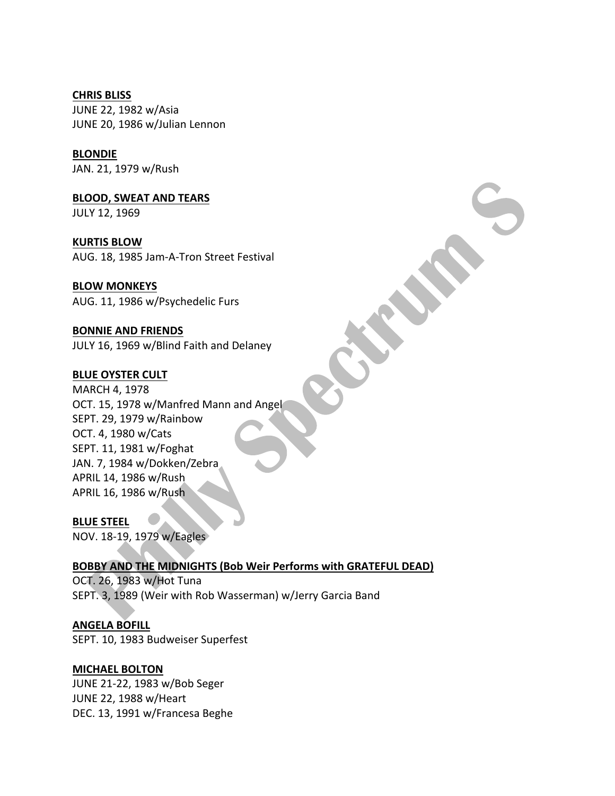**CHRIS BLISS** JUNE 22, 1982 w/Asia JUNE 20, 1986 w/Julian Lennon

**BLONDIE** JAN. 21, 1979 w/Rush

**BLOOD, SWEAT AND TEARS** JULY 12, 1969

**KURTIS BLOW** AUG. 18, 1985 Jam-A-Tron Street Festival

**BLOW MONKEYS** AUG. 11, 1986 w/Psychedelic Furs

**BONNIE AND FRIENDS** JULY 16, 1969 w/Blind Faith and Delaney

## **BLUE OYSTER CULT**

MARCH 4, 1978 OCT. 15, 1978 w/Manfred Mann and Angel SEPT. 29, 1979 w/Rainbow OCT. 4, 1980 w/Cats SEPT. 11, 1981 w/Foghat JAN. 7, 1984 w/Dokken/Zebra APRIL 14, 1986 w/Rush APRIL 16, 1986 w/Rush

#### **BLUE STEEL**

NOV. 18-19, 1979 w/Eagles

**BOBBY AND THE MIDNIGHTS (Bob Weir Performs with GRATEFUL DEAD)** OCT. 26, 1983 w/Hot Tuna

SEPT. 3, 1989 (Weir with Rob Wasserman) w/Jerry Garcia Band

**ANGELA BOFILL** SEPT. 10, 1983 Budweiser Superfest

## **MICHAEL BOLTON**

JUNE 21-22, 1983 w/Bob Seger JUNE 22, 1988 w/Heart DEC. 13, 1991 w/Francesa Beghe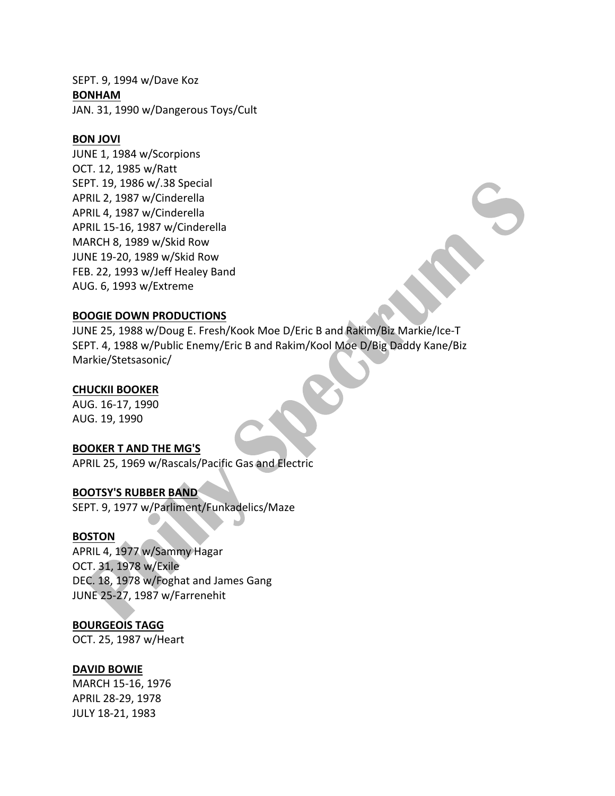SEPT. 9, 1994 w/Dave Koz **BONHAM** JAN. 31, 1990 w/Dangerous Toys/Cult

#### **BON JOVI**

JUNE 1, 1984 w/Scorpions OCT. 12, 1985 w/Ratt SEPT. 19, 1986 w/.38 Special APRIL 2, 1987 w/Cinderella APRIL 4, 1987 w/Cinderella APRIL 15-16, 1987 w/Cinderella MARCH 8, 1989 w/Skid Row JUNE 19-20, 1989 w/Skid Row FEB. 22, 1993 w/Jeff Healey Band AUG. 6, 1993 w/Extreme

#### **BOOGIE DOWN PRODUCTIONS**

JUNE 25, 1988 w/Doug E. Fresh/Kook Moe D/Eric B and Rakim/Biz Markie/Ice-T SEPT. 4, 1988 w/Public Enemy/Eric B and Rakim/Kool Moe D/Big Daddy Kane/Biz Markie/Stetsasonic/

## **CHUCKII BOOKER**

AUG. 16-17, 1990 AUG. 19, 1990 

#### **BOOKER T AND THE MG'S**

APRIL 25, 1969 w/Rascals/Pacific Gas and Electric

## **BOOTSY'S RUBBER BAND**

SEPT. 9, 1977 w/Parliment/Funkadelics/Maze

#### **BOSTON**

APRIL 4, 1977 w/Sammy Hagar OCT. 31, 1978 w/Exile DEC. 18, 1978 w/Foghat and James Gang JUNE 25-27, 1987 w/Farrenehit

#### **BOURGEOIS TAGG**

OCT. 25, 1987 w/Heart

#### **DAVID BOWIE**

MARCH 15-16, 1976 APRIL 28-29, 1978 JULY 18-21, 1983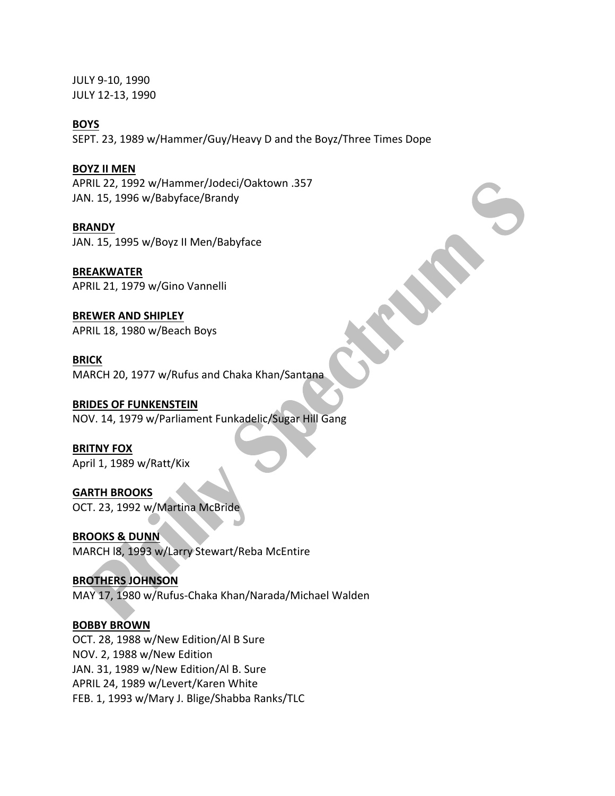JULY 9-10, 1990 JULY 12-13, 1990

#### **BOYS**

SEPT. 23, 1989 w/Hammer/Guy/Heavy D and the Boyz/Three Times Dope

## **BOYZ II MEN**

APRIL 22, 1992 w/Hammer/Jodeci/Oaktown .357 JAN. 15, 1996 w/Babyface/Brandy

#### **BRANDY**

JAN. 15, 1995 w/Boyz II Men/Babyface

**BREAKWATER** APRIL 21, 1979 w/Gino Vannelli

**BREWER AND SHIPLEY** APRIL 18, 1980 w/Beach Boys

**BRICK** MARCH 20, 1977 w/Rufus and Chaka Khan/Santana

## **BRIDES OF FUNKENSTEIN**

NOV. 14, 1979 w/Parliament Funkadelic/Sugar Hill Gang

**BRITNY FOX** April 1, 1989 w/Ratt/Kix

**GARTH BROOKS** OCT. 23, 1992 w/Martina McBride

**BROOKS & DUNN** MARCH 18, 1993 w/Larry Stewart/Reba McEntire

#### **BROTHERS JOHNSON**

MAY 17, 1980 w/Rufus-Chaka Khan/Narada/Michael Walden

#### **BOBBY BROWN**

OCT. 28, 1988 w/New Edition/Al B Sure NOV. 2, 1988 w/New Edition JAN. 31, 1989 w/New Edition/Al B. Sure APRIL 24, 1989 w/Levert/Karen White FEB. 1, 1993 w/Mary J. Blige/Shabba Ranks/TLC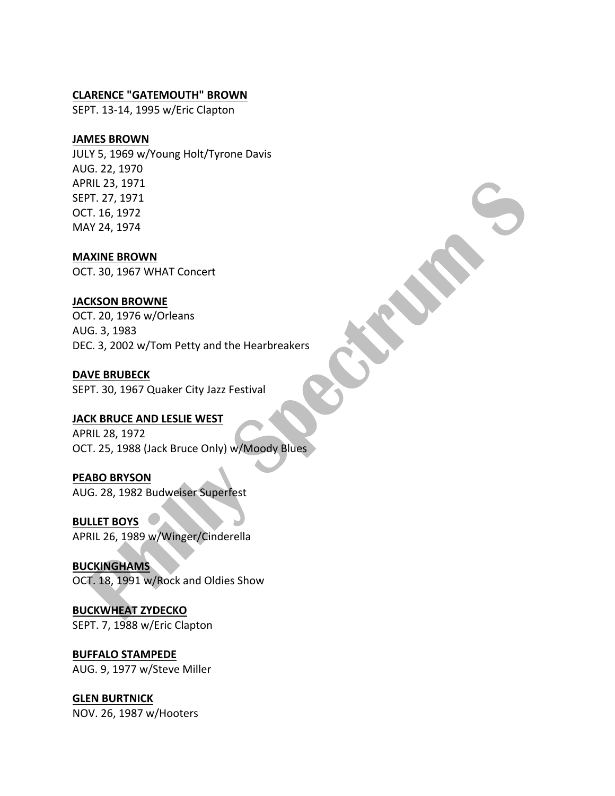#### **CLARENCE "GATEMOUTH" BROWN**

SEPT. 13-14, 1995 w/Eric Clapton

## **JAMES BROWN**

JULY 5, 1969 w/Young Holt/Tyrone Davis AUG. 22, 1970 APRIL 23, 1971 SEPT. 27, 1971 OCT. 16, 1972 MAY 24, 1974

**MAXINE BROWN** OCT. 30, 1967 WHAT Concert

## **JACKSON BROWNE**

OCT. 20, 1976 w/Orleans AUG. 3, 1983 DEC. 3, 2002 w/Tom Petty and the Hearbreakers

#### **DAVE BRUBECK**

SEPT. 30, 1967 Quaker City Jazz Festival

## **JACK BRUCE AND LESLIE WEST**

APRIL 28, 1972 OCT. 25, 1988 (Jack Bruce Only) w/Moody Blues

## **PEABO BRYSON**

AUG. 28, 1982 Budweiser Superfest

**BULLET BOYS** APRIL 26, 1989 w/Winger/Cinderella

**BUCKINGHAMS** OCT. 18, 1991 w/Rock and Oldies Show

**BUCKWHEAT ZYDECKO** SEPT. 7, 1988 w/Eric Clapton

**BUFFALO STAMPEDE** AUG. 9, 1977 w/Steve Miller

## **GLEN BURTNICK**

NOV. 26, 1987 w/Hooters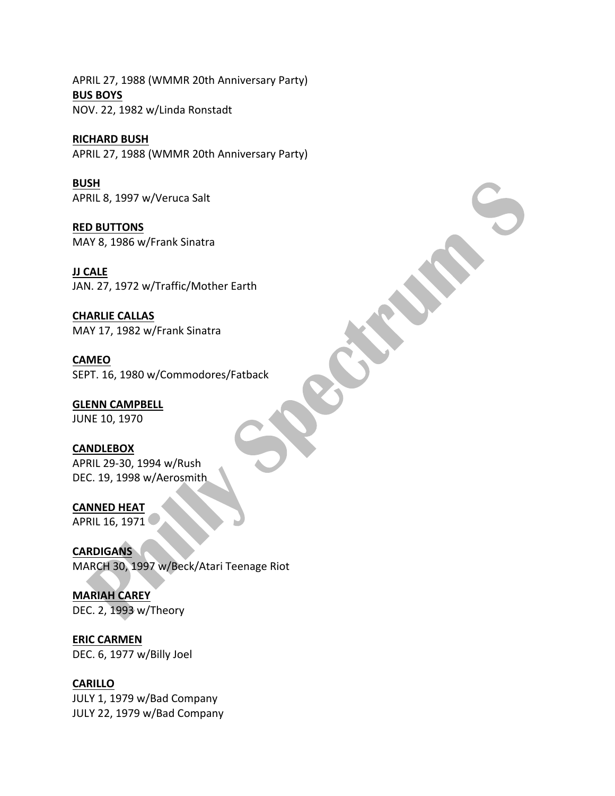APRIL 27, 1988 (WMMR 20th Anniversary Party) **BUS BOYS** NOV. 22, 1982 w/Linda Ronstadt

**RICHARD BUSH** APRIL 27, 1988 (WMMR 20th Anniversary Party)

**BUSH** APRIL 8, 1997 w/Veruca Salt

**RED BUTTONS** MAY 8, 1986 w/Frank Sinatra

**JJ CALE** JAN. 27, 1972 w/Traffic/Mother Earth

**CHARLIE CALLAS** MAY 17, 1982 w/Frank Sinatra

**CAMEO** SEPT. 16, 1980 w/Commodores/Fatback

**GLENN CAMPBELL** JUNE 10, 1970

**CANDLEBOX** APRIL 29-30, 1994 w/Rush DEC. 19, 1998 w/Aerosmith

**CANNED HEAT** APRIL 16, 1971

**CARDIGANS** MARCH 30, 1997 w/Beck/Atari Teenage Riot

**MARIAH CAREY** DEC. 2, 1993 w/Theory

**ERIC CARMEN** DEC. 6, 1977 w/Billy Joel

**CARILLO**

JULY 1, 1979 w/Bad Company JULY 22, 1979 w/Bad Company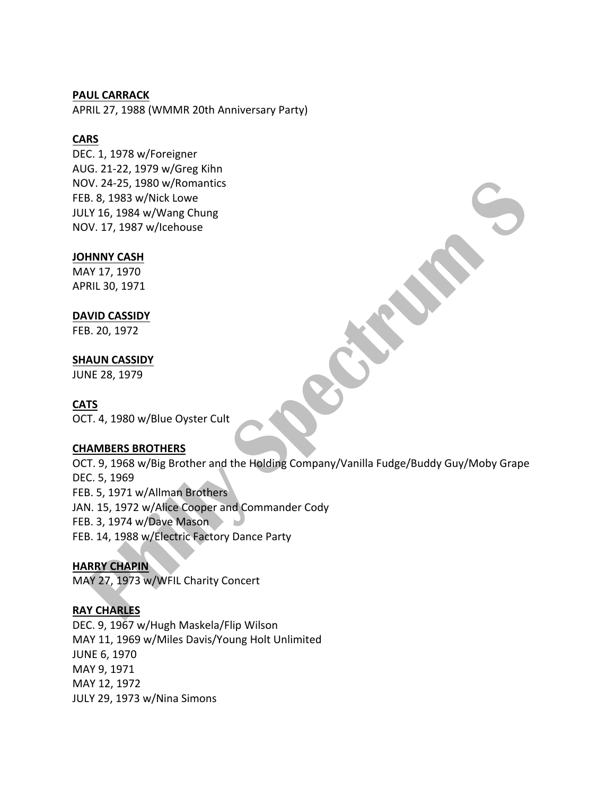#### **PAUL CARRACK**

APRIL 27, 1988 (WMMR 20th Anniversary Party)

## **CARS**

DEC. 1, 1978 w/Foreigner AUG. 21-22, 1979 w/Greg Kihn NOV. 24-25, 1980 w/Romantics FEB. 8, 1983 w/Nick Lowe JULY 16, 1984 w/Wang Chung NOV. 17, 1987 w/lcehouse

## **JOHNNY CASH**

MAY 17, 1970 APRIL 30, 1971

## **DAVID CASSIDY**

FEB. 20, 1972

## **SHAUN CASSIDY**

JUNE 28, 1979

## **CATS**

OCT. 4, 1980 w/Blue Oyster Cult

#### **CHAMBERS BROTHERS**

OCT. 9, 1968 w/Big Brother and the Holding Company/Vanilla Fudge/Buddy Guy/Moby Grape DEC. 5, 1969 FEB. 5, 1971 w/Allman Brothers JAN. 15, 1972 w/Alice Cooper and Commander Cody FEB. 3, 1974 w/Dave Mason FEB. 14, 1988 w/Electric Factory Dance Party

## **HARRY CHAPIN**

MAY 27, 1973 w/WFIL Charity Concert

## **RAY CHARLES**

DEC. 9, 1967 w/Hugh Maskela/Flip Wilson MAY 11, 1969 w/Miles Davis/Young Holt Unlimited JUNE 6, 1970 MAY 9, 1971 MAY 12, 1972 JULY 29, 1973 w/Nina Simons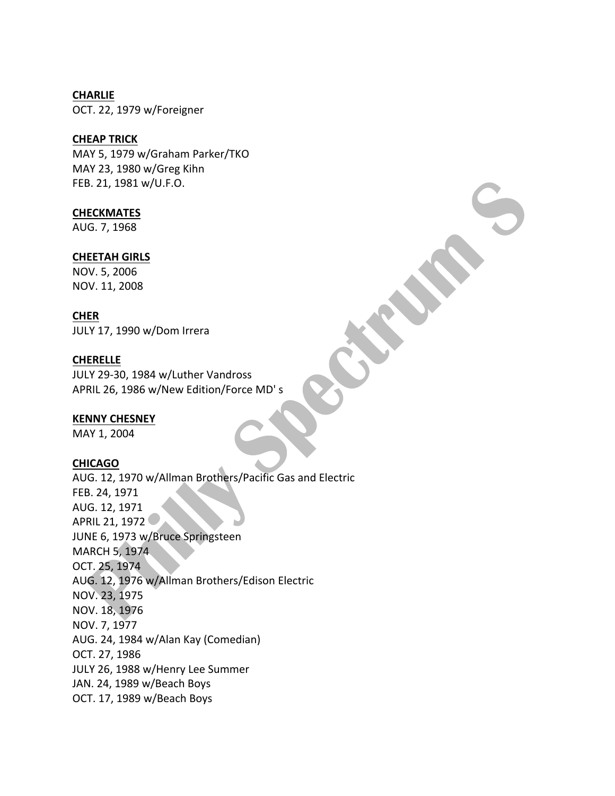## **CHARLIE** OCT. 22, 1979 w/Foreigner

## **CHEAP TRICK**

MAY 5, 1979 w/Graham Parker/TKO MAY 23, 1980 w/Greg Kihn FEB. 21, 1981 w/U.F.O.

## **CHECKMATES**

AUG. 7, 1968

## **CHEETAH GIRLS**

NOV. 5, 2006 NOV. 11, 2008

## **CHER**

JULY 17, 1990 w/Dom Irrera

## **CHERELLE**

JULY 29-30, 1984 w/Luther Vandross APRIL 26, 1986 w/New Edition/Force MD's

## **KENNY CHESNEY**

MAY 1, 2004

## **CHICAGO**

AUG. 12, 1970 w/Allman Brothers/Pacific Gas and Electric FEB. 24, 1971 AUG. 12, 1971 APRIL 21, 1972 JUNE 6, 1973 w/Bruce Springsteen **MARCH 5, 1974** OCT. 25, 1974 AUG. 12, 1976 w/Allman Brothers/Edison Electric NOV. 23, 1975 NOV. 18, 1976 NOV. 7, 1977 AUG. 24, 1984 w/Alan Kay (Comedian) OCT. 27, 1986 JULY 26, 1988 w/Henry Lee Summer JAN. 24, 1989 w/Beach Boys OCT. 17, 1989 w/Beach Boys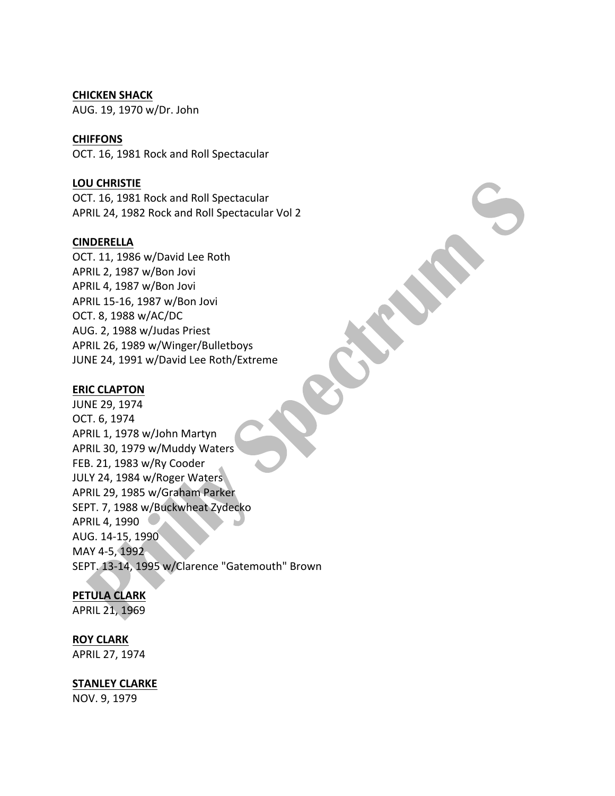#### **CHICKEN SHACK**

AUG. 19, 1970 w/Dr. John

#### **CHIFFONS**

OCT. 16, 1981 Rock and Roll Spectacular

#### **LOU CHRISTIE**

OCT. 16, 1981 Rock and Roll Spectacular APRIL 24, 1982 Rock and Roll Spectacular Vol 2

#### **CINDERELLA**

OCT. 11, 1986 w/David Lee Roth APRIL 2, 1987 w/Bon Jovi APRIL 4, 1987 w/Bon Jovi APRIL 15-16, 1987 w/Bon Jovi OCT. 8, 1988 w/AC/DC AUG. 2, 1988 w/Judas Priest APRIL 26, 1989 w/Winger/Bulletboys JUNE 24, 1991 w/David Lee Roth/Extreme

#### **ERIC CLAPTON**

JUNE 29, 1974 OCT. 6, 1974 APRIL 1, 1978 w/John Martyn APRIL 30, 1979 w/Muddy Waters FEB. 21, 1983 w/Ry Cooder JULY 24, 1984 w/Roger Waters APRIL 29, 1985 w/Graham Parker SEPT. 7, 1988 w/Buckwheat Zydecko APRIL 4, 1990 AUG. 14-15, 1990 MAY 4-5, 1992 SEPT. 13-14, 1995 w/Clarence "Gatemouth" Brown

## **PETULA CLARK**

APRIL 21, 1969

#### **ROY CLARK**

APRIL 27, 1974

#### **STANLEY CLARKE**

NOV. 9, 1979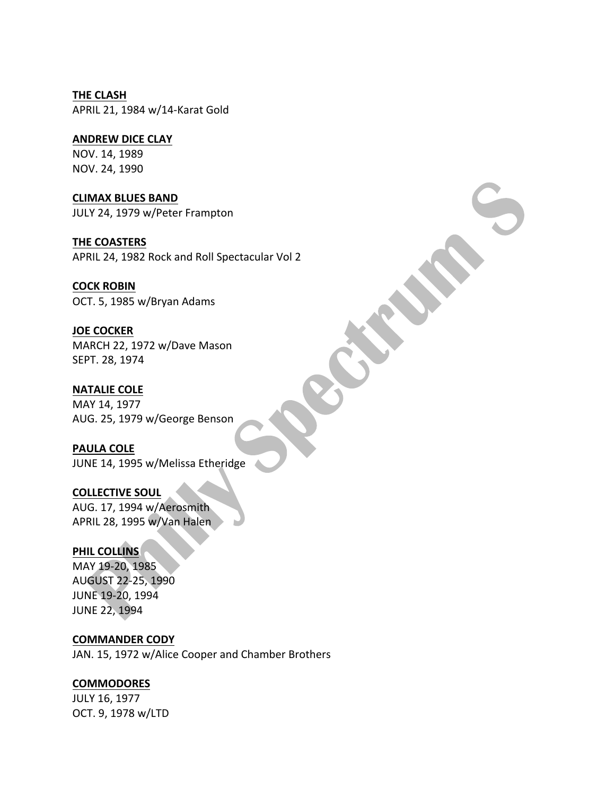**THE CLASH** APRIL 21, 1984 w/14-Karat Gold

## **ANDREW DICE CLAY**

NOV. 14, 1989 NOV. 24, 1990

**CLIMAX BLUES BAND** JULY 24, 1979 w/Peter Frampton

**THE COASTERS** APRIL 24, 1982 Rock and Roll Spectacular Vol 2

## **COCK ROBIN**

OCT. 5, 1985 w/Bryan Adams

## **JOE COCKER**

MARCH 22, 1972 w/Dave Mason SEPT. 28, 1974

**NATALIE COLE** 

MAY 14, 1977 AUG. 25, 1979 w/George Benson

**PAULA COLE** JUNE 14, 1995 w/Melissa Etheridge

**COLLECTIVE SOUL** AUG. 17, 1994 w/Aerosmith APRIL 28, 1995 w/Van Halen

## **PHIL COLLINS**

MAY 19-20, 1985 AUGUST 22-25, 1990 JUNE 19-20, 1994 **JUNE 22, 1994** 

**COMMANDER CODY**

JAN. 15, 1972 w/Alice Cooper and Chamber Brothers

## **COMMODORES**

JULY 16, 1977 OCT. 9, 1978 w/LTD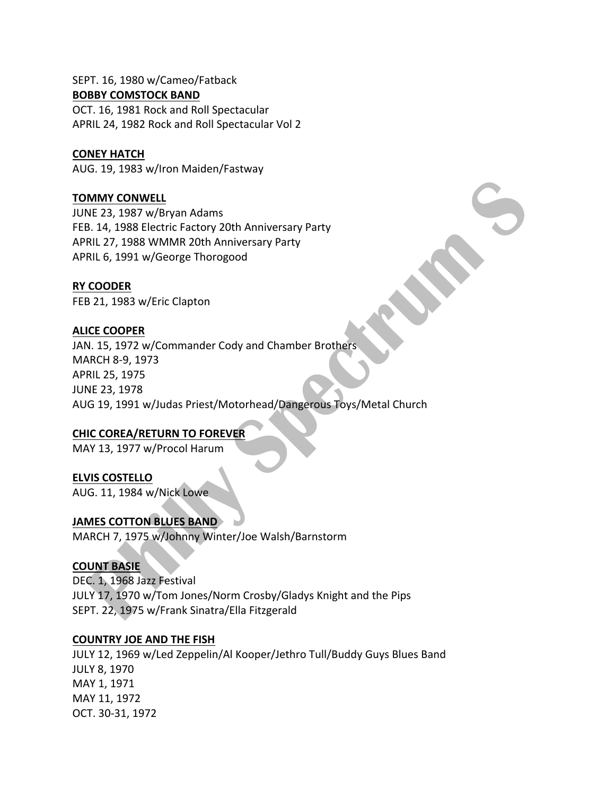#### SEPT. 16, 1980 w/Cameo/Fatback **BOBBY COMSTOCK BAND**

OCT. 16, 1981 Rock and Roll Spectacular APRIL 24, 1982 Rock and Roll Spectacular Vol 2

## **CONEY HATCH**

AUG. 19, 1983 w/Iron Maiden/Fastway

## **TOMMY CONWELL**

JUNE 23, 1987 w/Bryan Adams FEB. 14, 1988 Electric Factory 20th Anniversary Party APRIL 27, 1988 WMMR 20th Anniversary Party APRIL 6, 1991 w/George Thorogood

## **RY COODER**

FEB 21, 1983 w/Eric Clapton

## **ALICE COOPER**

JAN. 15, 1972 w/Commander Cody and Chamber Brothers MARCH 8-9, 1973 APRIL 25, 1975 JUNE 23, 1978 AUG 19, 1991 w/Judas Priest/Motorhead/Dangerous Toys/Metal Church

## **CHIC COREA/RETURN TO FOREVER**

MAY 13, 1977 w/Procol Harum

## **ELVIS COSTELLO**

AUG. 11, 1984 w/Nick Lowe

## **JAMES COTTON BLUES BAND**

MARCH 7, 1975 w/Johnny Winter/Joe Walsh/Barnstorm

## **COUNT BASIE**

DEC. 1, 1968 Jazz Festival JULY 17, 1970 w/Tom Jones/Norm Crosby/Gladys Knight and the Pips SEPT. 22, 1975 w/Frank Sinatra/Ella Fitzgerald

## **COUNTRY JOE AND THE FISH**

JULY 12, 1969 w/Led Zeppelin/Al Kooper/Jethro Tull/Buddy Guys Blues Band JULY 8, 1970 MAY 1, 1971 MAY 11, 1972 OCT. 30-31, 1972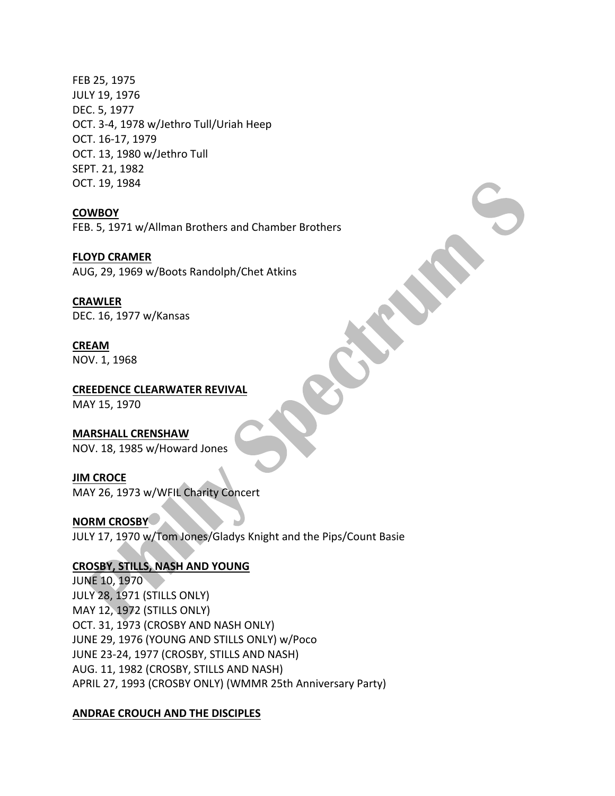FEB 25, 1975 JULY 19, 1976 DEC. 5, 1977 OCT. 3-4, 1978 w/Jethro Tull/Uriah Heep OCT. 16-17, 1979 OCT. 13, 1980 w/Jethro Tull SEPT. 21, 1982 OCT. 19, 1984

#### **COWBOY**

FEB. 5, 1971 w/Allman Brothers and Chamber Brothers

#### **FLOYD CRAMER**

AUG, 29, 1969 w/Boots Randolph/Chet Atkins

#### **CRAWLER**

DEC. 16, 1977 w/Kansas

## **CREAM**

NOV. 1, 1968

#### **CREEDENCE CLEARWATER REVIVAL**

MAY 15, 1970

## **MARSHALL CRENSHAW**

NOV. 18, 1985 w/Howard Jones

#### **JIM CROCE**

MAY 26, 1973 w/WFIL Charity Concert

#### **NORM CROSBY**

JULY 17, 1970 w/Tom Jones/Gladys Knight and the Pips/Count Basie

#### **CROSBY, STILLS, NASH AND YOUNG**

**JUNE 10, 1970** JULY 28, 1971 (STILLS ONLY) MAY 12, 1972 (STILLS ONLY) OCT. 31, 1973 (CROSBY AND NASH ONLY) JUNE 29, 1976 (YOUNG AND STILLS ONLY) w/Poco JUNE 23-24, 1977 (CROSBY, STILLS AND NASH) AUG. 11, 1982 (CROSBY, STILLS AND NASH) APRIL 27, 1993 (CROSBY ONLY) (WMMR 25th Anniversary Party)

#### **ANDRAE CROUCH AND THE DISCIPLES**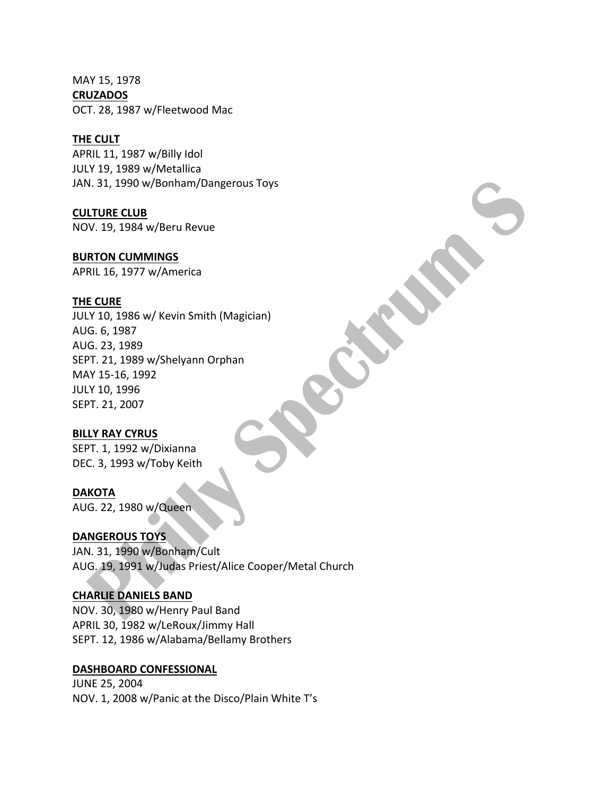MAY 15, 1978 **CRUZADOS** OCT. 28, 1987 w/Fleetwood Mac

#### **THE CULT**

APRIL 11, 1987 w/Billy Idol JULY 19, 1989 w/Metallica JAN. 31, 1990 w/Bonham/Dangerous Toys

## **CULTURE CLUB**

NOV. 19, 1984 w/Beru Revue

## **BURTON CUMMINGS**

APRIL 16, 1977 w/America

## **THE CURE**

JULY 10, 1986 w/ Kevin Smith (Magician) AUG. 6, 1987 AUG. 23, 1989 SEPT. 21, 1989 w/Shelyann Orphan MAY 15-16, 1992 JULY 10, 1996 SEPT. 21, 2007

## **BILLY RAY CYRUS**

SEPT. 1, 1992 w/Dixianna DEC. 3, 1993 w/Toby Keith

## **DAKOTA**

AUG. 22, 1980 w/Queen

## DANGEROUS TOYS

JAN. 31, 1990 w/Bonham/Cult AUG. 19, 1991 w/Judas Priest/Alice Cooper/Metal Church

## **CHARLIE DANIELS BAND**

NOV. 30, 1980 w/Henry Paul Band APRIL 30, 1982 w/LeRoux/Jimmy Hall SEPT. 12, 1986 w/Alabama/Bellamy Brothers

## **DASHBOARD CONFESSIONAL**

**JUNE 25, 2004** NOV. 1, 2008 w/Panic at the Disco/Plain White T's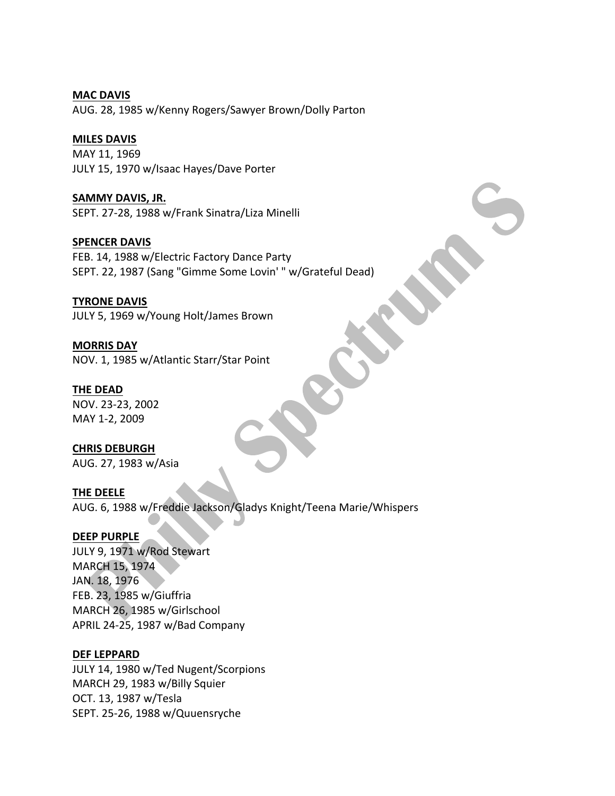**MAC DAVIS** AUG. 28, 1985 w/Kenny Rogers/Sawyer Brown/Dolly Parton

## **MILES DAVIS**

MAY 11, 1969 JULY 15, 1970 w/Isaac Hayes/Dave Porter

## **SAMMY DAVIS, JR.**

SEPT. 27-28, 1988 w/Frank Sinatra/Liza Minelli

## **SPENCER DAVIS**

FEB. 14, 1988 w/Electric Factory Dance Party SEPT. 22, 1987 (Sang "Gimme Some Lovin' " w/Grateful Dead)

## **TYRONE DAVIS**

JULY 5, 1969 w/Young Holt/James Brown

## **MORRIS DAY** NOV. 1, 1985 w/Atlantic Starr/Star Point

## **THE DEAD**

NOV. 23-23, 2002 MAY 1-2, 2009

## **CHRIS DEBURGH**

AUG. 27, 1983 w/Asia

## **THE DEELE**

AUG. 6, 1988 w/Freddie Jackson/Gladys Knight/Teena Marie/Whispers

## **DEEP PURPLE**

JULY 9, 1971 w/Rod Stewart MARCH 15, 1974 JAN. 18, 1976 FEB. 23, 1985 w/Giuffria MARCH 26, 1985 w/Girlschool APRIL 24-25, 1987 w/Bad Company

#### **DEF LEPPARD**

JULY 14, 1980 w/Ted Nugent/Scorpions MARCH 29, 1983 w/Billy Squier OCT. 13, 1987 w/Tesla SEPT. 25-26, 1988 w/Quuensryche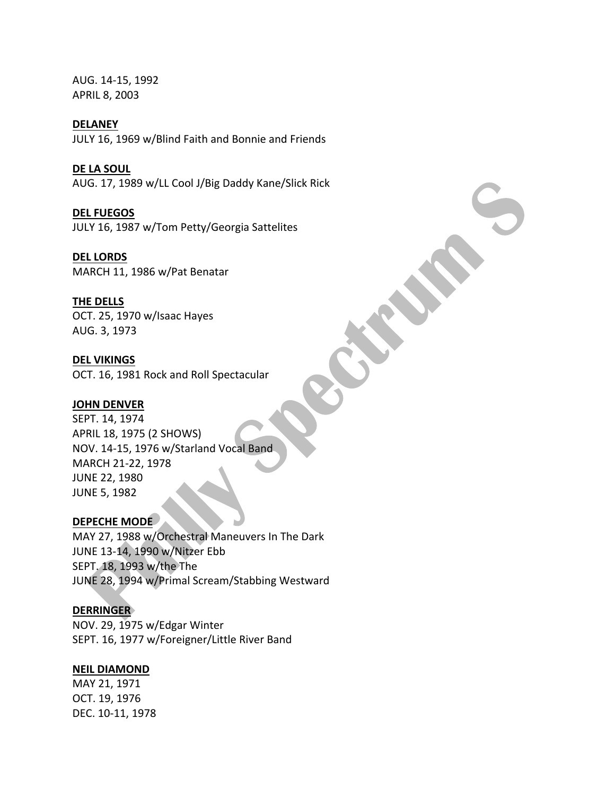AUG. 14-15, 1992 APRIL 8, 2003

#### **DELANEY**

JULY 16, 1969 w/Blind Faith and Bonnie and Friends

**DE LA SOUL** AUG. 17, 1989 w/LL Cool J/Big Daddy Kane/Slick Rick

**DEL FUEGOS** JULY 16, 1987 w/Tom Petty/Georgia Sattelites

**DEL LORDS** MARCH 11, 1986 w/Pat Benatar

#### **THE DELLS**

OCT. 25, 1970 w/Isaac Hayes AUG. 3, 1973

#### **DEL VIKINGS**

OCT. 16, 1981 Rock and Roll Spectacular

#### **JOHN DENVER**

SEPT. 14, 1974 APRIL 18, 1975 (2 SHOWS) NOV. 14-15, 1976 w/Starland Vocal Band MARCH 21-22, 1978 JUNE 22, 1980 **JUNE 5, 1982** 

## **DEPECHE MODE**

MAY 27, 1988 w/Orchestral Maneuvers In The Dark JUNE 13-14, 1990 w/Nitzer Ebb SEPT. 18, 1993 w/the The JUNE 28, 1994 w/Primal Scream/Stabbing Westward

#### **DERRINGER**

NOV. 29, 1975 w/Edgar Winter SEPT. 16, 1977 w/Foreigner/Little River Band

## **NEIL DIAMOND**

MAY 21, 1971 OCT. 19, 1976 DEC. 10-11, 1978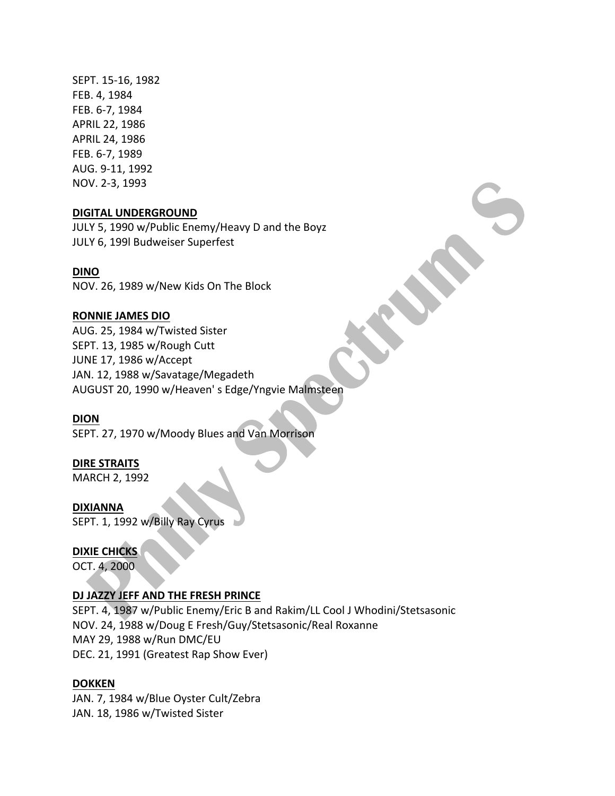SEPT. 15-16, 1982 FEB. 4, 1984 FEB. 6-7, 1984 APRIL 22, 1986 APRIL 24, 1986 FEB. 6-7, 1989 AUG. 9-11, 1992 NOV. 2-3, 1993

#### **DIGITAL UNDERGROUND**

JULY 5, 1990 w/Public Enemy/Heavy D and the Boyz JULY 6, 199l Budweiser Superfest

## **DINO**

NOV. 26, 1989 w/New Kids On The Block

## **RONNIE JAMES DIO**

AUG. 25, 1984 w/Twisted Sister SEPT. 13, 1985 w/Rough Cutt JUNE 17, 1986 w/Accept JAN. 12, 1988 w/Savatage/Megadeth AUGUST 20, 1990 w/Heaven's Edge/Yngvie Malmsteen

## **DION**

SEPT. 27, 1970 w/Moody Blues and Van Morrison

## **DIRE STRAITS**

MARCH 2, 1992

#### **DIXIANNA**

SEPT. 1, 1992 w/Billy Ray Cyrus

#### **DIXIE CHICKS**

OCT. 4, 2000

#### **DJ JAZZY JEFF AND THE FRESH PRINCE**

SEPT. 4, 1987 w/Public Enemy/Eric B and Rakim/LL Cool J Whodini/Stetsasonic NOV. 24, 1988 w/Doug E Fresh/Guy/Stetsasonic/Real Roxanne MAY 29, 1988 w/Run DMC/EU DEC. 21, 1991 (Greatest Rap Show Ever)

#### **DOKKEN**

JAN. 7, 1984 w/Blue Oyster Cult/Zebra JAN. 18, 1986 w/Twisted Sister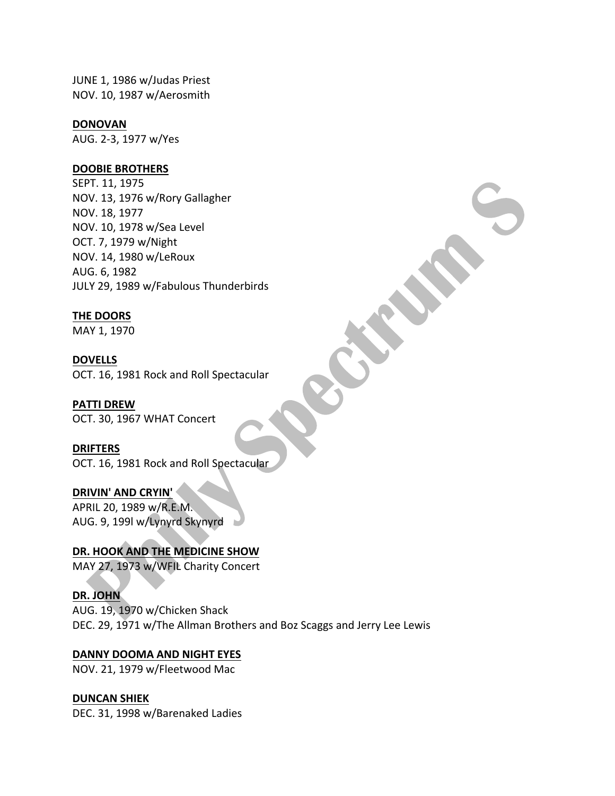JUNE 1, 1986 w/Judas Priest NOV. 10, 1987 w/Aerosmith

#### **DONOVAN**

AUG. 2-3, 1977 w/Yes

#### **DOOBIE BROTHERS**

SEPT. 11, 1975 NOV. 13, 1976 w/Rory Gallagher NOV. 18, 1977 NOV. 10, 1978 w/Sea Level OCT. 7, 1979 w/Night NOV. 14, 1980 w/LeRoux AUG. 6, 1982 JULY 29, 1989 w/Fabulous Thunderbirds

#### **THE DOORS**

MAY 1, 1970

#### **DOVELLS**

OCT. 16, 1981 Rock and Roll Spectacular

#### **PATTI DREW**

OCT. 30, 1967 WHAT Concert

#### **DRIFTERS**

OCT. 16, 1981 Rock and Roll Spectacular

## **DRIVIN' AND CRYIN'**

APRIL 20, 1989 w/R.E.M. AUG. 9, 199l w/Lynyrd Skynyrd

## **DR. HOOK AND THE MEDICINE SHOW**

MAY 27, 1973 w/WFIL Charity Concert

#### **DR. JOHN**

AUG. 19, 1970 w/Chicken Shack DEC. 29, 1971 w/The Allman Brothers and Boz Scaggs and Jerry Lee Lewis

#### DANNY DOOMA AND NIGHT EYES

NOV. 21, 1979 w/Fleetwood Mac

## **DUNCAN SHIEK**

DEC. 31, 1998 w/Barenaked Ladies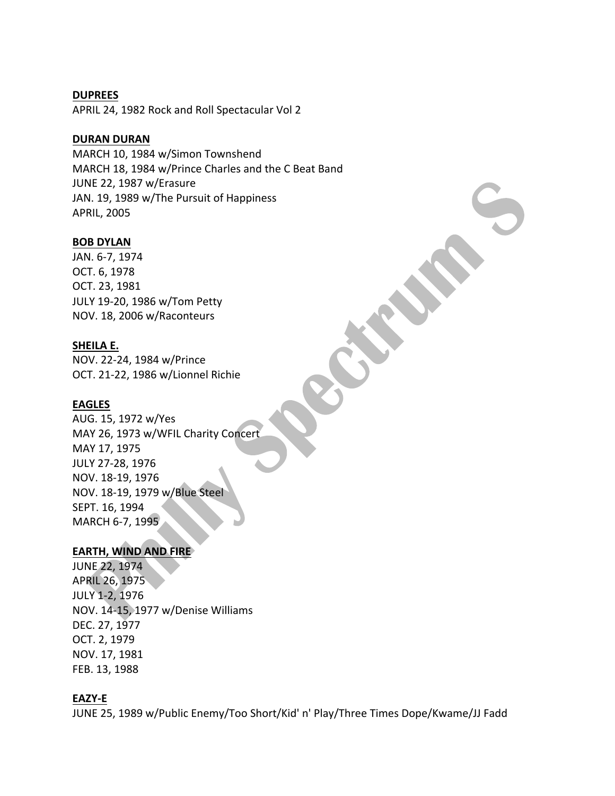#### **DUPREES**

APRIL 24, 1982 Rock and Roll Spectacular Vol 2

## **DURAN DURAN**

MARCH 10, 1984 w/Simon Townshend MARCH 18, 1984 w/Prince Charles and the C Beat Band JUNE 22, 1987 w/Erasure JAN. 19, 1989 w/The Pursuit of Happiness **APRIL, 2005** 

#### **BOB DYLAN**

JAN. 6-7, 1974 OCT. 6, 1978 OCT. 23, 1981 JULY 19-20, 1986 w/Tom Petty NOV. 18, 2006 w/Raconteurs

## **SHEILA E.**

NOV. 22-24, 1984 w/Prince OCT. 21-22, 1986 w/Lionnel Richie

## **EAGLES**

AUG. 15, 1972 w/Yes MAY 26, 1973 w/WFIL Charity Concert MAY 17, 1975 JULY 27-28, 1976 NOV. 18-19, 1976 NOV. 18-19, 1979 w/Blue Steel SEPT. 16, 1994 MARCH 6-7, 1995

## **EARTH, WIND AND FIRE**

**JUNE 22, 1974** APRIL 26, 1975 JULY 1-2, 1976 NOV. 14-15, 1977 w/Denise Williams DEC. 27, 1977 OCT. 2, 1979 NOV. 17, 1981 FEB. 13, 1988

## **EAZY-E**

JUNE 25, 1989 w/Public Enemy/Too Short/Kid' n' Play/Three Times Dope/Kwame/JJ Fadd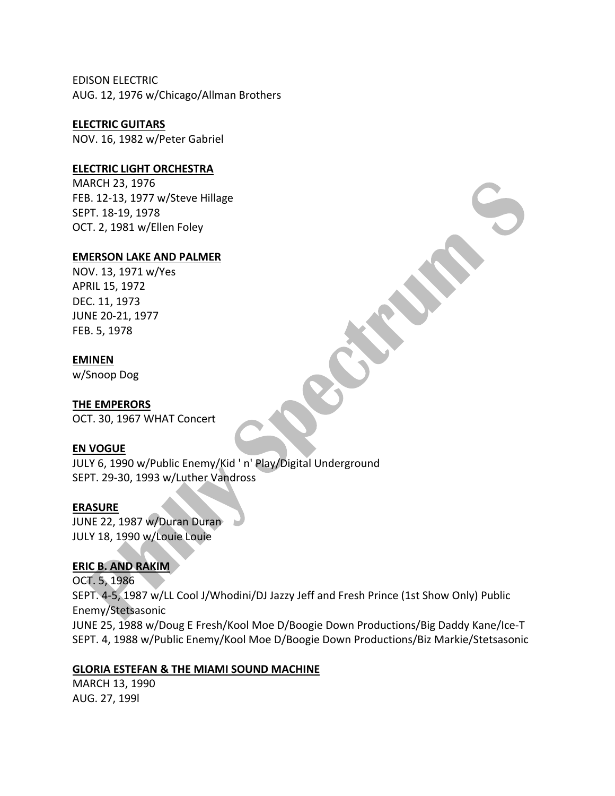EDISON ELECTRIC AUG. 12, 1976 w/Chicago/Allman Brothers

**ELECTRIC GUITARS**

NOV. 16, 1982 w/Peter Gabriel

## **ELECTRIC LIGHT ORCHESTRA**

MARCH 23, 1976 FEB. 12-13, 1977 w/Steve Hillage SEPT. 18-19, 1978 OCT. 2, 1981 w/Ellen Foley

#### **EMERSON LAKE AND PALMER**

NOV. 13, 1971 w/Yes APRIL 15, 1972 DEC. 11, 1973 JUNE 20-21, 1977 FEB. 5, 1978

#### **EMINEN**

w/Snoop Dog

#### **THE EMPERORS**

OCT. 30, 1967 WHAT Concert

#### **EN VOGUE**

JULY 6, 1990 w/Public Enemy/Kid 'n' Play/Digital Underground SEPT. 29-30, 1993 w/Luther Vandross

#### **ERASURE**

JUNE 22, 1987 w/Duran Duran JULY 18, 1990 w/Louie Louie

#### **ERIC B. AND RAKIM**

OCT. 5, 1986 SEPT. 4-5, 1987 w/LL Cool J/Whodini/DJ Jazzy Jeff and Fresh Prince (1st Show Only) Public Enemy/Stetsasonic JUNE 25, 1988 w/Doug E Fresh/Kool Moe D/Boogie Down Productions/Big Daddy Kane/Ice-T SEPT. 4, 1988 w/Public Enemy/Kool Moe D/Boogie Down Productions/Biz Markie/Stetsasonic

## **GLORIA ESTEFAN & THE MIAMI SOUND MACHINE**

MARCH 13, 1990 AUG. 27, 199l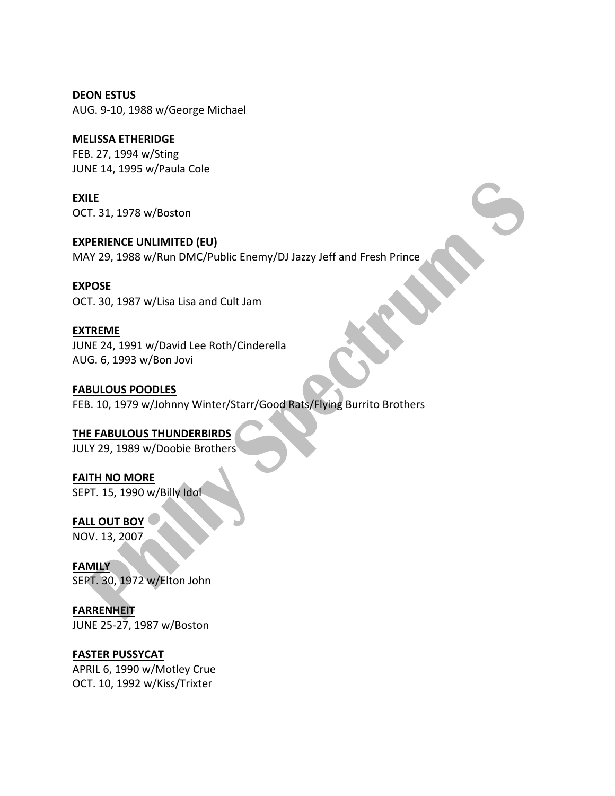**DEON ESTUS** AUG. 9-10, 1988 w/George Michael

## **MELISSA ETHERIDGE**

FEB. 27, 1994 w/Sting JUNE 14, 1995 w/Paula Cole

**EXILE** OCT. 31, 1978 w/Boston

**EXPERIENCE UNLIMITED (EU)** MAY 29, 1988 w/Run DMC/Public Enemy/DJ Jazzy Jeff and Fresh Prince

**EXPOSE**

OCT. 30, 1987 w/Lisa Lisa and Cult Jam

## **EXTREME**

JUNE 24, 1991 w/David Lee Roth/Cinderella AUG. 6, 1993 w/Bon Jovi

## **FABULOUS POODLES**

FEB. 10, 1979 w/Johnny Winter/Starr/Good Rats/Flying Burrito Brothers

## **THE FABULOUS THUNDERBIRDS**

JULY 29, 1989 w/Doobie Brothers

**FAITH NO MORE** SEPT. 15, 1990 w/Billy Idol

**FALL OUT BOY** NOV. 13, 2007

**FAMILY** SEPT. 30, 1972 w/Elton John

**FARRENHEIT** JUNE 25-27, 1987 w/Boston

## **FASTER PUSSYCAT**

APRIL 6, 1990 w/Motley Crue OCT. 10, 1992 w/Kiss/Trixter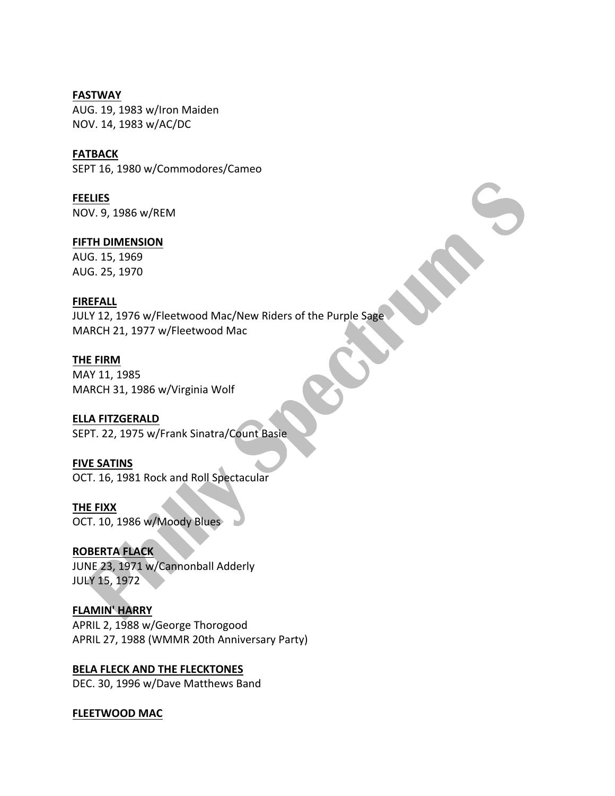**FASTWAY** AUG. 19, 1983 w/Iron Maiden NOV. 14, 1983 w/AC/DC

**FATBACK** SEPT 16, 1980 w/Commodores/Cameo

**FEELIES** NOV. 9, 1986 w/REM

**FIFTH DIMENSION** AUG. 15, 1969 AUG. 25, 1970

## **FIREFALL**

JULY 12, 1976 w/Fleetwood Mac/New Riders of the Purple Sage MARCH 21, 1977 w/Fleetwood Mac

**THE FIRM**

MAY 11, 1985 MARCH 31, 1986 w/Virginia Wolf

## **ELLA FITZGERALD**

SEPT. 22, 1975 w/Frank Sinatra/Count Basie

## **FIVE SATINS**

OCT. 16, 1981 Rock and Roll Spectacular

**THE FIXX**

OCT. 10, 1986 w/Moody Blues

## **ROBERTA FLACK**

JUNE 23, 1971 w/Cannonball Adderly **JULY 15, 1972** 

**FLAMIN' HARRY** APRIL 2, 1988 w/George Thorogood APRIL 27, 1988 (WMMR 20th Anniversary Party)

**BELA FLECK AND THE FLECKTONES** DEC. 30, 1996 w/Dave Matthews Band

#### **FLEETWOOD MAC**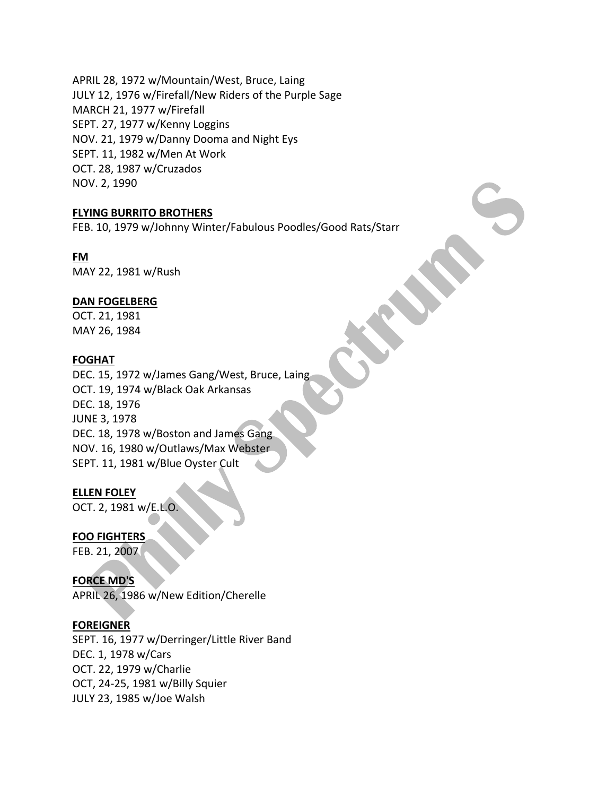APRIL 28, 1972 w/Mountain/West, Bruce, Laing JULY 12, 1976 w/Firefall/New Riders of the Purple Sage MARCH 21, 1977 w/Firefall SEPT. 27, 1977 w/Kenny Loggins NOV. 21, 1979 w/Danny Dooma and Night Eys SEPT. 11, 1982 w/Men At Work OCT. 28, 1987 w/Cruzados NOV. 2, 1990

#### **FLYING BURRITO BROTHERS**

FEB. 10, 1979 w/Johnny Winter/Fabulous Poodles/Good Rats/Starr

## **FM**

MAY 22, 1981 w/Rush

## **DAN FOGELBERG**

OCT. 21, 1981 MAY 26, 1984

## **FOGHAT**

DEC. 15, 1972 w/James Gang/West, Bruce, Laing OCT. 19, 1974 w/Black Oak Arkansas DEC. 18, 1976 **JUNE 3, 1978** DEC. 18, 1978 w/Boston and James Gang NOV. 16, 1980 w/Outlaws/Max Webster SEPT. 11, 1981 w/Blue Oyster Cult

#### **ELLEN FOLEY**

OCT. 2, 1981 w/E.L.O.

#### **FOO FIGHTERS**

FEB. 21, 2007

## **FORCE MD'S**

APRIL 26, 1986 w/New Edition/Cherelle

#### **FOREIGNER**

SEPT. 16, 1977 w/Derringer/Little River Band DEC. 1, 1978 w/Cars OCT. 22, 1979 w/Charlie OCT, 24-25, 1981 w/Billy Squier JULY 23, 1985 w/Joe Walsh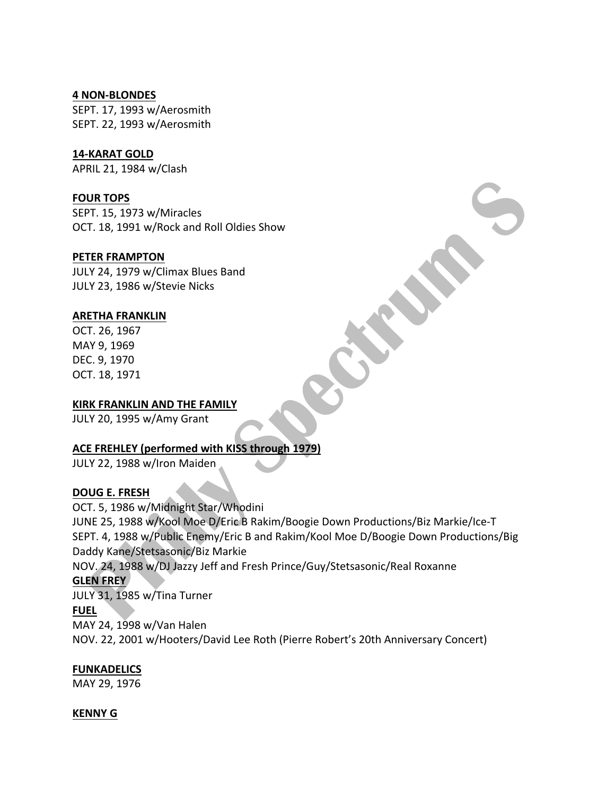#### **4 NON-BLONDES**

SEPT. 17, 1993 w/Aerosmith SEPT. 22, 1993 w/Aerosmith

## **14-KARAT GOLD**

APRIL 21, 1984 w/Clash

## **FOUR TOPS**

SEPT. 15, 1973 w/Miracles OCT. 18, 1991 w/Rock and Roll Oldies Show

## **PETER FRAMPTON**

JULY 24, 1979 w/Climax Blues Band JULY 23, 1986 w/Stevie Nicks

## **ARETHA FRANKLIN**

OCT. 26, 1967 MAY 9, 1969 DEC. 9, 1970 OCT. 18, 1971

## **KIRK FRANKLIN AND THE FAMILY**

JULY 20, 1995 w/Amy Grant

## **ACE FREHLEY (performed with KISS through 1979)**

JULY 22, 1988 w/Iron Maiden

## **DOUG E. FRESH**

OCT. 5, 1986 w/Midnight Star/Whodini JUNE 25, 1988 w/Kool Moe D/Eric B Rakim/Boogie Down Productions/Biz Markie/Ice-T SEPT. 4, 1988 w/Public Enemy/Eric B and Rakim/Kool Moe D/Boogie Down Productions/Big Daddy Kane/Stetsasonic/Biz Markie NOV. 24, 1988 w/DJ Jazzy Jeff and Fresh Prince/Guy/Stetsasonic/Real Roxanne **GLEN FREY** JULY 31, 1985 w/Tina Turner **FUEL** MAY 24, 1998 w/Van Halen NOV. 22, 2001 w/Hooters/David Lee Roth (Pierre Robert's 20th Anniversary Concert)

## **FUNKADELICS**

MAY 29, 1976

## **KENNY G**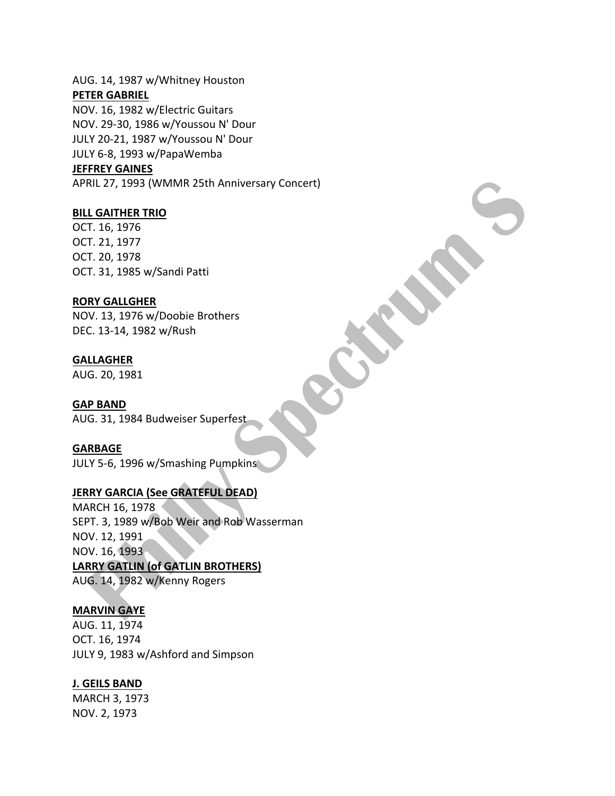AUG. 14, 1987 w/Whitney Houston **PETER GABRIEL**

NOV. 16, 1982 w/Electric Guitars NOV. 29-30, 1986 w/Youssou N' Dour JULY 20-21, 1987 w/Youssou N' Dour JULY 6-8, 1993 w/PapaWemba

#### **JEFFREY GAINES**

APRIL 27, 1993 (WMMR 25th Anniversary Concert)

#### **BILL GAITHER TRIO**

OCT. 16, 1976 OCT. 21, 1977 OCT. 20, 1978 OCT. 31, 1985 w/Sandi Patti

#### **RORY GALLGHER**

NOV. 13, 1976 w/Doobie Brothers DEC. 13-14, 1982 w/Rush

#### **GALLAGHER**

AUG. 20, 1981

#### **GAP BAND**

AUG. 31, 1984 Budweiser Superfest

#### **GARBAGE**

JULY 5-6, 1996 w/Smashing Pumpkins

## **JERRY GARCIA (See GRATEFUL DEAD)**

MARCH 16, 1978 SEPT. 3, 1989 w/Bob Weir and Rob Wasserman NOV. 12, 1991 NOV. 16, 1993 LARRY GATLIN (of GATLIN BROTHERS) AUG. 14, 1982 w/Kenny Rogers

#### **MARVIN GAYE**

AUG. 11, 1974 OCT. 16, 1974 JULY 9, 1983 w/Ashford and Simpson

## **J. GEILS BAND**

MARCH 3, 1973 NOV. 2, 1973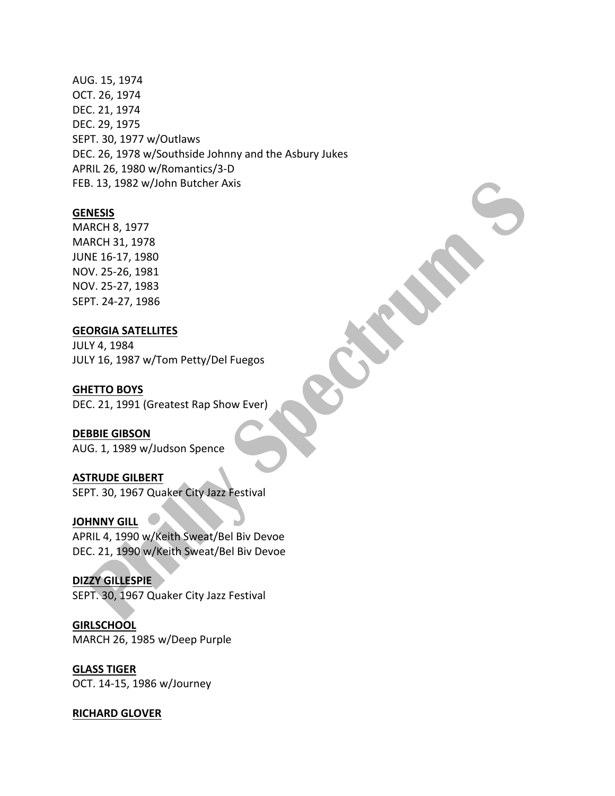AUG. 15, 1974 OCT. 26, 1974 DEC. 21, 1974 DEC. 29, 1975 SEPT. 30, 1977 w/Outlaws DEC. 26, 1978 w/Southside Johnny and the Asbury Jukes APRIL 26, 1980 w/Romantics/3-D FEB. 13, 1982 w/John Butcher Axis

#### **GENESIS**

MARCH 8, 1977 MARCH 31, 1978 JUNE 16-17, 1980 NOV. 25-26, 1981 NOV. 25-27, 1983 SEPT. 24-27, 1986

#### **GEORGIA SATELLITES**

JULY 4, 1984 JULY 16, 1987 w/Tom Petty/Del Fuegos

#### **GHETTO BOYS**

DEC. 21, 1991 (Greatest Rap Show Ever)

# **DEBBIE GIBSON**

AUG. 1, 1989 w/Judson Spence

# **ASTRUDE GILBERT**

SEPT. 30, 1967 Quaker City Jazz Festival

## **JOHNNY GILL**

APRIL 4, 1990 w/Keith Sweat/Bel Biv Devoe DEC. 21, 1990 w/Keith Sweat/Bel Biv Devoe

#### **DIZZY GILLESPIE**

SEPT. 30, 1967 Quaker City Jazz Festival

**GIRLSCHOOL** MARCH 26, 1985 w/Deep Purple

## **GLASS TIGER** OCT. 14-15, 1986 w/Journey

#### **RICHARD GLOVER**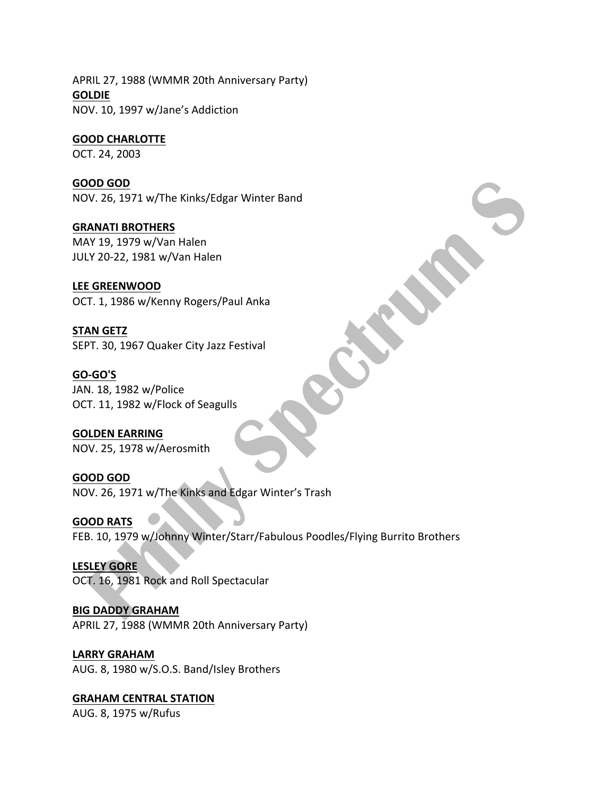APRIL 27, 1988 (WMMR 20th Anniversary Party) **GOLDIE** NOV. 10, 1997 w/Jane's Addiction

#### **GOOD CHARLOTTE**

OCT. 24, 2003

## **GOOD GOD**

NOV. 26, 1971 w/The Kinks/Edgar Winter Band

## **GRANATI BROTHERS**

MAY 19, 1979 w/Van Halen JULY 20-22, 1981 w/Van Halen

## **LEE GREENWOOD**

OCT. 1, 1986 w/Kenny Rogers/Paul Anka

**STAN GETZ** SEPT. 30, 1967 Quaker City Jazz Festival

**GO-GO'S** JAN. 18, 1982 w/Police OCT. 11, 1982 w/Flock of Seagulls

**GOLDEN EARRING** NOV. 25, 1978 w/Aerosmith

**GOOD GOD** NOV. 26, 1971 w/The Kinks and Edgar Winter's Trash

**GOOD RATS** FEB. 10, 1979 w/Johnny Winter/Starr/Fabulous Poodles/Flying Burrito Brothers

**LESLEY GORE** OCT. 16, 1981 Rock and Roll Spectacular

**BIG DADDY GRAHAM** APRIL 27, 1988 (WMMR 20th Anniversary Party)

## **LARRY GRAHAM**

AUG. 8, 1980 w/S.O.S. Band/Isley Brothers

**GRAHAM CENTRAL STATION** AUG. 8, 1975 w/Rufus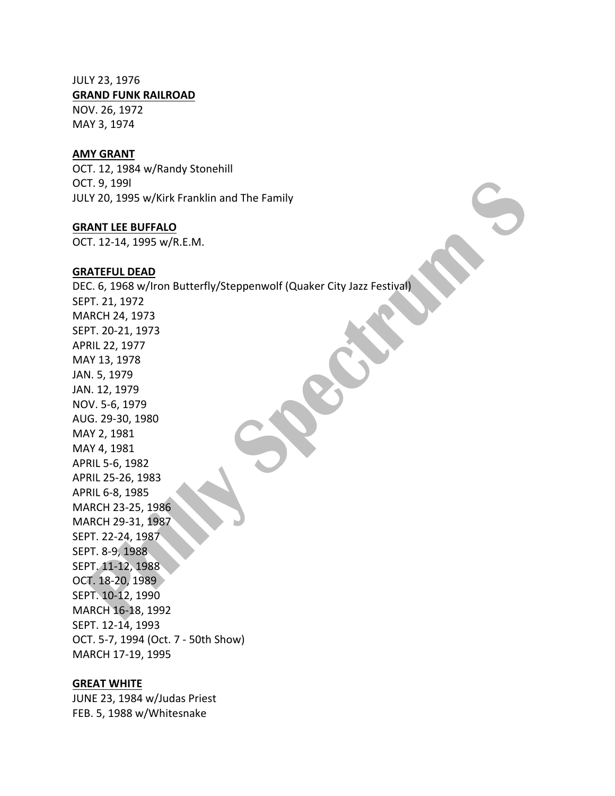## JULY 23, 1976

**GRAND FUNK RAILROAD** 

NOV. 26, 1972 MAY 3, 1974

#### **AMY GRANT**

OCT. 12, 1984 w/Randy Stonehill OCT. 9, 199l JULY 20, 1995 w/Kirk Franklin and The Family

#### **GRANT LEE BUFFALO**

OCT. 12-14, 1995 w/R.E.M.

#### **GRATEFUL DEAD**

DEC. 6, 1968 w/Iron Butterfly/Steppenwolf (Quaker City Jazz Festival) SEPT. 21, 1972 MARCH 24, 1973 SEPT. 20-21, 1973 APRIL 22, 1977 MAY 13, 1978 JAN. 5, 1979 JAN. 12, 1979 NOV. 5-6, 1979 AUG. 29-30, 1980 MAY 2, 1981 MAY 4, 1981 APRIL 5-6, 1982 APRIL 25-26, 1983 APRIL 6-8, 1985 MARCH 23-25, 1986 MARCH 29-31, 1987 SEPT. 22-24, 1987 SEPT. 8-9, 1988 SEPT. 11-12, 1988 OCT. 18-20, 1989 SEPT. 10-12, 1990 MARCH 16-18, 1992 SEPT. 12-14, 1993 OCT. 5-7, 1994 (Oct. 7 - 50th Show) MARCH 17-19, 1995

#### **GREAT WHITE**

JUNE 23, 1984 w/Judas Priest FEB. 5, 1988 w/Whitesnake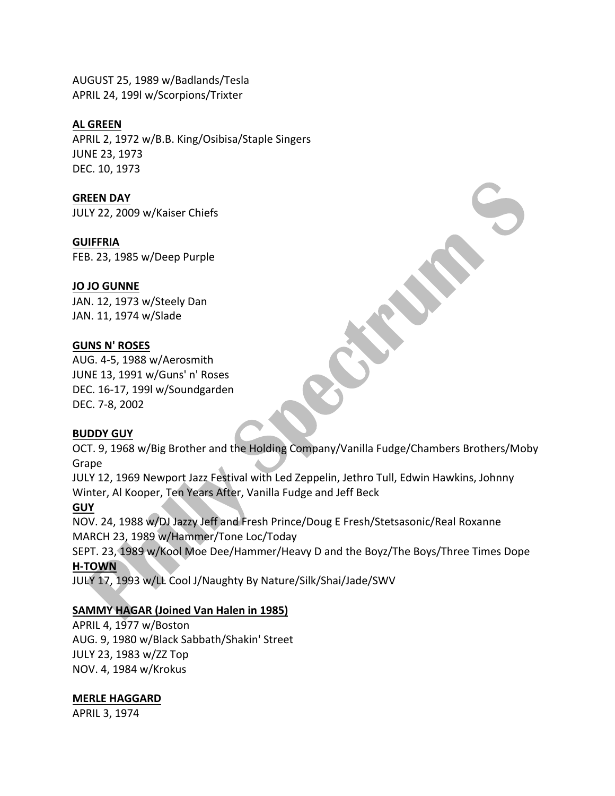AUGUST 25, 1989 w/Badlands/Tesla APRIL 24, 199l w/Scorpions/Trixter

#### **AL GREEN**

APRIL 2, 1972 w/B.B. King/Osibisa/Staple Singers JUNE 23, 1973 DEC. 10, 1973

#### **GREEN DAY**

JULY 22, 2009 w/Kaiser Chiefs

#### **GUIFFRIA**

FEB. 23, 1985 w/Deep Purple

## **JO JO GUNNE**

JAN. 12, 1973 w/Steely Dan JAN. 11, 1974 w/Slade

## **GUNS N' ROSES**

AUG. 4-5, 1988 w/Aerosmith JUNE 13, 1991 w/Guns' n' Roses DEC. 16-17, 199l w/Soundgarden DEC. 7-8, 2002

#### **BUDDY GUY**

OCT. 9, 1968 w/Big Brother and the Holding Company/Vanilla Fudge/Chambers Brothers/Moby Grape

JULY 12, 1969 Newport Jazz Festival with Led Zeppelin, Jethro Tull, Edwin Hawkins, Johnny Winter, Al Kooper, Ten Years After, Vanilla Fudge and Jeff Beck

#### **GUY**

NOV. 24, 1988 w/DJ Jazzy Jeff and Fresh Prince/Doug E Fresh/Stetsasonic/Real Roxanne MARCH 23, 1989 w/Hammer/Tone Loc/Today

SEPT. 23, 1989 w/Kool Moe Dee/Hammer/Heavy D and the Boyz/The Boys/Three Times Dope **H-TOWN**

JULY 17, 1993 w/LL Cool J/Naughty By Nature/Silk/Shai/Jade/SWV

## **SAMMY HAGAR (Joined Van Halen in 1985)**

APRIL 4, 1977 w/Boston AUG. 9, 1980 w/Black Sabbath/Shakin' Street JULY 23, 1983 w/ZZ Top NOV. 4, 1984 w/Krokus

## **MERLE HAGGARD**

APRIL 3, 1974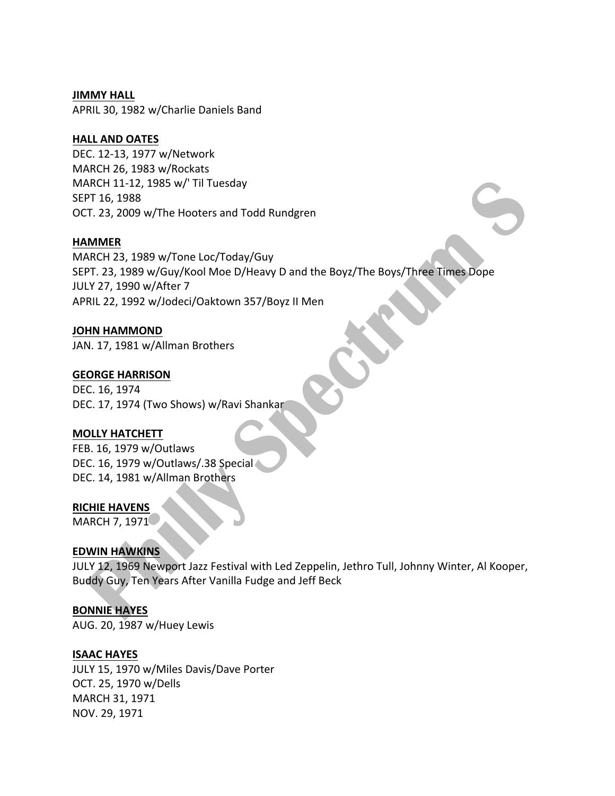## **JIMMY HALL**

APRIL 30, 1982 w/Charlie Daniels Band

# **HALL AND OATES**

DEC. 12-13, 1977 w/Network MARCH 26, 1983 w/Rockats MARCH 11-12, 1985 w/' Til Tuesday SEPT 16, 1988 OCT. 23, 2009 w/The Hooters and Todd Rundgren

## **HAMMER**

MARCH 23, 1989 w/Tone Loc/Today/Guy SEPT. 23, 1989 w/Guy/Kool Moe D/Heavy D and the Boyz/The Boys/Three Times Dope JULY 27, 1990 w/After 7 APRIL 22, 1992 w/Jodeci/Oaktown 357/Boyz II Men

# **JOHN HAMMOND**

JAN. 17, 1981 w/Allman Brothers

## **GEORGE HARRISON**

DEC. 16, 1974 DEC. 17, 1974 (Two Shows) w/Ravi Shankar

# **MOLLY HATCHETT**

FEB. 16, 1979 w/Outlaws DEC. 16, 1979 w/Outlaws/.38 Special DEC. 14, 1981 w/Allman Brothers

#### **RICHIE HAVENS**

MARCH 7, 1971

# **EDWIN HAWKINS**

JULY 12, 1969 Newport Jazz Festival with Led Zeppelin, Jethro Tull, Johnny Winter, Al Kooper, Buddy Guy, Ten Years After Vanilla Fudge and Jeff Beck

# **BONNIE HAYES**

AUG. 20, 1987 w/Huey Lewis

# **ISAAC HAYES**

JULY 15, 1970 w/Miles Davis/Dave Porter OCT. 25, 1970 w/Dells MARCH 31, 1971 NOV. 29, 1971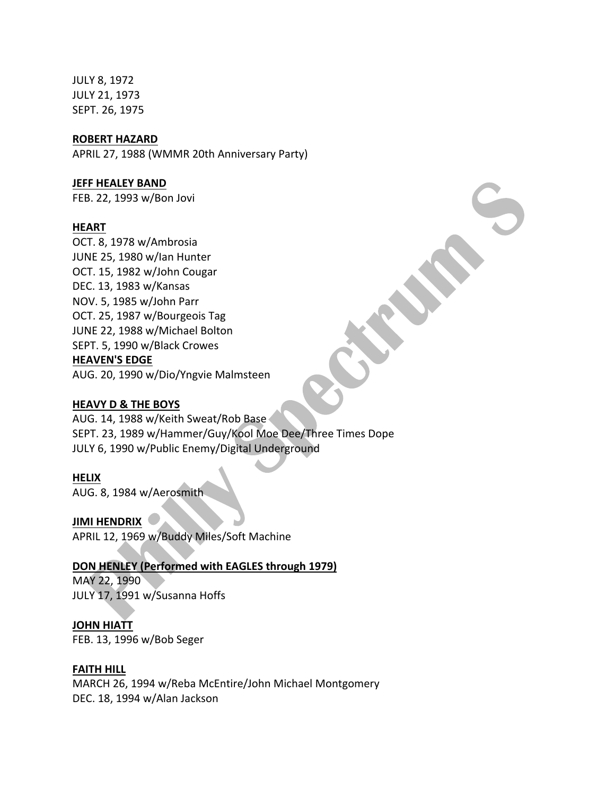JULY 8, 1972 JULY 21, 1973 SEPT. 26, 1975

#### **ROBERT HAZARD**

APRIL 27, 1988 (WMMR 20th Anniversary Party)

#### **JEFF HEALEY BAND**

FEB. 22, 1993 w/Bon Jovi

#### **HEART**

OCT. 8, 1978 w/Ambrosia JUNE 25, 1980 w/lan Hunter OCT. 15, 1982 w/John Cougar DEC. 13, 1983 w/Kansas NOV. 5, 1985 w/John Parr OCT. 25, 1987 w/Bourgeois Tag JUNE 22, 1988 w/Michael Bolton SEPT. 5, 1990 w/Black Crowes **HEAVEN'S EDGE** AUG. 20, 1990 w/Dio/Yngvie Malmsteen

#### **HEAVY D & THE BOYS**

AUG. 14, 1988 w/Keith Sweat/Rob Base SEPT. 23, 1989 w/Hammer/Guy/Kool Moe Dee/Three Times Dope JULY 6, 1990 w/Public Enemy/Digital Underground

#### **HELIX**

AUG. 8, 1984 w/Aerosmith

**JIMI HENDRIX** APRIL 12, 1969 w/Buddy Miles/Soft Machine

# **DON HENLEY (Performed with EAGLES through 1979)**

MAY 22, 1990 JULY 17, 1991 w/Susanna Hoffs

### **JOHN HIATT**

FEB. 13, 1996 w/Bob Seger

# **FAITH HILL**

MARCH 26, 1994 w/Reba McEntire/John Michael Montgomery DEC. 18, 1994 w/Alan Jackson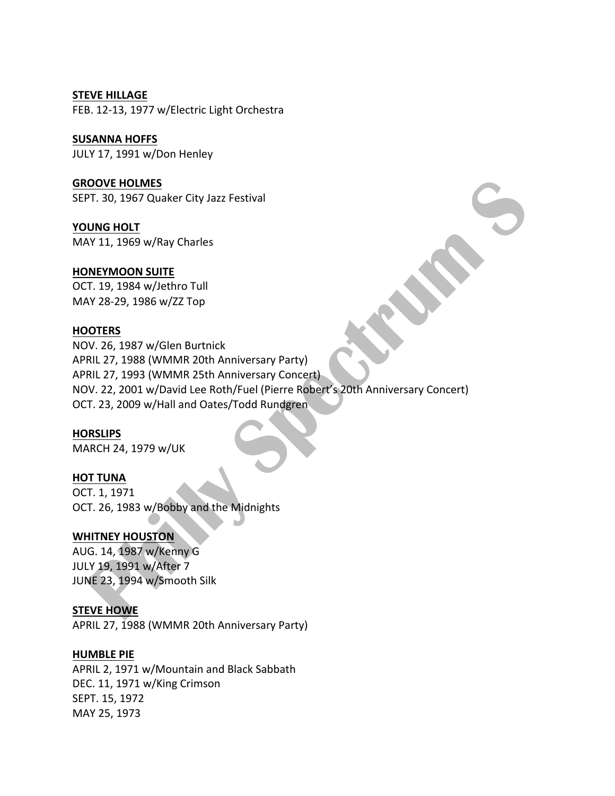#### **STEVE HILLAGE**

FEB. 12-13, 1977 w/Electric Light Orchestra

## **SUSANNA HOFFS** JULY 17, 1991 w/Don Henley

**GROOVE HOLMES** SEPT. 30, 1967 Quaker City Jazz Festival

YOUNG HOLT MAY 11, 1969 w/Ray Charles

# **HONEYMOON SUITE**

OCT. 19, 1984 w/Jethro Tull MAY 28-29, 1986 w/ZZ Top

# **HOOTERS**

NOV. 26, 1987 w/Glen Burtnick APRIL 27, 1988 (WMMR 20th Anniversary Party) APRIL 27, 1993 (WMMR 25th Anniversary Concert) NOV. 22, 2001 w/David Lee Roth/Fuel (Pierre Robert's 20th Anniversary Concert) OCT. 23, 2009 w/Hall and Oates/Todd Rundgren

# **HORSLIPS**

MARCH 24, 1979 w/UK

# **HOT TUNA**

OCT. 1, 1971 OCT. 26, 1983 w/Bobby and the Midnights

# **WHITNEY HOUSTON**

AUG. 14, 1987 w/Kenny G JULY 19, 1991 w/After 7 JUNE 23, 1994 w/Smooth Silk

# **STEVE HOWE**

APRIL 27, 1988 (WMMR 20th Anniversary Party)

# **HUMBLE PIE**

APRIL 2, 1971 w/Mountain and Black Sabbath DEC. 11, 1971 w/King Crimson SEPT. 15, 1972 MAY 25, 1973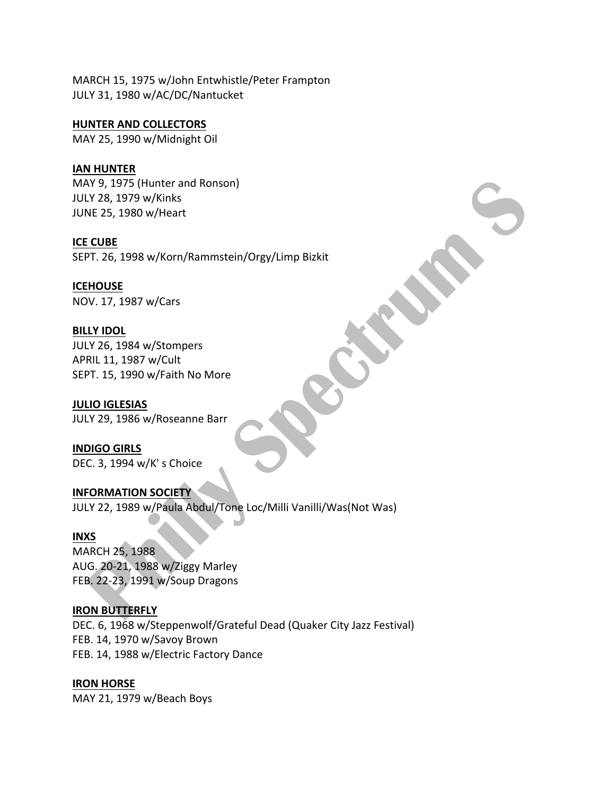MARCH 15, 1975 w/John Entwhistle/Peter Frampton JULY 31, 1980 w/AC/DC/Nantucket

**HUNTER AND COLLECTORS** MAY 25, 1990 w/Midnight Oil

**IAN HUNTER** MAY 9, 1975 (Hunter and Ronson) JULY 28, 1979 w/Kinks JUNE 25, 1980 w/Heart

**ICE CUBE** SEPT. 26, 1998 w/Korn/Rammstein/Orgy/Limp Bizkit

# **ICEHOUSE** NOV. 17, 1987 w/Cars

**BILLY IDOL** JULY 26, 1984 w/Stompers APRIL 11, 1987 w/Cult SEPT. 15, 1990 w/Faith No More

**JULIO IGLESIAS** JULY 29, 1986 w/Roseanne Barr

**INDIGO GIRLS** DEC. 3, 1994 w/K' s Choice

**INFORMATION SOCIETY** JULY 22, 1989 w/Paula Abdul/Tone Loc/Milli Vanilli/Was(Not Was)

# **INXS**

MARCH 25, 1988 AUG. 20-21, 1988 w/Ziggy Marley FEB. 22-23, 1991 w/Soup Dragons

# **IRON BUTTERFLY**

DEC. 6, 1968 w/Steppenwolf/Grateful Dead (Quaker City Jazz Festival) FEB. 14, 1970 w/Savoy Brown FEB. 14, 1988 w/Electric Factory Dance

**IRON HORSE** MAY 21, 1979 w/Beach Boys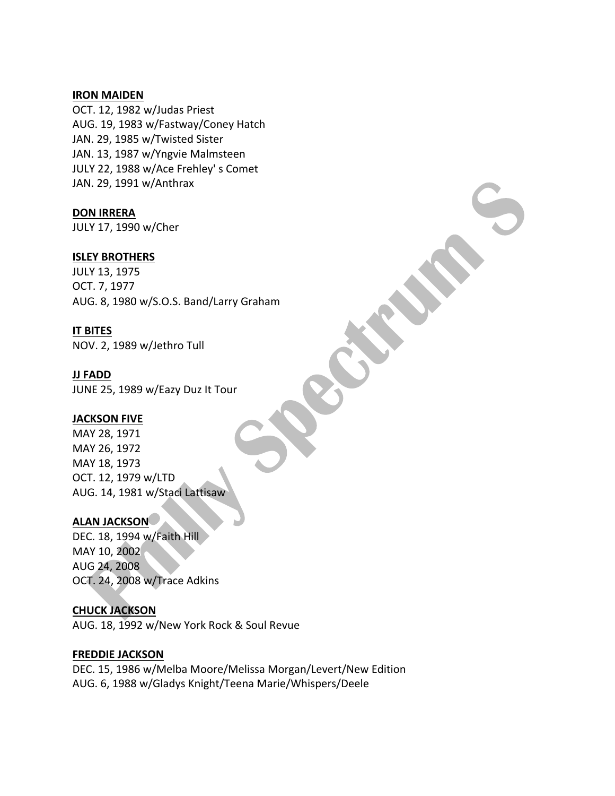#### **IRON MAIDEN**

OCT. 12, 1982 w/Judas Priest AUG. 19, 1983 w/Fastway/Coney Hatch JAN. 29, 1985 w/Twisted Sister JAN. 13, 1987 w/Yngvie Malmsteen JULY 22, 1988 w/Ace Frehley' s Comet JAN. 29, 1991 w/Anthrax

**DON IRRERA**

JULY 17, 1990 w/Cher

# **ISLEY BROTHERS**

JULY 13, 1975 OCT. 7, 1977 AUG. 8, 1980 w/S.O.S. Band/Larry Graham

# **IT BITES**

NOV. 2, 1989 w/Jethro Tull

# **JJ FADD**

JUNE 25, 1989 w/Eazy Duz It Tour

# **JACKSON FIVE**

MAY 28, 1971 MAY 26, 1972 MAY 18, 1973 OCT. 12, 1979 w/LTD AUG. 14, 1981 w/Staci Lattisaw

# **ALAN JACKSON**

DEC. 18, 1994 w/Faith Hill MAY 10, 2002 AUG 24, 2008 OCT. 24, 2008 w/Trace Adkins

# **CHUCK JACKSON**

AUG. 18, 1992 w/New York Rock & Soul Revue

# **FREDDIE JACKSON**

DEC. 15, 1986 w/Melba Moore/Melissa Morgan/Levert/New Edition AUG. 6, 1988 w/Gladys Knight/Teena Marie/Whispers/Deele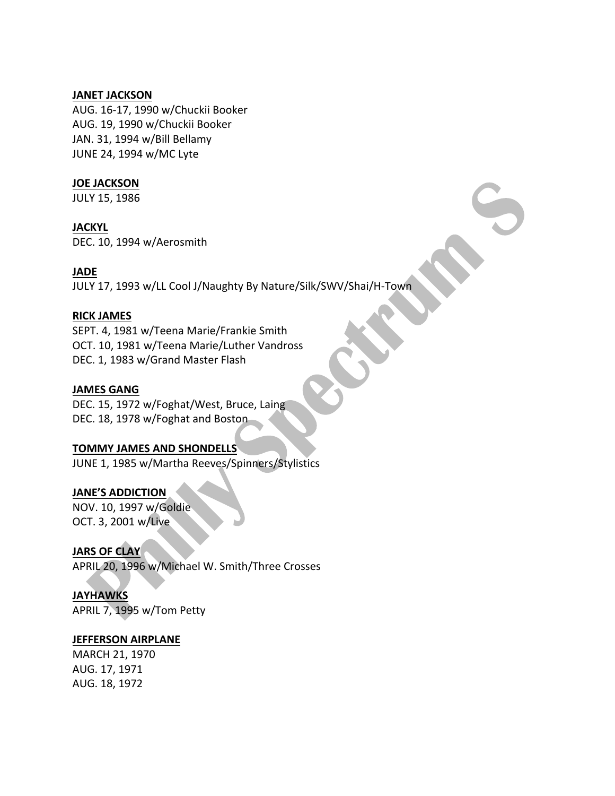## **JANET JACKSON**

AUG. 16-17, 1990 w/Chuckii Booker AUG. 19, 1990 w/Chuckii Booker JAN. 31, 1994 w/Bill Bellamy JUNE 24, 1994 w/MC Lyte

# **JOE JACKSON**

JULY 15, 1986

# **JACKYL**

DEC. 10, 1994 w/Aerosmith

# **JADE**

JULY 17, 1993 w/LL Cool J/Naughty By Nature/Silk/SWV/Shai/H-Town

## **RICK JAMES**

SEPT. 4, 1981 w/Teena Marie/Frankie Smith OCT. 10, 1981 w/Teena Marie/Luther Vandross DEC. 1, 1983 w/Grand Master Flash

## **JAMES GANG**

DEC. 15, 1972 w/Foghat/West, Bruce, Laing DEC. 18, 1978 w/Foghat and Boston

# **TOMMY JAMES AND SHONDELLS**

JUNE 1, 1985 w/Martha Reeves/Spinners/Stylistics

# JANE'S ADDICTION

NOV. 10, 1997 w/Goldie OCT. 3, 2001 w/Live

# **JARS OF CLAY**

APRIL 20, 1996 w/Michael W. Smith/Three Crosses

# **JAYHAWKS**

APRIL 7, 1995 w/Tom Petty

#### **JEFFERSON AIRPLANE**

MARCH 21, 1970 AUG. 17, 1971 AUG. 18, 1972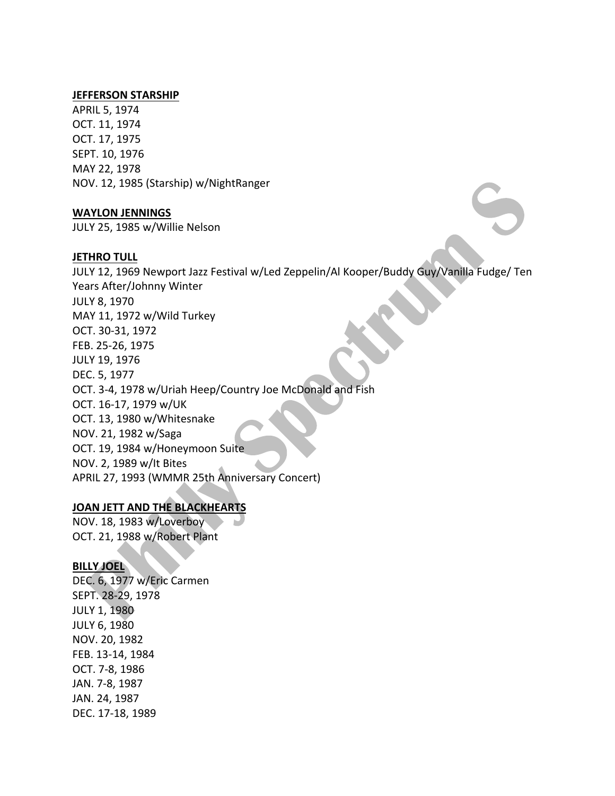#### **JEFFERSON STARSHIP**

APRIL 5, 1974 OCT. 11, 1974 OCT. 17, 1975 SEPT. 10, 1976 MAY 22, 1978 NOV. 12, 1985 (Starship) w/NightRanger

#### **WAYLON JENNINGS**

JULY 25, 1985 w/Willie Nelson

#### **JETHRO TULL**

JULY 12, 1969 Newport Jazz Festival w/Led Zeppelin/Al Kooper/Buddy Guy/Vanilla Fudge/ Ten Years After/Johnny Winter JULY 8, 1970 MAY 11, 1972 w/Wild Turkey OCT. 30-31, 1972 FEB. 25-26, 1975 JULY 19, 1976 DEC. 5, 1977 OCT. 3-4, 1978 w/Uriah Heep/Country Joe McDonald and Fish OCT. 16-17, 1979 w/UK OCT. 13, 1980 w/Whitesnake NOV. 21, 1982 w/Saga OCT. 19, 1984 w/Honeymoon Suite NOV. 2, 1989 w/lt Bites APRIL 27, 1993 (WMMR 25th Anniversary Concert)

# **JOAN JETT AND THE BLACKHEARTS**

NOV. 18, 1983 w/Loverboy OCT. 21, 1988 w/Robert Plant

# **BILLY JOEL**

DEC. 6, 1977 w/Eric Carmen SEPT. 28-29, 1978 **JULY 1, 1980** JULY 6, 1980 NOV. 20, 1982 FEB. 13-14, 1984 OCT. 7-8, 1986 JAN. 7-8, 1987 JAN. 24, 1987 DEC. 17-18, 1989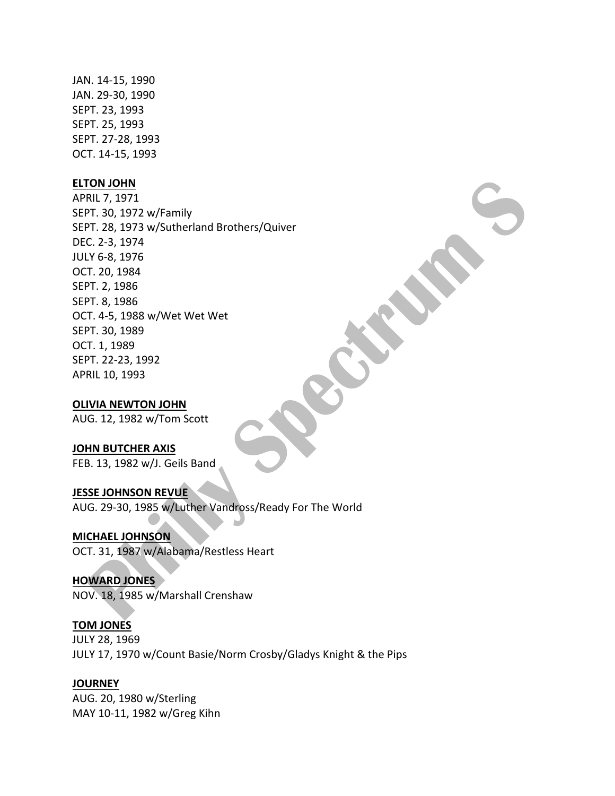JAN. 14-15, 1990 JAN. 29-30, 1990 SEPT. 23, 1993 SEPT. 25, 1993 SEPT. 27-28, 1993 OCT. 14-15, 1993

#### **ELTON JOHN**

APRIL 7, 1971 SEPT. 30, 1972 w/Family SEPT. 28, 1973 w/Sutherland Brothers/Quiver DEC. 2-3, 1974 JULY 6-8, 1976 OCT. 20, 1984 SEPT. 2, 1986 SEPT. 8, 1986 OCT. 4-5, 1988 w/Wet Wet Wet SEPT. 30, 1989 OCT. 1, 1989 SEPT. 22-23, 1992 APRIL 10, 1993

#### **OLIVIA NEWTON JOHN**

AUG. 12, 1982 w/Tom Scott

#### **JOHN BUTCHER AXIS**

FEB. 13, 1982 w/J. Geils Band

#### **JESSE JOHNSON REVUE**

AUG. 29-30, 1985 w/Luther Vandross/Ready For The World

## **MICHAEL JOHNSON**

OCT. 31, 1987 w/Alabama/Restless Heart

#### **HOWARD JONES**

NOV. 18, 1985 w/Marshall Crenshaw

#### **TOM JONES**

JULY 28, 1969 JULY 17, 1970 w/Count Basie/Norm Crosby/Gladys Knight & the Pips

#### **JOURNEY**

AUG. 20, 1980 w/Sterling MAY 10-11, 1982 w/Greg Kihn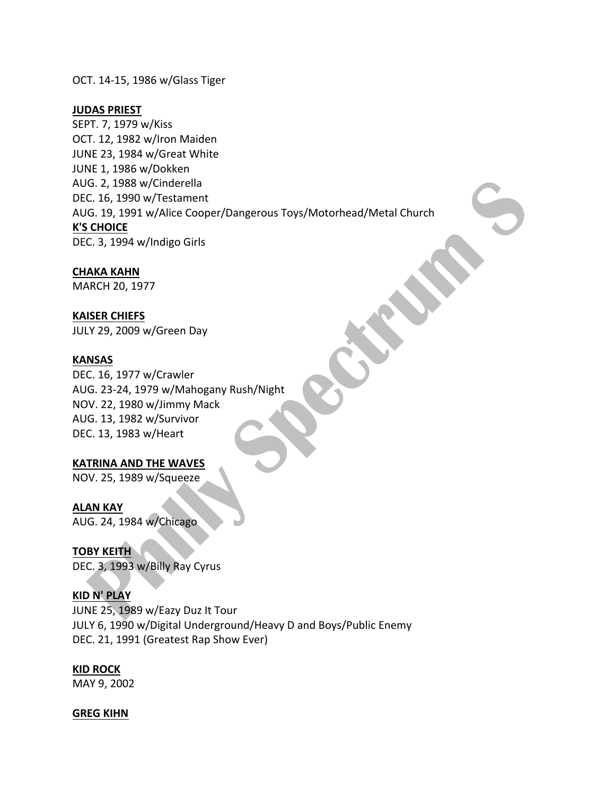OCT. 14-15, 1986 w/Glass Tiger

#### **JUDAS PRIEST**

SEPT. 7, 1979 w/Kiss OCT. 12, 1982 w/Iron Maiden JUNE 23, 1984 w/Great White JUNE 1, 1986 w/Dokken AUG. 2, 1988 w/Cinderella DEC. 16, 1990 w/Testament AUG. 19, 1991 w/Alice Cooper/Dangerous Toys/Motorhead/Metal Church **K'S CHOICE** DEC. 3, 1994 w/Indigo Girls

#### **CHAKA KAHN**

MARCH 20, 1977

#### **KAISER CHIEFS**

JULY 29, 2009 w/Green Day

#### **KANSAS**

DEC. 16, 1977 w/Crawler AUG. 23-24, 1979 w/Mahogany Rush/Night NOV. 22, 1980 w/Jimmy Mack AUG. 13, 1982 w/Survivor DEC. 13, 1983 w/Heart

#### **KATRINA AND THE WAVES**

NOV. 25, 1989 w/Squeeze

#### **ALAN KAY**

AUG. 24, 1984 w/Chicago

**TOBY KEITH** DEC. 3, 1993 w/Billy Ray Cyrus

#### **KID N' PLAY**

JUNE 25, 1989 w/Eazy Duz It Tour JULY 6, 1990 w/Digital Underground/Heavy D and Boys/Public Enemy DEC. 21, 1991 (Greatest Rap Show Ever)

### **KID ROCK**

MAY 9, 2002

#### **GREG KIHN**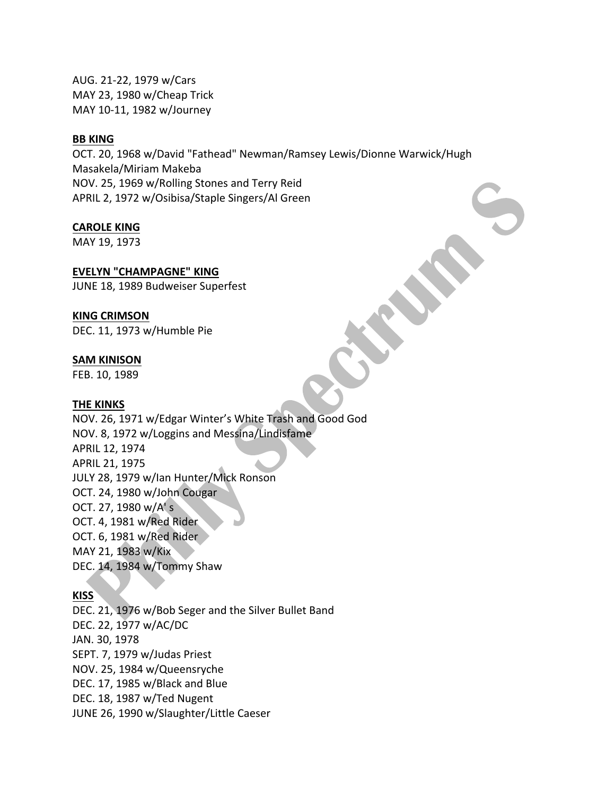AUG. 21-22, 1979 w/Cars MAY 23, 1980 w/Cheap Trick MAY 10-11, 1982 w/Journey

#### **BB** KING

OCT. 20, 1968 w/David "Fathead" Newman/Ramsey Lewis/Dionne Warwick/Hugh Masakela/Miriam Makeba NOV. 25, 1969 w/Rolling Stones and Terry Reid APRIL 2, 1972 w/Osibisa/Staple Singers/Al Green

#### **CAROLE KING**

MAY 19, 1973

#### **EVELYN "CHAMPAGNE" KING**

JUNE 18, 1989 Budweiser Superfest

#### **KING CRIMSON**

DEC. 11, 1973 w/Humble Pie

#### **SAM KINISON**

FEB. 10, 1989

#### **THE KINKS**

NOV. 26, 1971 w/Edgar Winter's White Trash and Good God NOV. 8, 1972 w/Loggins and Messina/Lindisfame APRIL 12, 1974 APRIL 21, 1975 JULY 28, 1979 w/Ian Hunter/Mick Ronson OCT. 24, 1980 w/John Cougar OCT. 27, 1980 w/A's OCT. 4, 1981 w/Red Rider OCT. 6, 1981 w/Red Rider MAY 21, 1983 w/Kix DEC. 14, 1984 w/Tommy Shaw

### **KISS**

DEC. 21, 1976 w/Bob Seger and the Silver Bullet Band DEC. 22, 1977 w/AC/DC JAN. 30, 1978 SEPT. 7, 1979 w/Judas Priest NOV. 25, 1984 w/Queensryche DEC. 17, 1985 w/Black and Blue DEC. 18, 1987 w/Ted Nugent JUNE 26, 1990 w/Slaughter/Little Caeser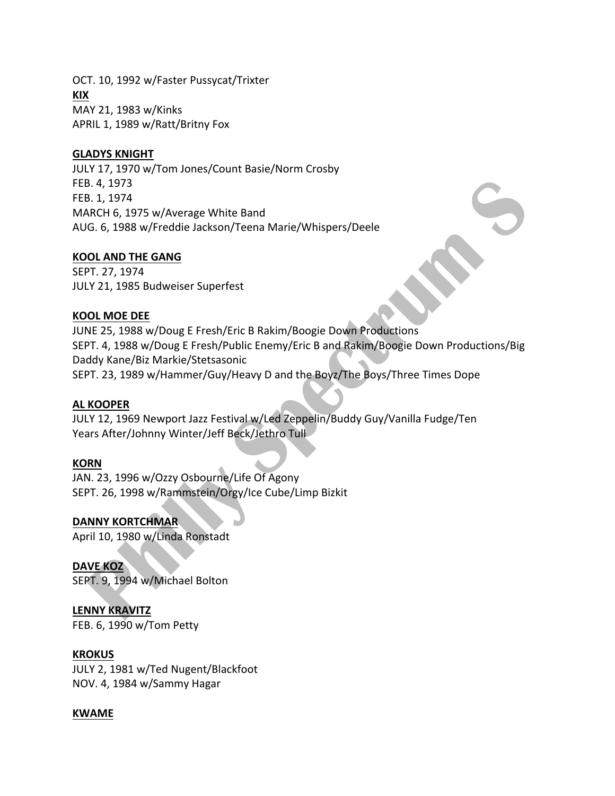OCT. 10, 1992 w/Faster Pussycat/Trixter **KIX** MAY 21, 1983 w/Kinks APRIL 1, 1989 w/Ratt/Britny Fox

#### **GLADYS KNIGHT**

JULY 17, 1970 w/Tom Jones/Count Basie/Norm Crosby FEB. 4, 1973 FEB. 1, 1974 MARCH 6, 1975 w/Average White Band AUG. 6, 1988 w/Freddie Jackson/Teena Marie/Whispers/Deele

#### **KOOL AND THE GANG**

SEPT. 27, 1974 JULY 21, 1985 Budweiser Superfest

#### **KOOL MOE DEE**

JUNE 25, 1988 w/Doug E Fresh/Eric B Rakim/Boogie Down Productions SEPT. 4, 1988 w/Doug E Fresh/Public Enemy/Eric B and Rakim/Boogie Down Productions/Big Daddy Kane/Biz Markie/Stetsasonic SEPT. 23, 1989 w/Hammer/Guy/Heavy D and the Boyz/The Boys/Three Times Dope

#### **AL KOOPER**

JULY 12, 1969 Newport Jazz Festival w/Led Zeppelin/Buddy Guy/Vanilla Fudge/Ten Years After/Johnny Winter/Jeff Beck/Jethro Tull

#### **KORN**

JAN. 23, 1996 w/Ozzy Osbourne/Life Of Agony SEPT. 26, 1998 w/Rammstein/Orgy/Ice Cube/Limp Bizkit

**DANNY KORTCHMAR**

April 10, 1980 w/Linda Ronstadt

**DAVE KOZ** SEPT. 9, 1994 w/Michael Bolton

# **LENNY KRAVITZ**

FEB. 6, 1990 w/Tom Petty

#### **KROKUS**

JULY 2, 1981 w/Ted Nugent/Blackfoot NOV. 4, 1984 w/Sammy Hagar

#### **KWAME**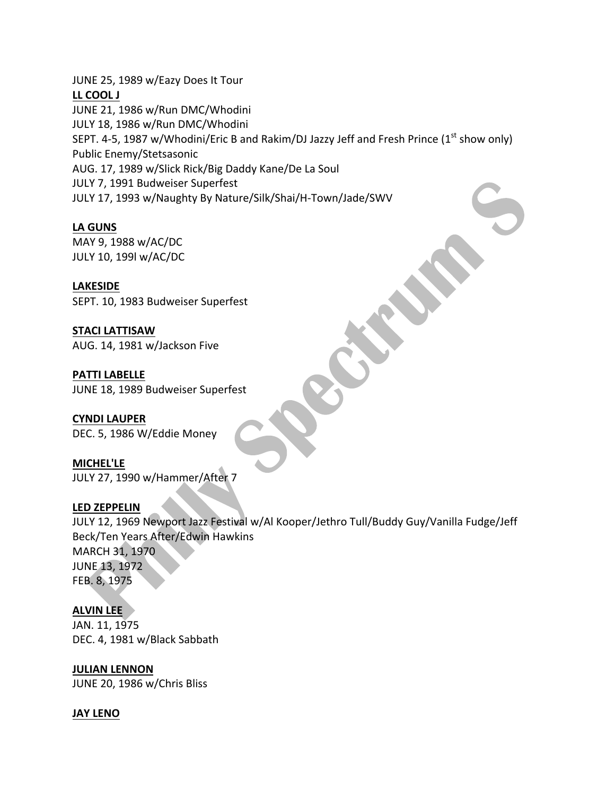JUNE 25, 1989 w/Eazy Does It Tour **LL COOL J** JUNE 21, 1986 w/Run DMC/Whodini JULY 18, 1986 w/Run DMC/Whodini SEPT. 4-5, 1987 w/Whodini/Eric B and Rakim/DJ Jazzy Jeff and Fresh Prince  $(1^{st}$  show only) Public Enemy/Stetsasonic AUG. 17, 1989 w/Slick Rick/Big Daddy Kane/De La Soul JULY 7, 1991 Budweiser Superfest JULY 17, 1993 w/Naughty By Nature/Silk/Shai/H-Town/Jade/SWV

# **LA GUNS**

MAY 9, 1988 w/AC/DC JULY 10, 199l w/AC/DC

**LAKESIDE**

SEPT. 10, 1983 Budweiser Superfest

**STACI LATTISAW** AUG. 14, 1981 w/Jackson Five

**PATTI LABELLE** JUNE 18, 1989 Budweiser Superfest

**CYNDI LAUPER** DEC. 5, 1986 W/Eddie Money

**MICHEL'LE** JULY 27, 1990 w/Hammer/After 7

# **LED ZEPPELIN**

JULY 12, 1969 Newport Jazz Festival w/Al Kooper/Jethro Tull/Buddy Guy/Vanilla Fudge/Jeff Beck/Ten Years After/Edwin Hawkins MARCH 31, 1970 JUNE 13, 1972 FEB. 8, 1975

# **ALVIN LEE**

JAN. 11, 1975 DEC. 4, 1981 w/Black Sabbath

**JULIAN LENNON** 

JUNE 20, 1986 w/Chris Bliss

#### **JAY LENO**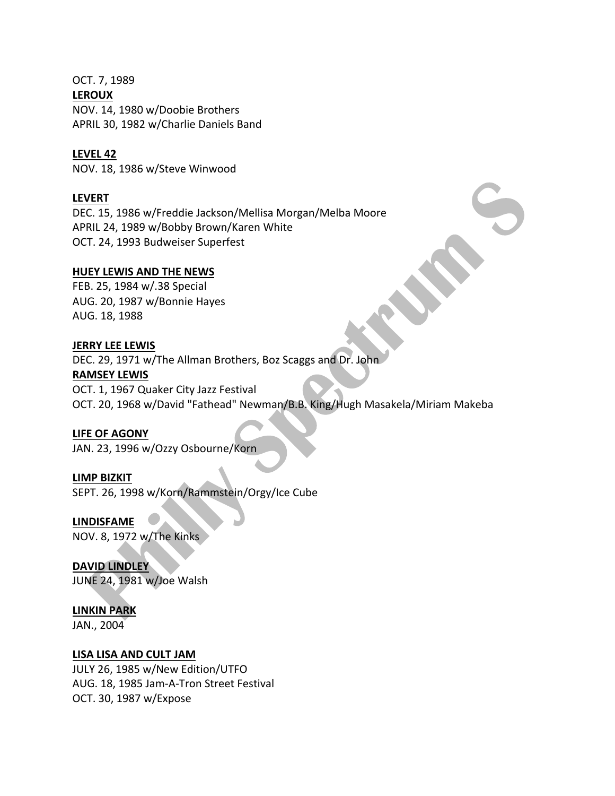OCT. 7, 1989 **LEROUX** NOV. 14, 1980 w/Doobie Brothers APRIL 30, 1982 w/Charlie Daniels Band

#### **LEVEL 42**

NOV. 18, 1986 w/Steve Winwood

#### **LEVERT**

DEC. 15, 1986 w/Freddie Jackson/Mellisa Morgan/Melba Moore APRIL 24, 1989 w/Bobby Brown/Karen White OCT. 24, 1993 Budweiser Superfest

#### **HUEY LEWIS AND THE NEWS**

FEB. 25, 1984 w/.38 Special AUG. 20, 1987 w/Bonnie Hayes AUG. 18, 1988

#### **JERRY LEE LEWIS**

DEC. 29, 1971 w/The Allman Brothers, Boz Scaggs and Dr. John **RAMSEY LEWIS** OCT. 1, 1967 Quaker City Jazz Festival

OCT. 20, 1968 w/David "Fathead" Newman/B.B. King/Hugh Masakela/Miriam Makeba

### **LIFE OF AGONY**

JAN. 23, 1996 w/Ozzy Osbourne/Korn

#### **LIMP BIZKIT**

SEPT. 26, 1998 w/Korn/Rammstein/Orgy/Ice Cube

**LINDISFAME** NOV. 8, 1972 w/The Kinks

**DAVID LINDLEY** JUNE 24, 1981 w/Joe Walsh

#### **LINKIN PARK**

JAN., 2004

#### **LISA LISA AND CULT JAM**

JULY 26, 1985 w/New Edition/UTFO AUG. 18, 1985 Jam-A-Tron Street Festival OCT. 30, 1987 w/Expose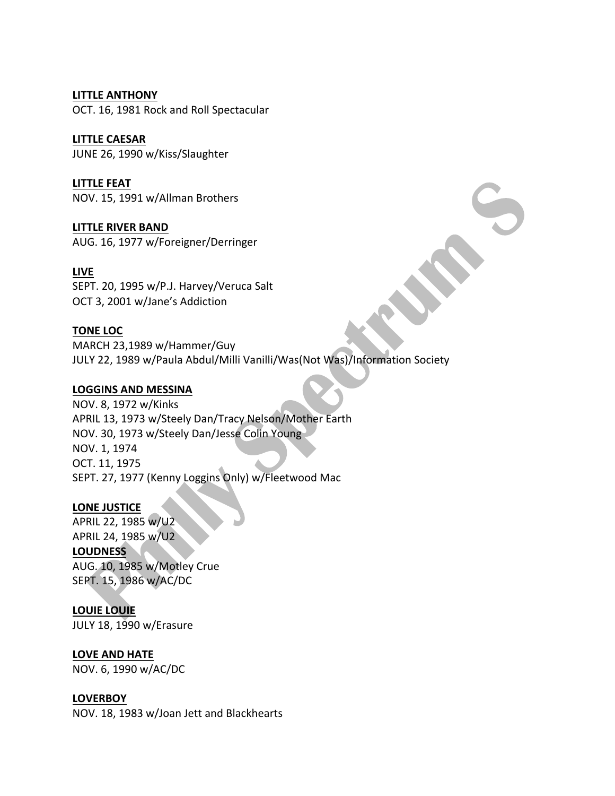# **LITTLE ANTHONY**

OCT. 16, 1981 Rock and Roll Spectacular

# **LITTLE CAESAR**

JUNE 26, 1990 w/Kiss/Slaughter

# **LITTLE FEAT**

NOV. 15, 1991 w/Allman Brothers

# **LITTLE RIVER BAND**

AUG. 16, 1977 w/Foreigner/Derringer

# **LIVE**

SEPT. 20, 1995 w/P.J. Harvey/Veruca Salt OCT 3, 2001 w/Jane's Addiction

# **TONE LOC**

MARCH 23,1989 w/Hammer/Guy JULY 22, 1989 w/Paula Abdul/Milli Vanilli/Was(Not Was)/Information Society

# LOGGINS AND MESSINA

NOV. 8, 1972 w/Kinks APRIL 13, 1973 w/Steely Dan/Tracy Nelson/Mother Earth NOV. 30, 1973 w/Steely Dan/Jesse Colin Young NOV. 1, 1974 OCT. 11, 1975 SEPT. 27, 1977 (Kenny Loggins Only) w/Fleetwood Mac

# LONE JUSTICE

APRIL 22, 1985 w/U2 APRIL 24, 1985 w/U2 **LOUDNESS** AUG. 10, 1985 w/Motley Crue SEPT. 15, 1986 w/AC/DC

# **LOUIE LOUIE**

JULY 18, 1990 w/Erasure

# LOVE AND HATE

NOV. 6, 1990 w/AC/DC

# **LOVERBOY**

NOV. 18, 1983 w/Joan Jett and Blackhearts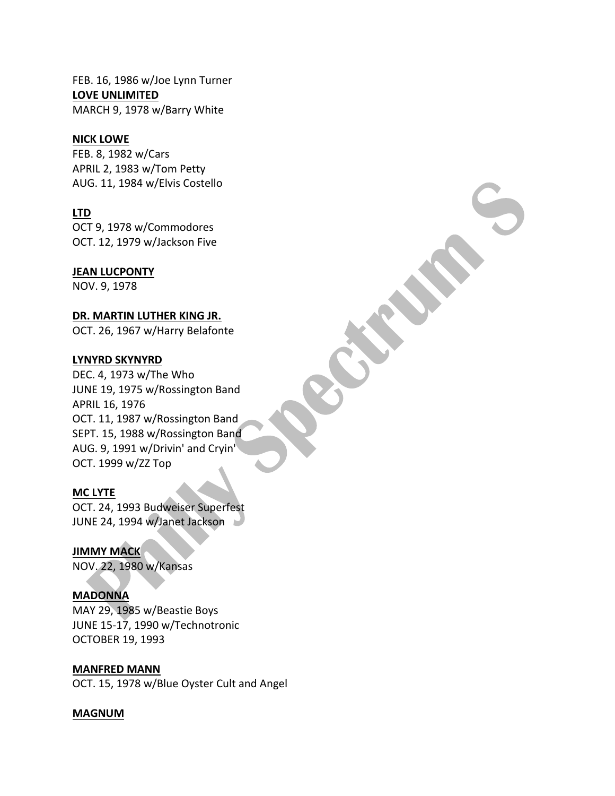FEB. 16, 1986 w/Joe Lynn Turner LOVE UNLIMITED MARCH 9, 1978 w/Barry White

#### **NICK LOWE**

FEB. 8, 1982 w/Cars APRIL 2, 1983 w/Tom Petty AUG. 11, 1984 w/Elvis Costello

## **LTD**

OCT 9, 1978 w/Commodores OCT. 12, 1979 w/Jackson Five

## **JEAN LUCPONTY**

NOV. 9, 1978

## DR. MARTIN LUTHER KING JR.

OCT. 26, 1967 w/Harry Belafonte

#### **LYNYRD SKYNYRD**

DEC. 4, 1973 w/The Who JUNE 19, 1975 w/Rossington Band APRIL 16, 1976 OCT. 11, 1987 w/Rossington Band SEPT. 15, 1988 w/Rossington Band AUG. 9, 1991 w/Drivin' and Cryin' OCT. 1999 w/ZZ Top

#### **MC LYTE**

OCT. 24, 1993 Budweiser Superfest JUNE 24, 1994 w/Janet Jackson

**JIMMY MACK** NOV. 22, 1980 w/Kansas

#### **MADONNA**

MAY 29, 1985 w/Beastie Boys JUNE 15-17, 1990 w/Technotronic OCTOBER 19, 1993

**MANFRED MANN** OCT. 15, 1978 w/Blue Oyster Cult and Angel

#### **MAGNUM**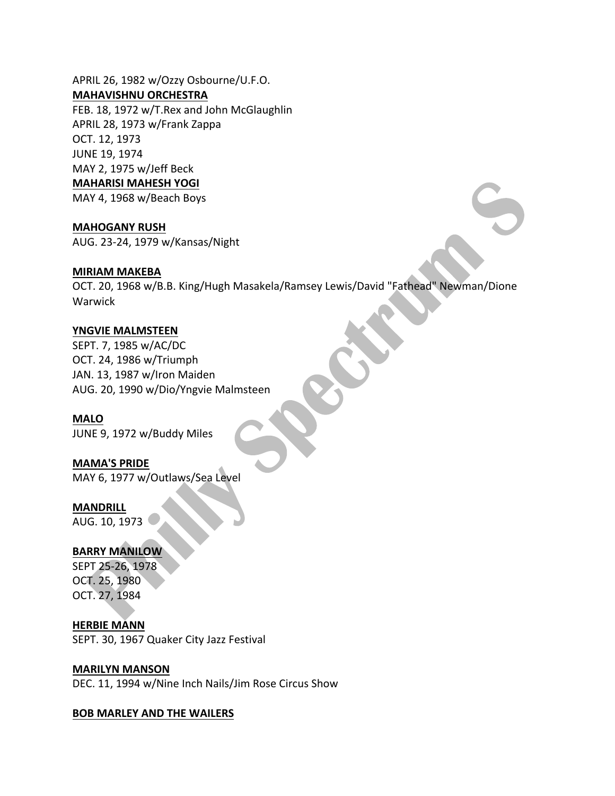APRIL 26, 1982 w/Ozzy Osbourne/U.F.O. **MAHAVISHNU ORCHESTRA**

FEB. 18, 1972 w/T.Rex and John McGlaughlin APRIL 28, 1973 w/Frank Zappa OCT. 12, 1973 JUNE 19, 1974 MAY 2, 1975 w/Jeff Beck **MAHARISI MAHESH YOGI** 

MAY 4, 1968 w/Beach Boys

**MAHOGANY RUSH**

AUG. 23-24, 1979 w/Kansas/Night

#### **MIRIAM MAKEBA**

OCT. 20, 1968 w/B.B. King/Hugh Masakela/Ramsey Lewis/David "Fathead" Newman/Dione Warwick

# YNGVIE MALMSTEEN

SEPT. 7, 1985 w/AC/DC OCT. 24, 1986 w/Triumph JAN. 13, 1987 w/Iron Maiden AUG. 20, 1990 w/Dio/Yngvie Malmsteen

**MALO** JUNE 9, 1972 w/Buddy Miles

**MAMA'S PRIDE** MAY 6, 1977 w/Outlaws/Sea Level

**MANDRILL** AUG. 10, 1973

# **BARRY MANILOW**

SEPT 25-26, 1978 OCT. 25, 1980 OCT. 27, 1984

**HERBIE MANN** SEPT. 30, 1967 Quaker City Jazz Festival

**MARILYN MANSON**

DEC. 11, 1994 w/Nine Inch Nails/Jim Rose Circus Show

#### **BOB MARLEY AND THE WAILERS**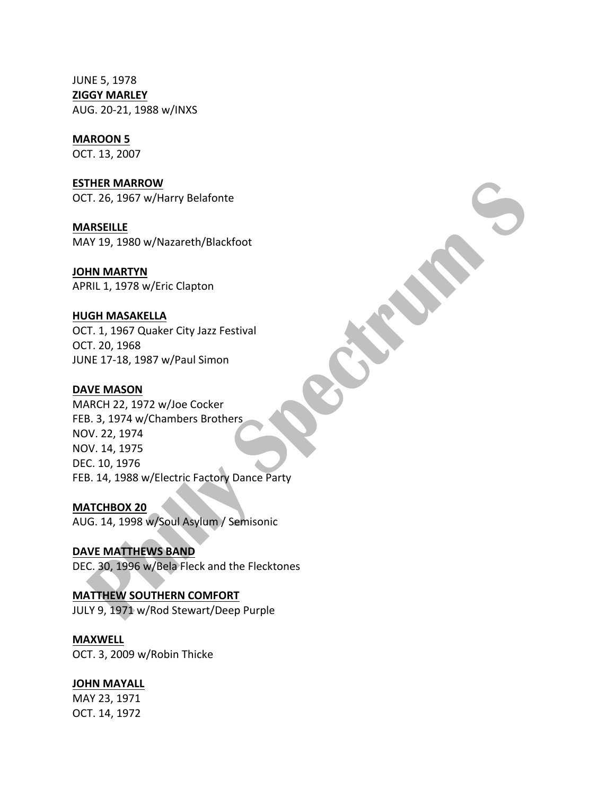JUNE 5, 1978 **ZIGGY MARLEY** AUG. 20-21, 1988 w/INXS

# **MAROON 5**

OCT. 13, 2007

**ESTHER MARROW** OCT. 26, 1967 w/Harry Belafonte

**MARSEILLE** MAY 19, 1980 w/Nazareth/Blackfoot

**JOHN MARTYN** APRIL 1, 1978 w/Eric Clapton

#### **HUGH MASAKELLA**

OCT. 1, 1967 Quaker City Jazz Festival OCT. 20, 1968 JUNE 17-18, 1987 w/Paul Simon

#### **DAVE MASON**

MARCH 22, 1972 w/Joe Cocker FEB. 3, 1974 w/Chambers Brothers NOV. 22, 1974 NOV. 14, 1975 DEC. 10, 1976 FEB. 14, 1988 w/Electric Factory Dance Party

#### **MATCHBOX 20**

AUG. 14, 1998 w/Soul Asylum / Semisonic

**DAVE MATTHEWS BAND** DEC. 30, 1996 w/Bela Fleck and the Flecktones

# **MATTHEW SOUTHERN COMFORT**

JULY 9, 1971 w/Rod Stewart/Deep Purple

#### **MAXWELL**

OCT. 3, 2009 w/Robin Thicke

#### **JOHN MAYALL**

MAY 23, 1971 OCT. 14, 1972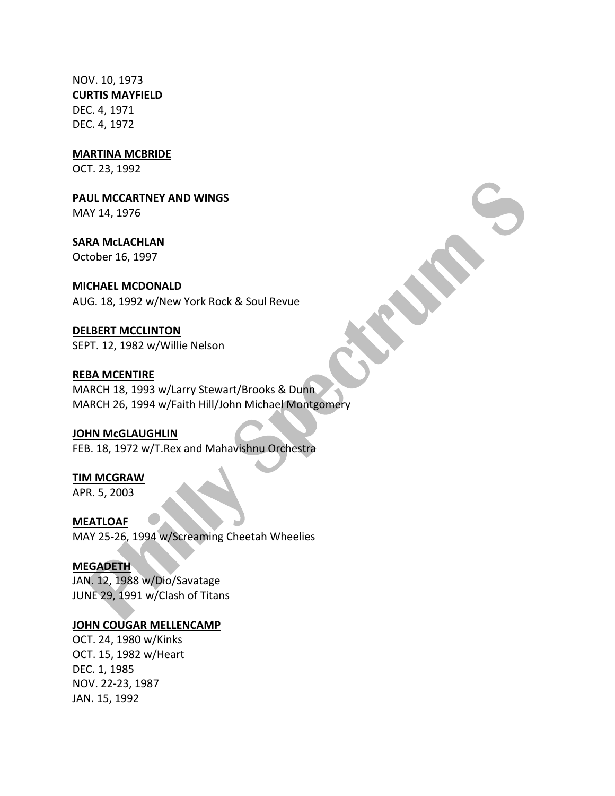NOV. 10, 1973 **CURTIS MAYFIELD** DEC. 4, 1971 DEC. 4, 1972

**MARTINA MCBRIDE** 

OCT. 23, 1992

**PAUL MCCARTNEY AND WINGS** 

MAY 14, 1976

**SARA McLACHLAN** October 16, 1997

## **MICHAEL MCDONALD**

AUG. 18, 1992 w/New York Rock & Soul Revue

# **DELBERT MCCLINTON**

SEPT. 12, 1982 w/Willie Nelson

## **REBA MCENTIRE**

MARCH 18, 1993 w/Larry Stewart/Brooks & Dunn MARCH 26, 1994 w/Faith Hill/John Michael Montgomery

# **JOHN McGLAUGHLIN**

FEB. 18, 1972 w/T.Rex and Mahavishnu Orchestra

# **TIM MCGRAW**

APR. 5, 2003

# **MEATLOAF**

MAY 25-26, 1994 w/Screaming Cheetah Wheelies

# **MEGADETH**

JAN. 12, 1988 w/Dio/Savatage JUNE 29, 1991 w/Clash of Titans

# **JOHN COUGAR MELLENCAMP**

OCT. 24, 1980 w/Kinks OCT. 15, 1982 w/Heart DEC. 1, 1985 NOV. 22-23, 1987 JAN. 15, 1992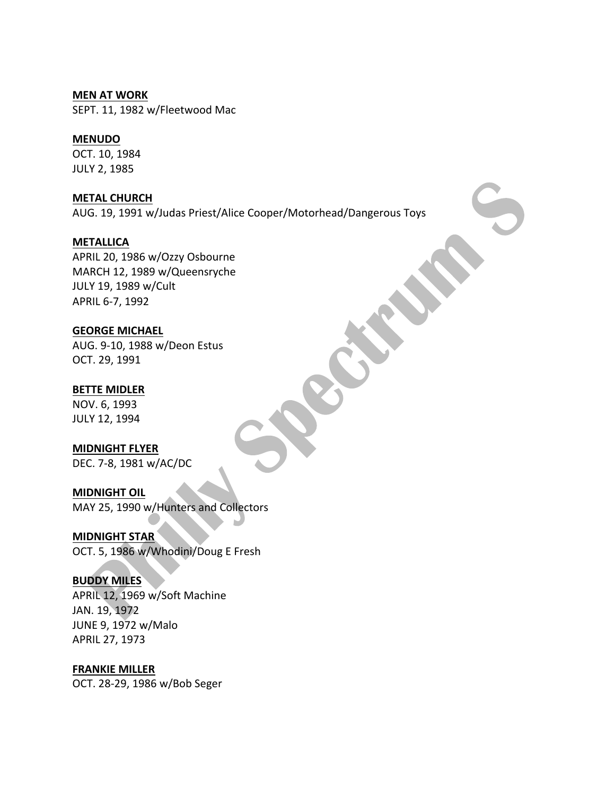#### **MEN AT WORK**

SEPT. 11, 1982 w/Fleetwood Mac

## **MENUDO**

OCT. 10, 1984 JULY 2, 1985

**METAL CHURCH** AUG. 19, 1991 w/Judas Priest/Alice Cooper/Motorhead/Dangerous Toys

#### **METALLICA**

APRIL 20, 1986 w/Ozzy Osbourne MARCH 12, 1989 w/Queensryche JULY 19, 1989 w/Cult APRIL 6-7, 1992

## **GEORGE MICHAEL**

AUG. 9-10, 1988 w/Deon Estus OCT. 29, 1991

## **BETTE MIDLER**

NOV. 6, 1993 JULY 12, 1994

#### **MIDNIGHT FLYER**

DEC. 7-8, 1981 w/AC/DC

# **MIDNIGHT OIL**

MAY 25, 1990 w/Hunters and Collectors

# **MIDNIGHT STAR**

OCT. 5, 1986 w/Whodini/Doug E Fresh

#### **BUDDY MILES**

APRIL 12, 1969 w/Soft Machine JAN. 19, 1972 JUNE 9, 1972 w/Malo APRIL 27, 1973

### **FRANKIE MILLER**

OCT. 28-29, 1986 w/Bob Seger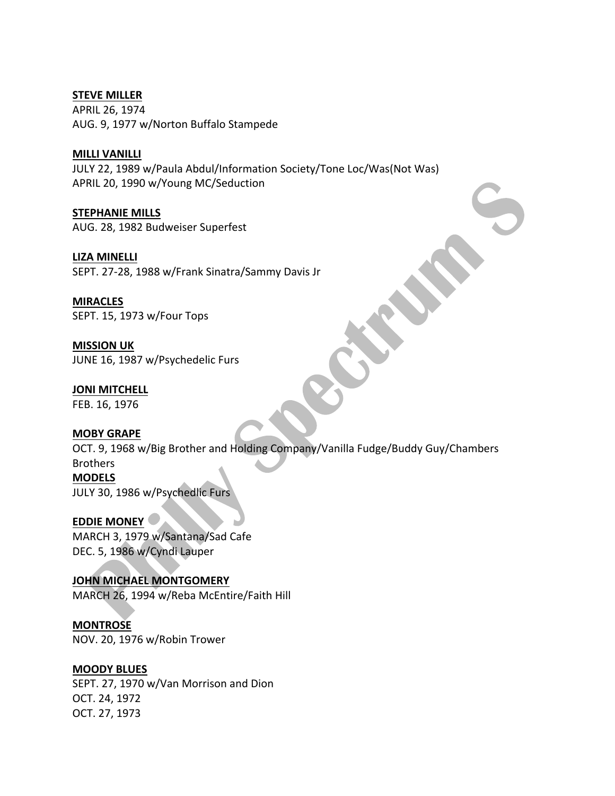**STEVE MILLER** APRIL 26, 1974 AUG. 9, 1977 w/Norton Buffalo Stampede

## **MILLI VANILLI**

JULY 22, 1989 w/Paula Abdul/Information Society/Tone Loc/Was(Not Was) APRIL 20, 1990 w/Young MC/Seduction

**STEPHANIE MILLS** AUG. 28, 1982 Budweiser Superfest

**LIZA MINELLI** SEPT. 27-28, 1988 w/Frank Sinatra/Sammy Davis Jr

**MIRACLES** SEPT. 15, 1973 w/Four Tops

**MISSION UK** JUNE 16, 1987 w/Psychedelic Furs

**JONI MITCHELL** FEB. 16, 1976

# **MOBY GRAPE**

OCT. 9, 1968 w/Big Brother and Holding Company/Vanilla Fudge/Buddy Guy/Chambers Brothers **MODELS**

JULY 30, 1986 w/Psychedlic Furs

**EDDIE MONEY** MARCH 3, 1979 w/Santana/Sad Cafe DEC. 5, 1986 w/Cyndi Lauper

**JOHN MICHAEL MONTGOMERY** MARCH 26, 1994 w/Reba McEntire/Faith Hill

**MONTROSE** NOV. 20, 1976 w/Robin Trower

# **MOODY BLUES**

SEPT. 27, 1970 w/Van Morrison and Dion OCT. 24, 1972 OCT. 27, 1973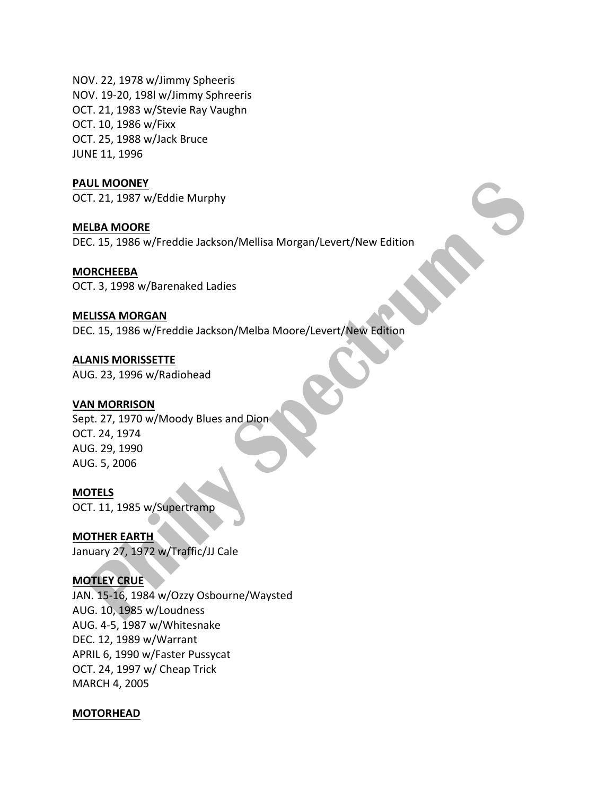NOV. 22, 1978 w/Jimmy Spheeris NOV. 19-20, 198l w/Jimmy Sphreeris OCT. 21, 1983 w/Stevie Ray Vaughn OCT. 10, 1986 w/Fixx OCT. 25, 1988 w/Jack Bruce JUNE 11, 1996

#### **PAUL MOONEY**

OCT. 21, 1987 w/Eddie Murphy

**MELBA MOORE** DEC. 15, 1986 w/Freddie Jackson/Mellisa Morgan/Levert/New Edition

#### **MORCHEEBA**

OCT. 3, 1998 w/Barenaked Ladies

#### **MELISSA MORGAN**

DEC. 15, 1986 w/Freddie Jackson/Melba Moore/Levert/New Edition

**ALANIS MORISSETTE** AUG. 23, 1996 w/Radiohead

#### **VAN MORRISON**

Sept. 27, 1970 w/Moody Blues and Dion OCT. 24, 1974 AUG. 29, 1990 AUG. 5, 2006

#### **MOTELS**

OCT. 11, 1985 w/Supertramp

**MOTHER EARTH** January 27, 1972 w/Traffic/JJ Cale

# **MOTLEY CRUE**

JAN. 15-16, 1984 w/Ozzy Osbourne/Waysted AUG. 10, 1985 w/Loudness AUG. 4-5, 1987 w/Whitesnake DEC. 12, 1989 w/Warrant APRIL 6, 1990 w/Faster Pussycat OCT. 24, 1997 w/ Cheap Trick MARCH 4, 2005

#### **MOTORHEAD**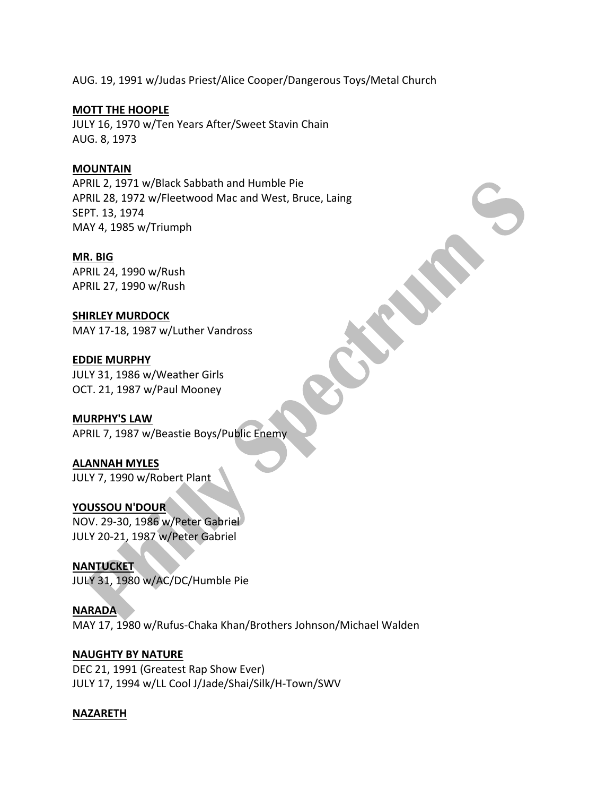AUG. 19, 1991 w/Judas Priest/Alice Cooper/Dangerous Toys/Metal Church

# **MOTT THE HOOPLE**

JULY 16, 1970 w/Ten Years After/Sweet Stavin Chain AUG. 8, 1973

# **MOUNTAIN**

APRIL 2, 1971 w/Black Sabbath and Humble Pie APRIL 28, 1972 w/Fleetwood Mac and West, Bruce, Laing SEPT. 13, 1974 MAY 4, 1985 w/Triumph

## **MR. BIG**

APRIL 24, 1990 w/Rush APRIL 27, 1990 w/Rush

# **SHIRLEY MURDOCK**

MAY 17-18, 1987 w/Luther Vandross

# **EDDIE MURPHY**

JULY 31, 1986 w/Weather Girls OCT. 21, 1987 w/Paul Mooney

# **MURPHY'S LAW**

APRIL 7, 1987 w/Beastie Boys/Public Enemy

# **ALANNAH MYLES**

JULY 7, 1990 w/Robert Plant

# **YOUSSOU N'DOUR**

NOV. 29-30, 1986 w/Peter Gabriel JULY 20-21, 1987 w/Peter Gabriel

# **NANTUCKET**

JULY 31, 1980 w/AC/DC/Humble Pie

# **NARADA** MAY 17, 1980 w/Rufus-Chaka Khan/Brothers Johnson/Michael Walden

# **NAUGHTY BY NATURE**

DEC 21, 1991 (Greatest Rap Show Ever) JULY 17, 1994 w/LL Cool J/Jade/Shai/Silk/H-Town/SWV

# **NAZARETH**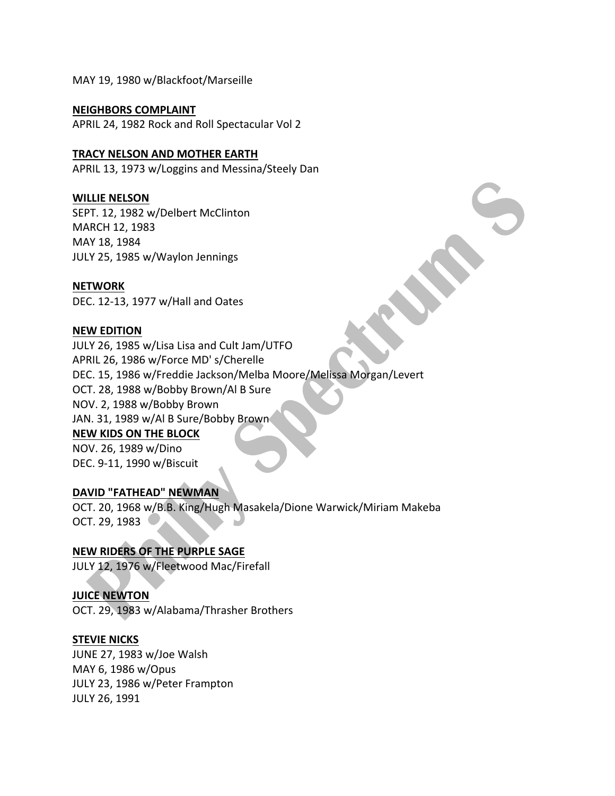MAY 19, 1980 w/Blackfoot/Marseille

#### **NEIGHBORS COMPLAINT**

APRIL 24, 1982 Rock and Roll Spectacular Vol 2

## **TRACY NELSON AND MOTHER EARTH**

APRIL 13, 1973 w/Loggins and Messina/Steely Dan

# **WILLIE NELSON**

SEPT. 12, 1982 w/Delbert McClinton MARCH 12, 1983 MAY 18, 1984 JULY 25, 1985 w/Waylon Jennings

#### **NETWORK**

DEC. 12-13, 1977 w/Hall and Oates

## **NEW EDITION**

JULY 26, 1985 w/Lisa Lisa and Cult Jam/UTFO APRIL 26, 1986 w/Force MD' s/Cherelle DEC. 15, 1986 w/Freddie Jackson/Melba Moore/Melissa Morgan/Levert OCT. 28, 1988 w/Bobby Brown/Al B Sure NOV. 2, 1988 w/Bobby Brown JAN. 31, 1989 w/Al B Sure/Bobby Brown **NEW KIDS ON THE BLOCK** NOV. 26, 1989 w/Dino DEC. 9-11, 1990 w/Biscuit

#### **DAVID "FATHEAD" NEWMAN**

OCT. 20, 1968 w/B.B. King/Hugh Masakela/Dione Warwick/Miriam Makeba OCT. 29, 1983

# **NEW RIDERS OF THE PURPLE SAGE**

JULY 12, 1976 w/Fleetwood Mac/Firefall

# **JUICE NEWTON**

OCT. 29, 1983 w/Alabama/Thrasher Brothers

#### **STEVIE NICKS**

JUNE 27, 1983 w/Joe Walsh MAY 6, 1986 w/Opus JULY 23, 1986 w/Peter Frampton JULY 26, 1991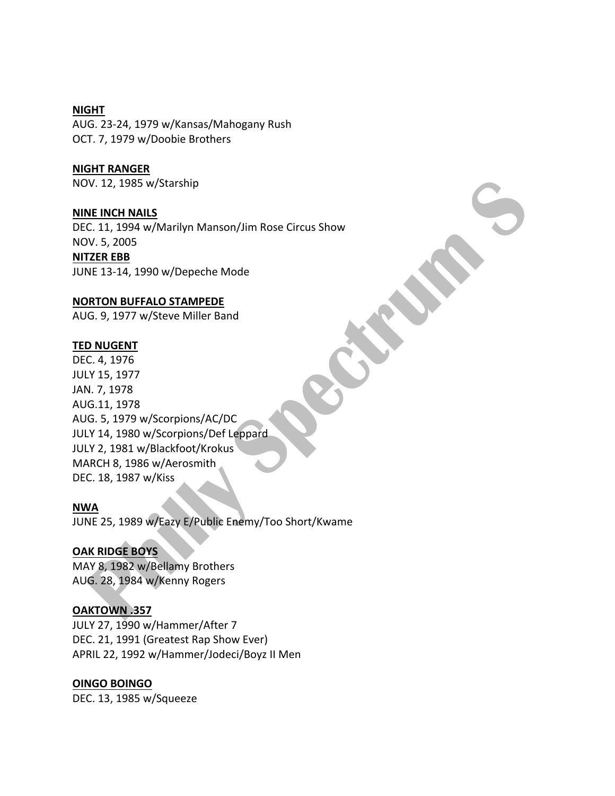**NIGHT** AUG. 23-24, 1979 w/Kansas/Mahogany Rush OCT. 7, 1979 w/Doobie Brothers

#### **NIGHT RANGER**

NOV. 12, 1985 w/Starship

#### **NINE INCH NAILS**

DEC. 11, 1994 w/Marilyn Manson/Jim Rose Circus Show NOV. 5, 2005 **NITZER EBB**

JUNE 13-14, 1990 w/Depeche Mode

#### **NORTON BUFFALO STAMPEDE**

AUG. 9, 1977 w/Steve Miller Band

#### **TED NUGENT**

DEC. 4, 1976 JULY 15, 1977 JAN. 7, 1978 AUG.11, 1978 AUG. 5, 1979 w/Scorpions/AC/DC JULY 14, 1980 w/Scorpions/Def Leppard JULY 2, 1981 w/Blackfoot/Krokus MARCH 8, 1986 w/Aerosmith DEC. 18, 1987 w/Kiss

#### **NWA**

JUNE 25, 1989 w/Eazy E/Public Enemy/Too Short/Kwame

# **OAK RIDGE BOYS**

MAY 8, 1982 w/Bellamy Brothers AUG. 28, 1984 w/Kenny Rogers

# **OAKTOWN .357**

JULY 27, 1990 w/Hammer/After 7 DEC. 21, 1991 (Greatest Rap Show Ever) APRIL 22, 1992 w/Hammer/Jodeci/Boyz II Men

#### **OINGO BOINGO**

DEC. 13, 1985 w/Squeeze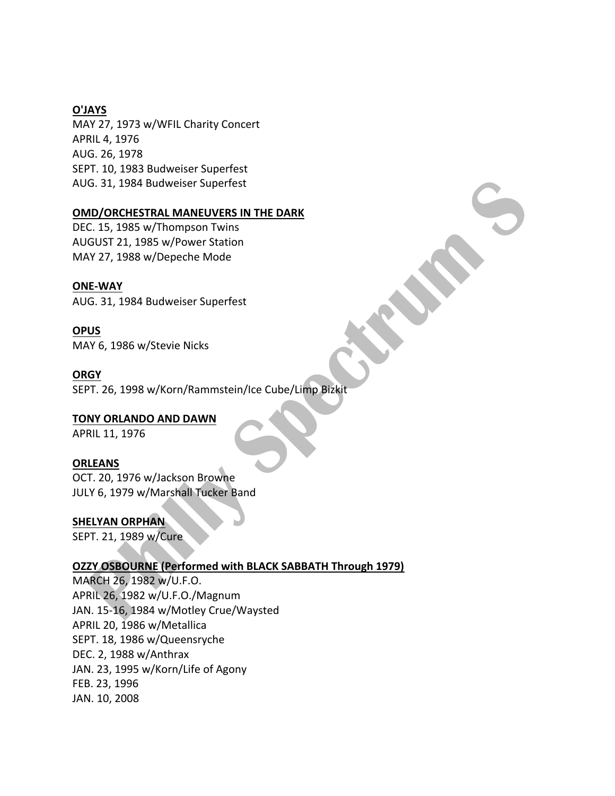# **O'JAYS**

MAY 27, 1973 w/WFIL Charity Concert APRIL 4, 1976 AUG. 26, 1978 SEPT. 10, 1983 Budweiser Superfest AUG. 31, 1984 Budweiser Superfest

## **OMD/ORCHESTRAL MANEUVERS IN THE DARK**

DEC. 15, 1985 w/Thompson Twins AUGUST 21, 1985 w/Power Station MAY 27, 1988 w/Depeche Mode

# **ONE-WAY**

AUG. 31, 1984 Budweiser Superfest

**OPUS** MAY 6, 1986 w/Stevie Nicks

#### **ORGY**

SEPT. 26, 1998 w/Korn/Rammstein/Ice Cube/Limp Bizkit

**TONY ORLANDO AND DAWN** APRIL 11, 1976

#### **ORLEANS**

OCT. 20, 1976 w/Jackson Browne JULY 6, 1979 w/Marshall Tucker Band

# **SHELYAN ORPHAN**

SEPT. 21, 1989 w/Cure

#### **OZZY OSBOURNE (Performed with BLACK SABBATH Through 1979)**

MARCH 26, 1982 w/U.F.O. APRIL 26, 1982 w/U.F.O./Magnum JAN. 15-16, 1984 w/Motley Crue/Waysted APRIL 20, 1986 w/Metallica SEPT. 18, 1986 w/Queensryche DEC. 2, 1988 w/Anthrax JAN. 23, 1995 w/Korn/Life of Agony FEB. 23, 1996 JAN. 10, 2008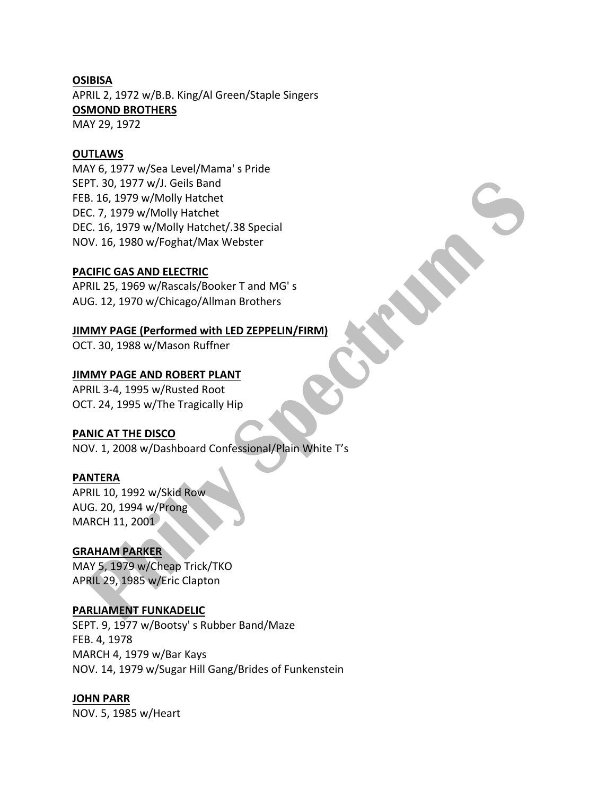## **OSIBISA**

APRIL 2, 1972 w/B.B. King/Al Green/Staple Singers **OSMOND BROTHERS** MAY 29, 1972

## **OUTLAWS**

MAY 6, 1977 w/Sea Level/Mama's Pride SEPT. 30, 1977 w/J. Geils Band FEB. 16, 1979 w/Molly Hatchet DEC. 7, 1979 w/Molly Hatchet DEC. 16, 1979 w/Molly Hatchet/.38 Special NOV. 16, 1980 w/Foghat/Max Webster

## **PACIFIC GAS AND ELECTRIC**

APRIL 25, 1969 w/Rascals/Booker T and MG's AUG. 12, 1970 w/Chicago/Allman Brothers

# **JIMMY PAGE (Performed with LED ZEPPELIN/FIRM)**

OCT. 30, 1988 w/Mason Ruffner

## **JIMMY PAGE AND ROBERT PLANT**

APRIL 3-4, 1995 w/Rusted Root OCT. 24, 1995 w/The Tragically Hip

# **PANIC AT THE DISCO**

NOV. 1, 2008 w/Dashboard Confessional/Plain White T's

#### **PANTERA**

APRIL 10, 1992 w/Skid Row. AUG. 20, 1994 w/Prong MARCH 11, 2001

## **GRAHAM PARKER**

MAY 5, 1979 w/Cheap Trick/TKO APRIL 29, 1985 w/Eric Clapton

# **PARLIAMENT FUNKADELIC**

SEPT. 9, 1977 w/Bootsy's Rubber Band/Maze FEB. 4, 1978 MARCH 4, 1979 w/Bar Kays NOV. 14, 1979 w/Sugar Hill Gang/Brides of Funkenstein

# **JOHN PARR**

NOV. 5, 1985 w/Heart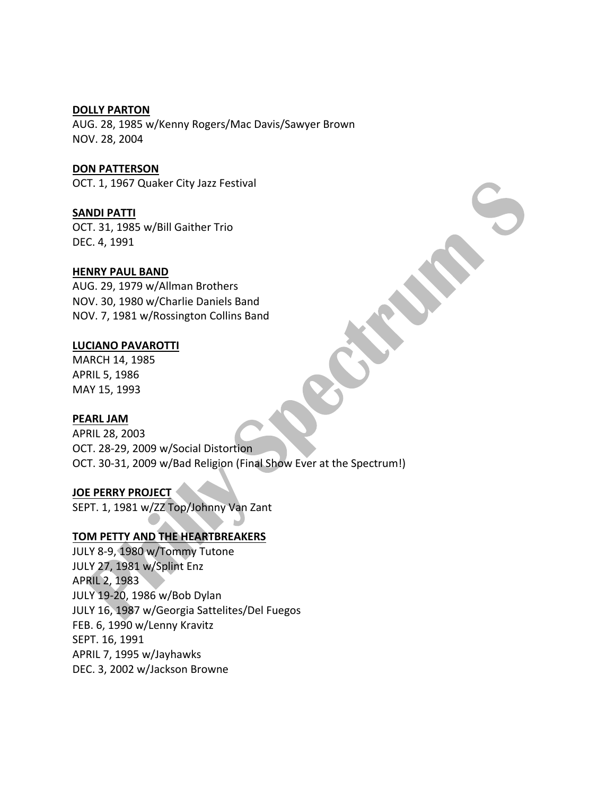#### **DOLLY PARTON**

AUG. 28, 1985 w/Kenny Rogers/Mac Davis/Sawyer Brown NOV. 28, 2004

**DON PATTERSON**

OCT. 1, 1967 Quaker City Jazz Festival

# **SANDI PATTI**

OCT. 31, 1985 w/Bill Gaither Trio DEC. 4, 1991

## **HENRY PAUL BAND**

AUG. 29, 1979 w/Allman Brothers NOV. 30, 1980 w/Charlie Daniels Band NOV. 7, 1981 w/Rossington Collins Band

## **LUCIANO PAVAROTTI**

MARCH 14, 1985 APRIL 5, 1986 MAY 15, 1993

#### **PEARL JAM**

APRIL 28, 2003 OCT. 28-29, 2009 w/Social Distortion OCT. 30-31, 2009 w/Bad Religion (Final Show Ever at the Spectrum!)

#### **JOE PERRY PROJECT**

SEPT. 1, 1981 w/ZZ Top/Johnny Van Zant

# **TOM PETTY AND THE HEARTBREAKERS**

JULY 8-9, 1980 w/Tommy Tutone JULY 27, 1981 w/Splint Enz APRIL 2, 1983 JULY 19-20, 1986 w/Bob Dylan JULY 16, 1987 w/Georgia Sattelites/Del Fuegos FEB. 6, 1990 w/Lenny Kravitz SEPT. 16, 1991 APRIL 7, 1995 w/Jayhawks DEC. 3, 2002 w/Jackson Browne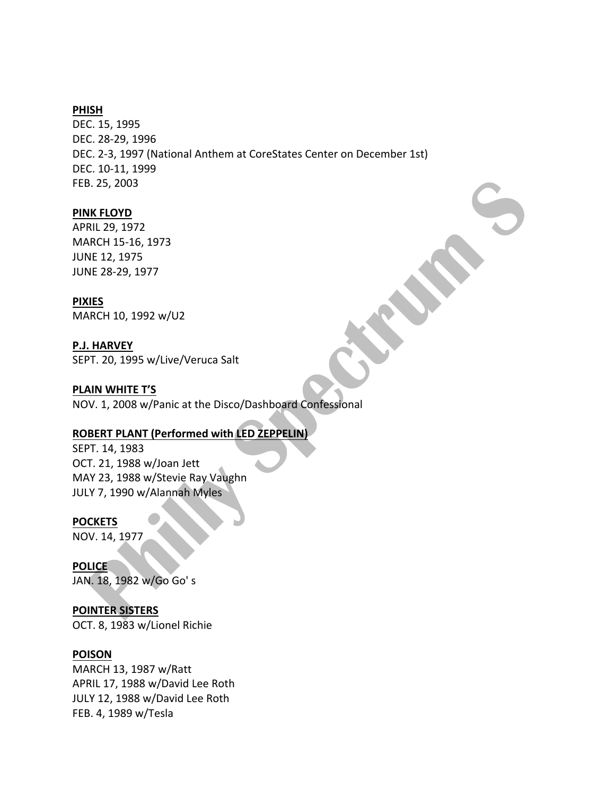### **PHISH**

DEC. 15, 1995 DEC. 28-29, 1996 DEC. 2-3, 1997 (National Anthem at CoreStates Center on December 1st) DEC. 10-11, 1999 FEB. 25, 2003

#### **PINK FLOYD**

APRIL 29, 1972 MARCH 15-16, 1973 **JUNE 12, 1975** JUNE 28-29, 1977

#### **PIXIES**

MARCH 10, 1992 w/U2

#### **P.J. HARVEY**

SEPT. 20, 1995 w/Live/Veruca Salt

#### **PLAIN WHITE T'S**

NOV. 1, 2008 w/Panic at the Disco/Dashboard Confessional

### **ROBERT PLANT (Performed with LED ZEPPELIN)**

SEPT. 14, 1983 OCT. 21, 1988 w/Joan Jett MAY 23, 1988 w/Stevie Ray Vaughn JULY 7, 1990 w/Alannah Myles

#### **POCKETS**

NOV. 14, 1977

**POLICE** JAN. 18, 1982 w/Go Go's

#### **POINTER SISTERS**

OCT. 8, 1983 w/Lionel Richie

#### **POISON**

MARCH 13, 1987 w/Ratt APRIL 17, 1988 w/David Lee Roth JULY 12, 1988 w/David Lee Roth FEB. 4, 1989 w/Tesla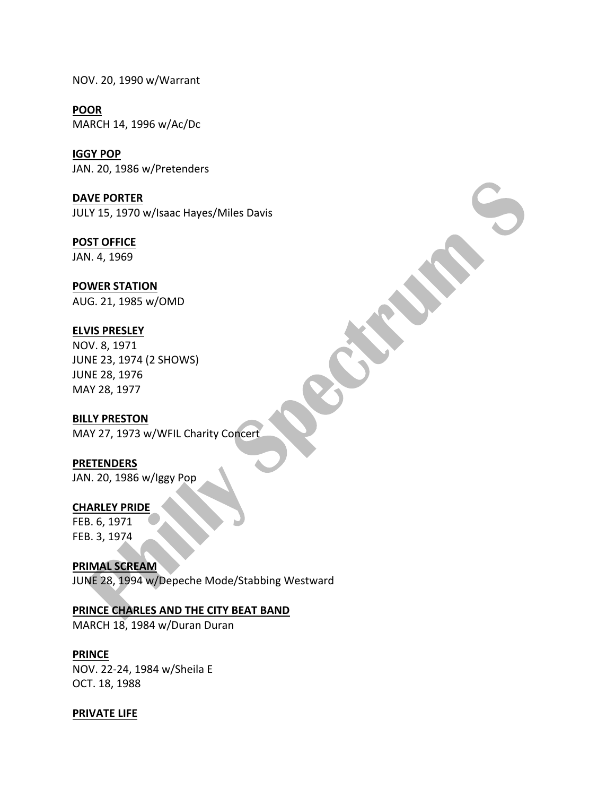NOV. 20, 1990 w/Warrant

**POOR** MARCH 14, 1996 w/Ac/Dc

**IGGY POP** JAN. 20, 1986 w/Pretenders

**DAVE PORTER** JULY 15, 1970 w/Isaac Hayes/Miles Davis

**POST OFFICE** JAN. 4, 1969

**POWER STATION** AUG. 21, 1985 w/OMD

# **ELVIS PRESLEY**

NOV. 8, 1971 JUNE 23, 1974 (2 SHOWS) JUNE 28, 1976 MAY 28, 1977

# **BILLY PRESTON**

MAY 27, 1973 w/WFIL Charity Concert

**PRETENDERS** JAN. 20, 1986 w/lggy Pop

# **CHARLEY PRIDE**

FEB. 6, 1971 FEB. 3, 1974

**PRIMAL SCREAM** JUNE 28, 1994 w/Depeche Mode/Stabbing Westward

# **PRINCE CHARLES AND THE CITY BEAT BAND**

MARCH 18, 1984 w/Duran Duran

# **PRINCE**

NOV. 22-24, 1984 w/Sheila E OCT. 18, 1988

# **PRIVATE LIFE**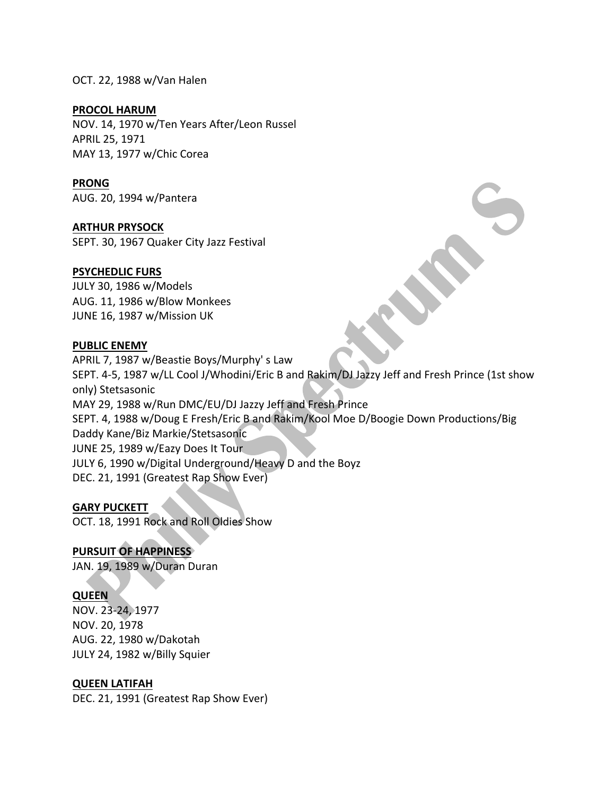OCT. 22, 1988 w/Van Halen

## **PROCOL HARUM**

NOV. 14, 1970 w/Ten Years After/Leon Russel APRIL 25, 1971 MAY 13, 1977 w/Chic Corea

# **PRONG**

AUG. 20, 1994 w/Pantera

**ARTHUR PRYSOCK**

SEPT. 30, 1967 Quaker City Jazz Festival

# **PSYCHEDLIC FURS**

JULY 30, 1986 w/Models AUG. 11, 1986 w/Blow Monkees JUNE 16, 1987 w/Mission UK

# **PUBLIC ENEMY**

APRIL 7, 1987 w/Beastie Boys/Murphy's Law SEPT. 4-5, 1987 w/LL Cool J/Whodini/Eric B and Rakim/DJ Jazzy Jeff and Fresh Prince (1st show only) Stetsasonic MAY 29, 1988 w/Run DMC/EU/DJ Jazzy Jeff and Fresh Prince SEPT. 4, 1988 w/Doug E Fresh/Eric B and Rakim/Kool Moe D/Boogie Down Productions/Big Daddy Kane/Biz Markie/Stetsasonic JUNE 25, 1989 w/Eazy Does It Tour JULY 6, 1990 w/Digital Underground/Heavy D and the Boyz DEC. 21, 1991 (Greatest Rap Show Ever)

# **GARY PUCKETT**

OCT. 18, 1991 Rock and Roll Oldies Show

# **PURSUIT OF HAPPINESS**

JAN. 19, 1989 w/Duran Duran

# **QUEEN**

NOV. 23-24, 1977 NOV. 20, 1978 AUG. 22, 1980 w/Dakotah JULY 24, 1982 w/Billy Squier

# **QUEEN LATIFAH**

DEC. 21, 1991 (Greatest Rap Show Ever)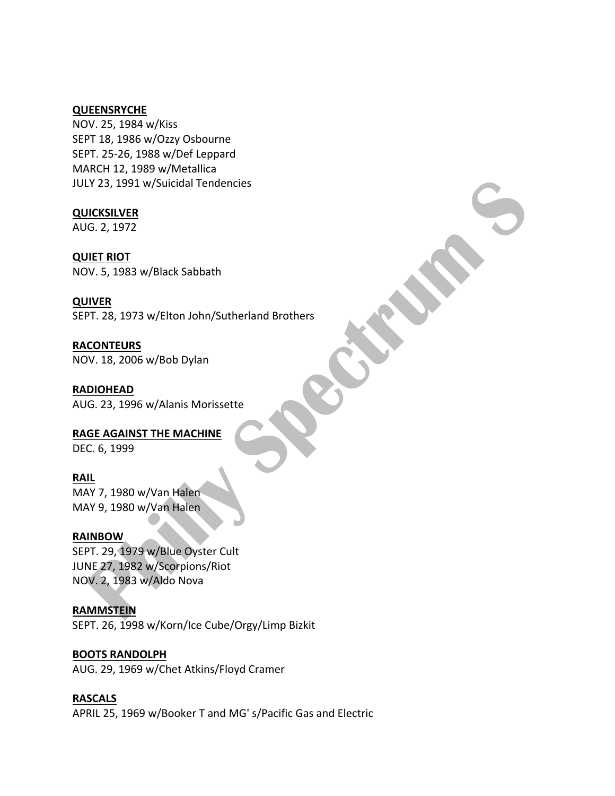#### **QUEENSRYCHE**

NOV. 25, 1984 w/Kiss SEPT 18, 1986 w/Ozzy Osbourne SEPT. 25-26, 1988 w/Def Leppard MARCH 12, 1989 w/Metallica JULY 23, 1991 w/Suicidal Tendencies

**QUICKSILVER**

AUG. 2, 1972

**QUIET RIOT** 

NOV. 5, 1983 w/Black Sabbath

**QUIVER**

SEPT. 28, 1973 w/Elton John/Sutherland Brothers

**RACONTEURS** NOV. 18, 2006 w/Bob Dylan

**RADIOHEAD** AUG. 23, 1996 w/Alanis Morissette

# **RAGE AGAINST THE MACHINE**

DEC. 6, 1999

# **RAIL**

MAY 7, 1980 w/Van Halen MAY 9, 1980 w/Van Halen

# **RAINBOW**

SEPT. 29, 1979 w/Blue Oyster Cult JUNE 27, 1982 w/Scorpions/Riot NOV. 2, 1983 w/Aldo Nova

# **RAMMSTEIN**

SEPT. 26, 1998 w/Korn/Ice Cube/Orgy/Limp Bizkit

# **BOOTS RANDOLPH**

AUG. 29, 1969 w/Chet Atkins/Floyd Cramer

# **RASCALS**

APRIL 25, 1969 w/Booker T and MG' s/Pacific Gas and Electric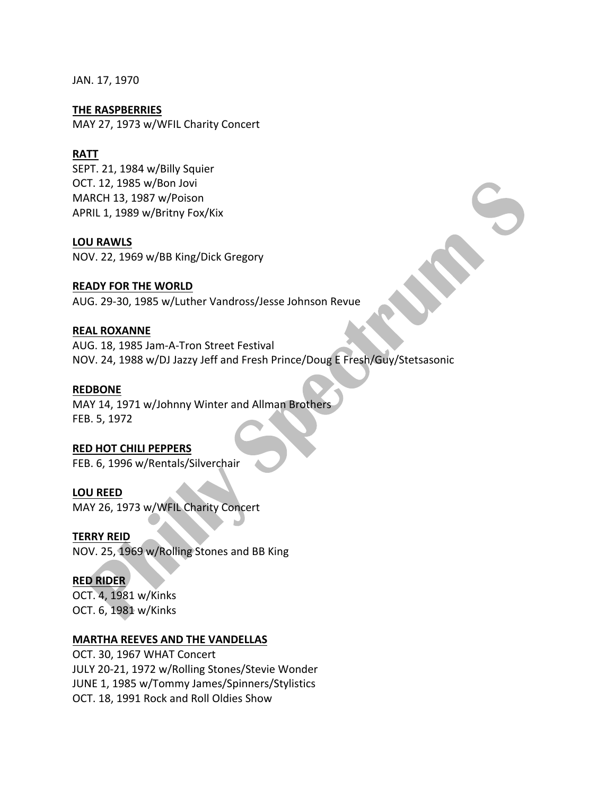JAN. 17, 1970

**THE RASPBERRIES** MAY 27, 1973 w/WFIL Charity Concert

# **RATT**

SEPT. 21, 1984 w/Billy Squier OCT. 12, 1985 w/Bon Jovi MARCH 13, 1987 w/Poison APRIL 1, 1989 w/Britny Fox/Kix

## **LOU RAWLS**

NOV. 22, 1969 w/BB King/Dick Gregory

# **READY FOR THE WORLD**

AUG. 29-30, 1985 w/Luther Vandross/Jesse Johnson Revue

# **REAL ROXANNE**

AUG. 18, 1985 Jam-A-Tron Street Festival NOV. 24, 1988 w/DJ Jazzy Jeff and Fresh Prince/Doug E Fresh/Guy/Stetsasonic

# **REDBONE**

MAY 14, 1971 w/Johnny Winter and Allman Brothers FEB. 5, 1972

# **RED HOT CHILI PEPPERS**

FEB. 6, 1996 w/Rentals/Silverchair

# **LOU REED**

MAY 26, 1973 w/WFIL Charity Concert

# **TERRY REID**

NOV. 25, 1969 w/Rolling Stones and BB King

# **RED RIDER**

OCT. 4, 1981 w/Kinks OCT. 6, 1981 w/Kinks

# **MARTHA REEVES AND THE VANDELLAS**

OCT. 30, 1967 WHAT Concert JULY 20-21, 1972 w/Rolling Stones/Stevie Wonder JUNE 1, 1985 w/Tommy James/Spinners/Stylistics OCT. 18, 1991 Rock and Roll Oldies Show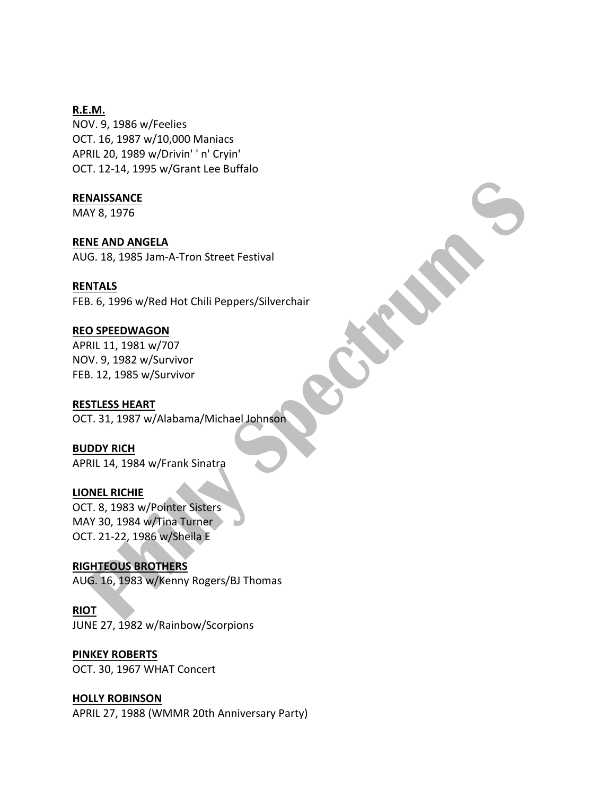# **R.E.M.**

NOV. 9, 1986 w/Feelies OCT. 16, 1987 w/10,000 Maniacs APRIL 20, 1989 w/Drivin' ' n' Cryin' OCT. 12-14, 1995 w/Grant Lee Buffalo

## **RENAISSANCE**

MAY 8, 1976

# **RENE AND ANGELA**

AUG. 18, 1985 Jam-A-Tron Street Festival

# **RENTALS**

FEB. 6, 1996 w/Red Hot Chili Peppers/Silverchair

# **REO SPEEDWAGON**

APRIL 11, 1981 w/707 NOV. 9, 1982 w/Survivor FEB. 12, 1985 w/Survivor

# **RESTLESS HEART**

OCT. 31, 1987 w/Alabama/Michael Johnson

# **BUDDY RICH**

APRIL 14, 1984 w/Frank Sinatra

#### **LIONEL RICHIE**

OCT. 8, 1983 w/Pointer Sisters MAY 30, 1984 w/Tina Turner OCT. 21-22, 1986 w/Sheila E

# **RIGHTEOUS BROTHERS**

AUG. 16, 1983 w/Kenny Rogers/BJ Thomas

# **RIOT**

JUNE 27, 1982 w/Rainbow/Scorpions

# **PINKEY ROBERTS**

OCT. 30, 1967 WHAT Concert

# **HOLLY ROBINSON**

APRIL 27, 1988 (WMMR 20th Anniversary Party)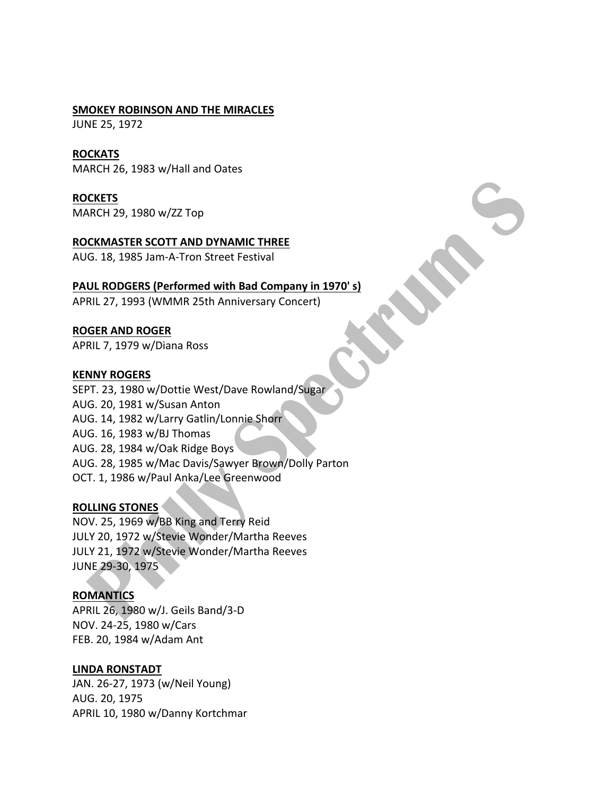#### **SMOKEY ROBINSON AND THE MIRACLES**

JUNE 25, 1972

## **ROCKATS**

MARCH 26, 1983 w/Hall and Oates

# **ROCKETS**

MARCH 29, 1980 w/ZZ Top

#### **ROCKMASTER SCOTT AND DYNAMIC THREE**

AUG. 18, 1985 Jam-A-Tron Street Festival

# **PAUL RODGERS (Performed with Bad Company in 1970's)**

APRIL 27, 1993 (WMMR 25th Anniversary Concert)

## **ROGER AND ROGER**

APRIL 7, 1979 w/Diana Ross

#### **KENNY ROGERS**

SEPT. 23, 1980 w/Dottie West/Dave Rowland/Sugar AUG. 20, 1981 w/Susan Anton AUG. 14, 1982 w/Larry Gatlin/Lonnie Shorr AUG. 16, 1983 w/BJ Thomas AUG. 28, 1984 w/Oak Ridge Boys AUG. 28, 1985 w/Mac Davis/Sawyer Brown/Dolly Parton OCT. 1, 1986 w/Paul Anka/Lee Greenwood

#### **ROLLING STONES**

NOV. 25, 1969 w/BB King and Terry Reid JULY 20, 1972 w/Stevie Wonder/Martha Reeves JULY 21, 1972 w/Stevie Wonder/Martha Reeves JUNE 29-30, 1975

# **ROMANTICS**

APRIL 26, 1980 w/J. Geils Band/3-D NOV. 24-25, 1980 w/Cars FEB. 20, 1984 w/Adam Ant

# **LINDA RONSTADT**

JAN. 26-27, 1973 (w/Neil Young) AUG. 20, 1975 APRIL 10, 1980 w/Danny Kortchmar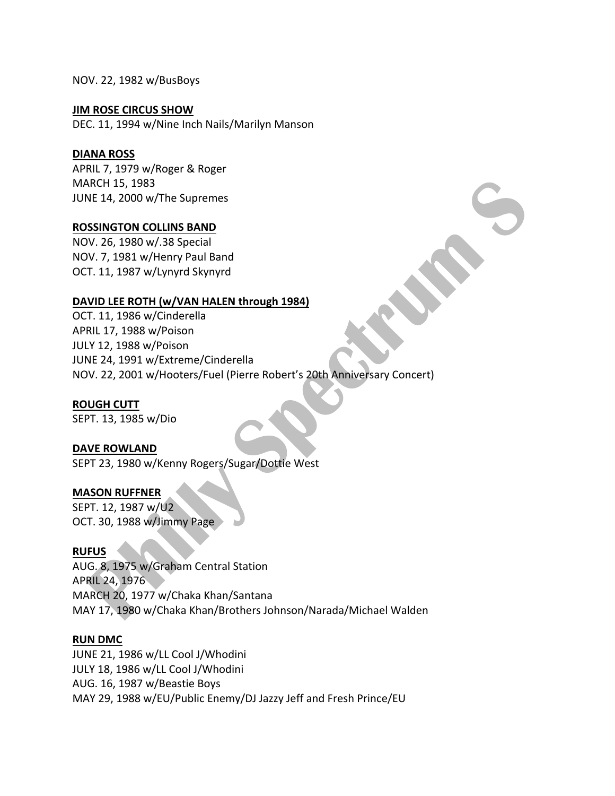NOV. 22, 1982 w/BusBoys

## **JIM ROSE CIRCUS SHOW**

DEC. 11, 1994 w/Nine Inch Nails/Marilyn Manson

# **DIANA ROSS**

APRIL 7, 1979 w/Roger & Roger MARCH 15, 1983 JUNE 14, 2000 w/The Supremes

## **ROSSINGTON COLLINS BAND**

NOV. 26, 1980 w/.38 Special NOV. 7, 1981 w/Henry Paul Band OCT. 11, 1987 w/Lynyrd Skynyrd

# DAVID LEE ROTH (w/VAN HALEN through 1984)

OCT. 11, 1986 w/Cinderella APRIL 17, 1988 w/Poison JULY 12, 1988 w/Poison JUNE 24, 1991 w/Extreme/Cinderella NOV. 22, 2001 w/Hooters/Fuel (Pierre Robert's 20th Anniversary Concert)

# **ROUGH CUTT**

SEPT. 13, 1985 w/Dio

# **DAVE ROWLAND**

SEPT 23, 1980 w/Kenny Rogers/Sugar/Dottie West

#### **MASON RUFFNER**

SEPT. 12, 1987 w/U2 OCT. 30, 1988 w/Jimmy Page

# **RUFUS**

AUG. 8, 1975 w/Graham Central Station APRIL 24, 1976 MARCH 20, 1977 w/Chaka Khan/Santana MAY 17, 1980 w/Chaka Khan/Brothers Johnson/Narada/Michael Walden

#### **RUN DMC**

JUNE 21, 1986 w/LL Cool J/Whodini JULY 18, 1986 w/LL Cool J/Whodini AUG. 16, 1987 w/Beastie Boys MAY 29, 1988 w/EU/Public Enemy/DJ Jazzy Jeff and Fresh Prince/EU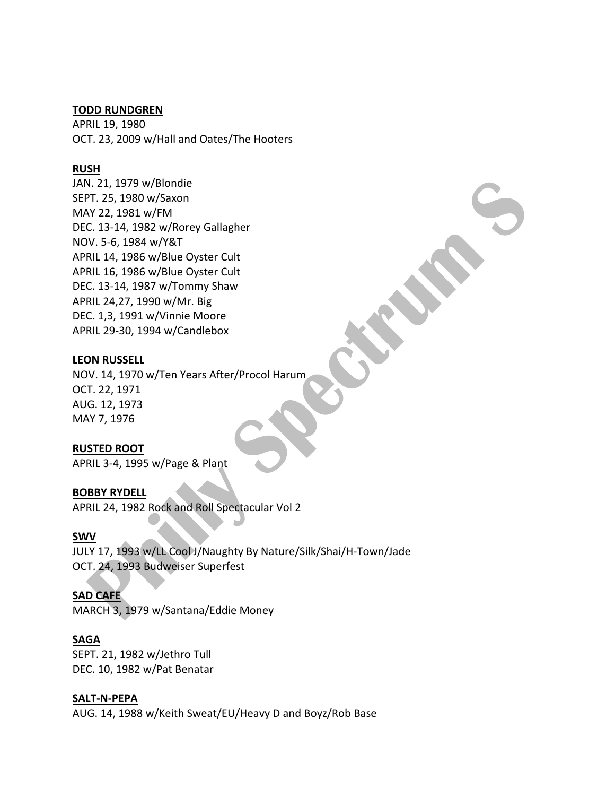#### **TODD RUNDGREN**

APRIL 19, 1980 OCT. 23, 2009 w/Hall and Oates/The Hooters

# **RUSH**

JAN. 21, 1979 w/Blondie SEPT. 25, 1980 w/Saxon MAY 22, 1981 w/FM DEC. 13-14, 1982 w/Rorey Gallagher NOV. 5-6, 1984 w/Y&T APRIL 14, 1986 w/Blue Oyster Cult APRIL 16, 1986 w/Blue Oyster Cult DEC. 13-14, 1987 w/Tommy Shaw APRIL 24,27, 1990 w/Mr. Big DEC. 1,3, 1991 w/Vinnie Moore APRIL 29-30, 1994 w/Candlebox

## **LEON RUSSELL**

NOV. 14, 1970 w/Ten Years After/Procol Harum OCT. 22, 1971 AUG. 12, 1973 MAY 7, 1976

# **RUSTED ROOT**

APRIL 3-4, 1995 w/Page & Plant

#### **BOBBY RYDELL**

APRIL 24, 1982 Rock and Roll Spectacular Vol 2

## **SWV**

JULY 17, 1993 w/LL Cool<sup>J</sup>/Naughty By Nature/Silk/Shai/H-Town/Jade OCT. 24, 1993 Budweiser Superfest

#### **SAD CAFE**

MARCH 3, 1979 w/Santana/Eddie Money

#### **SAGA**

SEPT. 21, 1982 w/Jethro Tull DEC. 10, 1982 w/Pat Benatar

#### **SALT-N-PEPA**

AUG. 14, 1988 w/Keith Sweat/EU/Heavy D and Boyz/Rob Base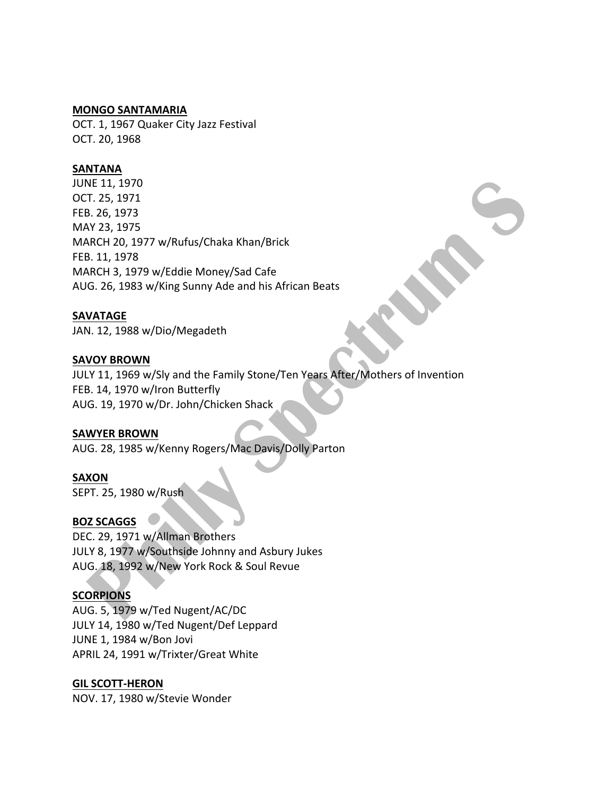#### **MONGO SANTAMARIA**

OCT. 1, 1967 Quaker City Jazz Festival OCT. 20, 1968

## **SANTANA**

JUNE 11, 1970 OCT. 25, 1971 FEB. 26, 1973 MAY 23, 1975 MARCH 20, 1977 w/Rufus/Chaka Khan/Brick FEB. 11, 1978 MARCH 3, 1979 w/Eddie Money/Sad Cafe AUG. 26, 1983 w/King Sunny Ade and his African Beats

#### **SAVATAGE**

JAN. 12, 1988 w/Dio/Megadeth

#### **SAVOY BROWN**

JULY 11, 1969 w/Sly and the Family Stone/Ten Years After/Mothers of Invention FEB. 14, 1970 w/lron Butterfly AUG. 19, 1970 w/Dr. John/Chicken Shack

## **SAWYER BROWN**

AUG. 28, 1985 w/Kenny Rogers/Mac Davis/Dolly Parton

## **SAXON**

SEPT. 25, 1980 w/Rush

## **BOZ SCAGGS**

DEC. 29, 1971 w/Allman Brothers JULY 8, 1977 w/Southside Johnny and Asbury Jukes AUG. 18, 1992 w/New York Rock & Soul Revue

## **SCORPIONS**

AUG. 5, 1979 w/Ted Nugent/AC/DC JULY 14, 1980 w/Ted Nugent/Def Leppard JUNE 1, 1984 w/Bon Jovi APRIL 24, 1991 w/Trixter/Great White

#### **GIL SCOTT-HERON**

NOV. 17, 1980 w/Stevie Wonder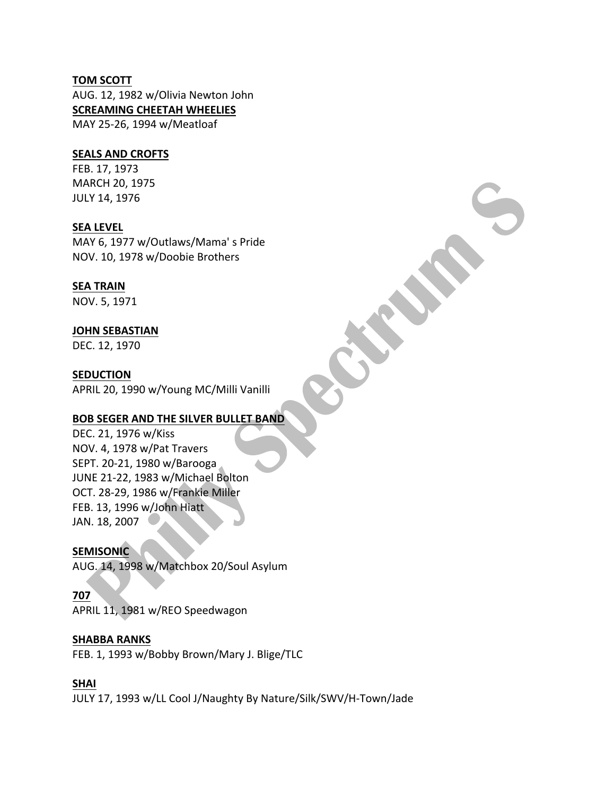#### **TOM SCOTT**

AUG. 12, 1982 w/Olivia Newton John **SCREAMING CHEETAH WHEELIES** MAY 25-26, 1994 w/Meatloaf

#### **SEALS AND CROFTS**

FEB. 17, 1973 MARCH 20, 1975 JULY 14, 1976

**SEA LEVEL**

MAY 6, 1977 w/Outlaws/Mama's Pride NOV. 10, 1978 w/Doobie Brothers

## **SEA TRAIN**

NOV. 5, 1971

## **JOHN SEBASTIAN**

DEC. 12, 1970

#### **SEDUCTION**

APRIL 20, 1990 w/Young MC/Milli Vanilli

## **BOB SEGER AND THE SILVER BULLET BAND**

DEC. 21, 1976 w/Kiss NOV. 4, 1978 w/Pat Travers SEPT. 20-21, 1980 w/Barooga JUNE 21-22, 1983 w/Michael Bolton OCT. 28-29, 1986 w/Frankie Miller FEB. 13, 1996 w/John Hiatt JAN. 18, 2007

**SEMISONIC** AUG. 14, 1998 w/Matchbox 20/Soul Asylum

#### **707**

APRIL 11, 1981 w/REO Speedwagon

## **SHABBA RANKS**

FEB. 1, 1993 w/Bobby Brown/Mary J. Blige/TLC

## **SHAI**

JULY 17, 1993 w/LL Cool J/Naughty By Nature/Silk/SWV/H-Town/Jade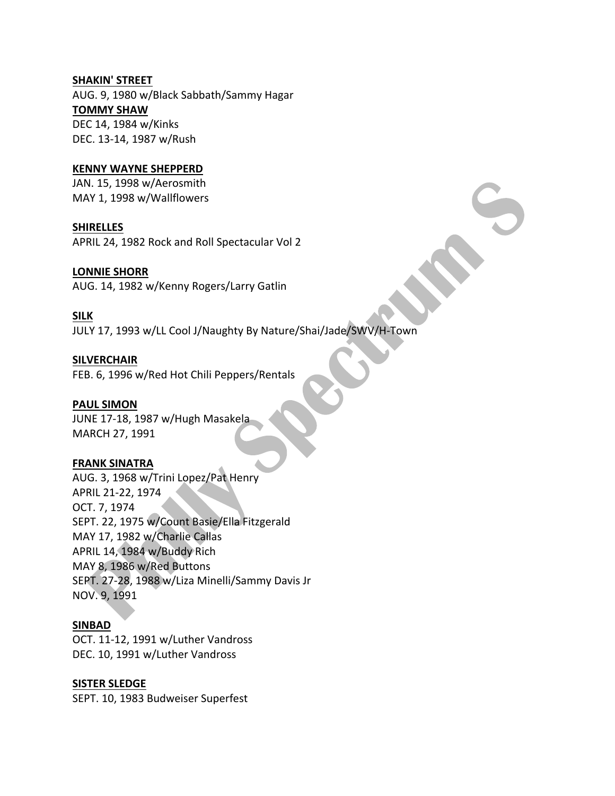#### **SHAKIN' STREET**

AUG. 9, 1980 w/Black Sabbath/Sammy Hagar **TOMMY SHAW** DEC 14, 1984 w/Kinks DEC. 13-14, 1987 w/Rush

## **KENNY WAYNE SHEPPERD**

JAN. 15, 1998 w/Aerosmith MAY 1, 1998 w/Wallflowers

#### **SHIRELLES**

APRIL 24, 1982 Rock and Roll Spectacular Vol 2

#### **LONNIE SHORR**

AUG. 14, 1982 w/Kenny Rogers/Larry Gatlin

#### **SILK**

JULY 17, 1993 w/LL Cool J/Naughty By Nature/Shai/Jade/SWV/H-Town

#### **SILVERCHAIR**

FEB. 6, 1996 w/Red Hot Chili Peppers/Rentals

#### **PAUL SIMON**

JUNE 17-18, 1987 w/Hugh Masakela MARCH 27, 1991

## **FRANK SINATRA**

AUG. 3, 1968 w/Trini Lopez/Pat Henry APRIL 21-22, 1974 OCT. 7, 1974 SEPT. 22, 1975 w/Count Basie/Ella Fitzgerald MAY 17, 1982 w/Charlie Callas APRIL 14, 1984 w/Buddy Rich MAY 8, 1986 w/Red Buttons SEPT. 27-28, 1988 w/Liza Minelli/Sammy Davis Jr NOV. 9, 1991

#### **SINBAD**

OCT. 11-12, 1991 w/Luther Vandross DEC. 10, 1991 w/Luther Vandross

#### **SISTER SLEDGE**

SEPT. 10, 1983 Budweiser Superfest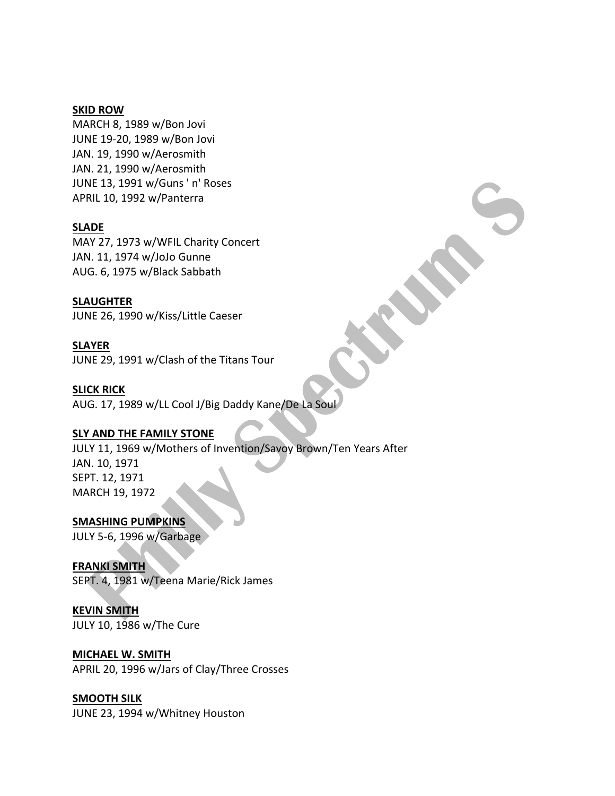#### **SKID ROW**

MARCH 8, 1989 w/Bon Jovi JUNE 19-20, 1989 w/Bon Jovi JAN. 19, 1990 w/Aerosmith JAN. 21, 1990 w/Aerosmith JUNE 13, 1991 w/Guns ' n' Roses APRIL 10, 1992 w/Panterra

#### **SLADE**

MAY 27, 1973 w/WFIL Charity Concert JAN. 11, 1974 w/JoJo Gunne AUG. 6, 1975 w/Black Sabbath

**SLAUGHTER**

JUNE 26, 1990 w/Kiss/Little Caeser

## **SLAYER**

JUNE 29, 1991 w/Clash of the Titans Tour

#### **SLICK RICK**

AUG. 17, 1989 w/LL Cool J/Big Daddy Kane/De La Soul

## **SLY AND THE FAMILY STONE**

JULY 11, 1969 w/Mothers of Invention/Savoy Brown/Ten Years After JAN. 10, 1971 SEPT. 12, 1971 MARCH 19, 1972

**SMASHING PUMPKINS** JULY 5-6, 1996 w/Garbage

## **FRANKI SMITH**

SEPT. 4, 1981 w/Teena Marie/Rick James

# **KEVIN SMITH**

JULY 10, 1986 w/The Cure

## **MICHAEL W. SMITH**

APRIL 20, 1996 w/Jars of Clay/Three Crosses

## **SMOOTH SILK**

JUNE 23, 1994 w/Whitney Houston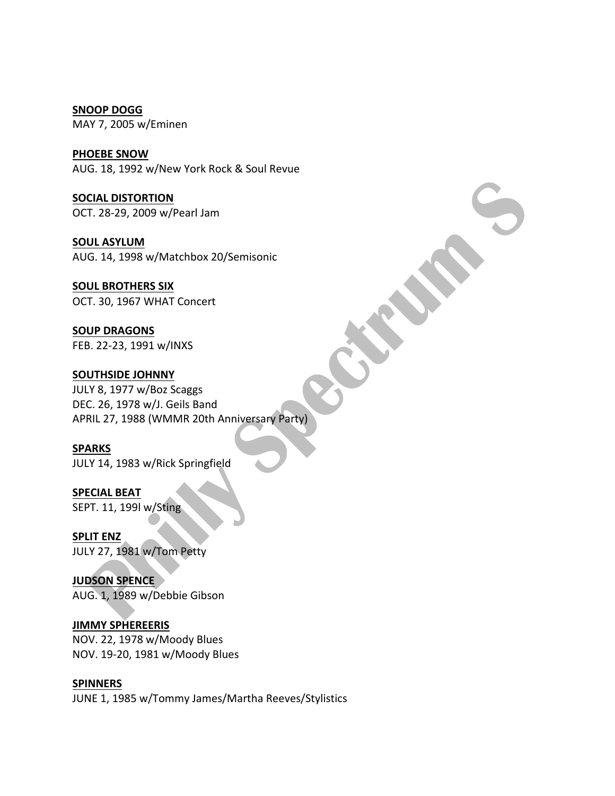**SNOOP DOGG** MAY 7, 2005 w/Eminen

**PHOEBE SNOW** AUG. 18, 1992 w/New York Rock & Soul Revue

**SOCIAL DISTORTION** OCT. 28-29, 2009 w/Pearl Jam

**SOUL ASYLUM** AUG. 14, 1998 w/Matchbox 20/Semisonic

**SOUL BROTHERS SIX** OCT. 30, 1967 WHAT Concert

**SOUP DRAGONS** FEB. 22-23, 1991 w/INXS

## **SOUTHSIDE JOHNNY**

JULY 8, 1977 w/Boz Scaggs DEC. 26, 1978 w/J. Geils Band APRIL 27, 1988 (WMMR 20th Anniversary Party)

## **SPARKS**

JULY 14, 1983 w/Rick Springfield

**SPECIAL BEAT** SEPT. 11, 199l w/Sting

**SPLIT ENZ** JULY 27, 1981 w/Tom Petty

**JUDSON SPENCE**

AUG. 1, 1989 w/Debbie Gibson

## **JIMMY SPHEREERIS**

NOV. 22, 1978 w/Moody Blues NOV. 19-20, 1981 w/Moody Blues

**SPINNERS**

JUNE 1, 1985 w/Tommy James/Martha Reeves/Stylistics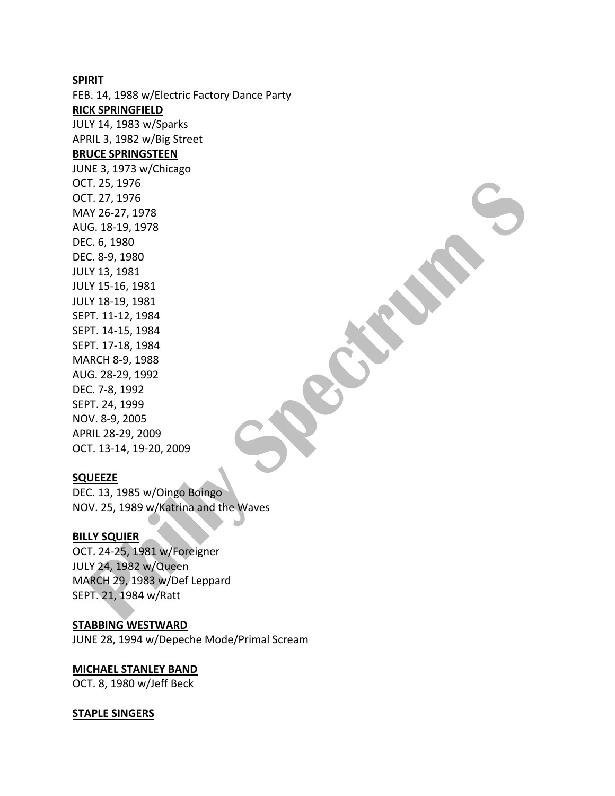#### **SPIRIT**

FEB. 14, 1988 w/Electric Factory Dance Party **RICK SPRINGFIELD** JULY 14, 1983 w/Sparks APRIL 3, 1982 w/Big Street **BRUCE SPRINGSTEEN** JUNE 3, 1973 w/Chicago OCT. 25, 1976 OCT. 27, 1976 MAY 26-27, 1978 AUG. 18-19, 1978 DEC. 6, 1980 DEC. 8-9, 1980 JULY 13, 1981 JULY 15-16, 1981 JULY 18-19, 1981 SEPT. 11-12, 1984 SEPT. 14-15, 1984 SEPT. 17-18, 1984 MARCH 8-9, 1988 AUG. 28-29, 1992 DEC. 7-8, 1992 SEPT. 24, 1999 NOV. 8-9, 2005 APRIL 28-29, 2009

#### **SQUEEZE**

DEC. 13, 1985 w/Oingo Boingo NOV. 25, 1989 w/Katrina and the Waves

#### **BILLY SQUIER**

OCT. 24-25, 1981 w/Foreigner JULY 24, 1982 w/Queen MARCH 29, 1983 w/Def Leppard SEPT. 21, 1984 w/Ratt

#### **STABBING WESTWARD**

OCT. 13-14, 19-20, 2009

JUNE 28, 1994 w/Depeche Mode/Primal Scream

#### **MICHAEL STANLEY BAND**

OCT. 8, 1980 w/Jeff Beck

#### **STAPLE SINGERS**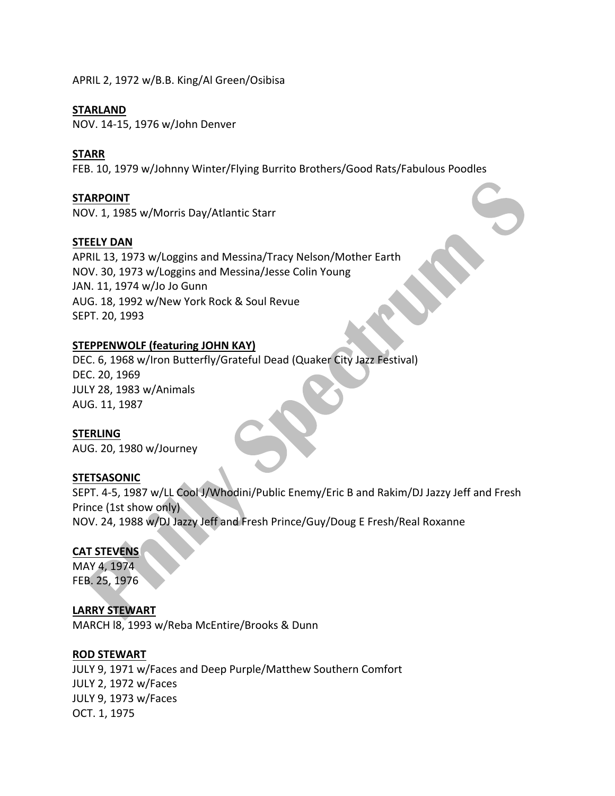APRIL 2, 1972 w/B.B. King/Al Green/Osibisa

#### **STARLAND**

NOV. 14-15, 1976 w/John Denver

#### **STARR**

FEB. 10, 1979 w/Johnny Winter/Flying Burrito Brothers/Good Rats/Fabulous Poodles

#### **STARPOINT**

NOV. 1, 1985 w/Morris Day/Atlantic Starr

#### **STEELY DAN**

APRIL 13, 1973 w/Loggins and Messina/Tracy Nelson/Mother Earth NOV. 30, 1973 w/Loggins and Messina/Jesse Colin Young JAN. 11, 1974 w/Jo Jo Gunn AUG. 18, 1992 w/New York Rock & Soul Revue SEPT. 20, 1993

## **STEPPENWOLF (featuring JOHN KAY)**

DEC. 6, 1968 w/Iron Butterfly/Grateful Dead (Quaker City Jazz Festival) DEC. 20, 1969 JULY 28, 1983 w/Animals AUG. 11, 1987

## **STERLING**

AUG. 20, 1980 w/Journey

#### **STETSASONIC**

SEPT. 4-5, 1987 w/LL Cool J/Whodini/Public Enemy/Eric B and Rakim/DJ Jazzy Jeff and Fresh Prince (1st show only) NOV. 24, 1988 w/DJ Jazzy Jeff and Fresh Prince/Guy/Doug E Fresh/Real Roxanne

## **CAT STEVENS**

MAY 4, 1974 FEB. 25, 1976

**LARRY STEWART** MARCH  $18, 1993$  w/Reba McEntire/Brooks & Dunn

#### **ROD STEWART**

JULY 9, 1971 w/Faces and Deep Purple/Matthew Southern Comfort JULY 2, 1972 w/Faces JULY 9, 1973 w/Faces OCT. 1, 1975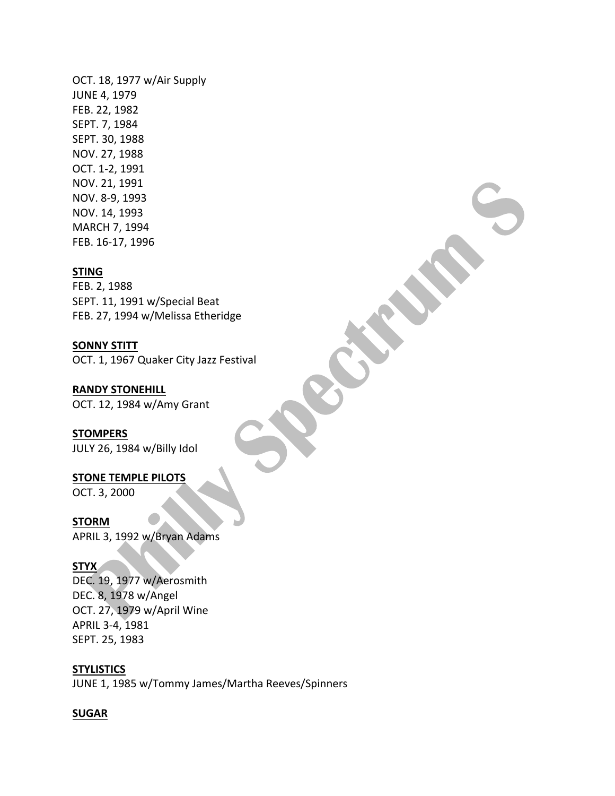OCT. 18, 1977 w/Air Supply **JUNE 4, 1979** FEB. 22, 1982 SEPT. 7, 1984 SEPT. 30, 1988 NOV. 27, 1988 OCT. 1-2, 1991 NOV. 21, 1991 NOV. 8-9, 1993 NOV. 14, 1993 MARCH 7, 1994 FEB. 16-17, 1996

#### **STING**

FEB. 2, 1988 SEPT. 11, 1991 w/Special Beat FEB. 27, 1994 w/Melissa Etheridge

**SONNY STITT** OCT. 1, 1967 Quaker City Jazz Festival

**RANDY STONEHILL** OCT. 12, 1984 w/Amy Grant

**STOMPERS** JULY 26, 1984 w/Billy Idol

**STONE TEMPLE PILOTS** 

OCT. 3, 2000

**STORM**

APRIL 3, 1992 w/Bryan Adams

## **STYX**

DEC. 19, 1977 w/Aerosmith DEC. 8, 1978 w/Angel OCT. 27, 1979 w/April Wine APRIL 3-4, 1981 SEPT. 25, 1983

**STYLISTICS** JUNE 1, 1985 w/Tommy James/Martha Reeves/Spinners

#### **SUGAR**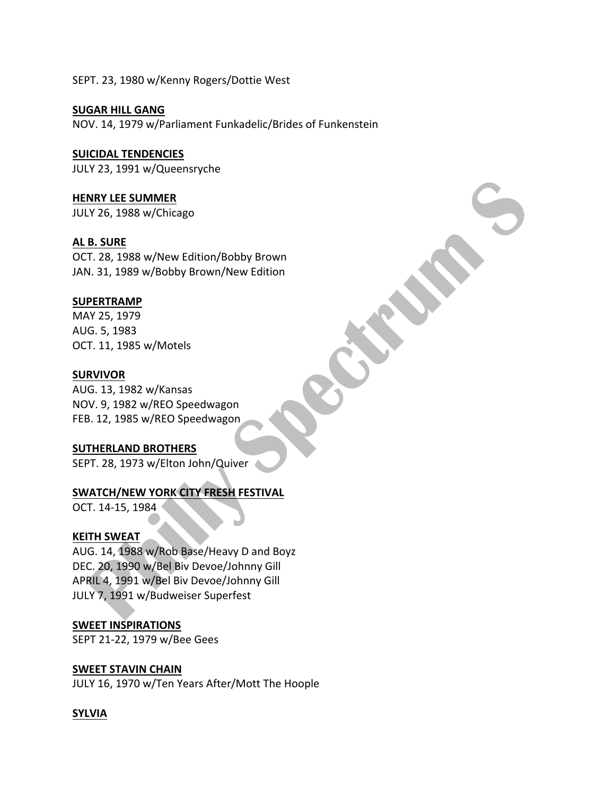SEPT. 23, 1980 w/Kenny Rogers/Dottie West

**SUGAR HILL GANG** NOV. 14, 1979 w/Parliament Funkadelic/Brides of Funkenstein

## **SUICIDAL TENDENCIES**

JULY 23, 1991 w/Queensryche

**HENRY LEE SUMMER** JULY 26, 1988 w/Chicago

**AL B. SURE** OCT. 28, 1988 w/New Edition/Bobby Brown JAN. 31, 1989 w/Bobby Brown/New Edition

## **SUPERTRAMP**

MAY 25, 1979 AUG. 5, 1983 OCT. 11, 1985 w/Motels

#### **SURVIVOR**

AUG. 13, 1982 w/Kansas NOV. 9, 1982 w/REO Speedwagon FEB. 12, 1985 w/REO Speedwagon

## **SUTHERLAND BROTHERS**

SEPT. 28, 1973 w/Elton John/Quiver

# **SWATCH/NEW YORK CITY FRESH FESTIVAL**

OCT. 14-15, 1984

#### **KEITH SWEAT**

AUG. 14, 1988 w/Rob Base/Heavy D and Boyz DEC. 20, 1990 w/Bel Biv Devoe/Johnny Gill APRIL 4, 1991 w/Bel Biv Devoe/Johnny Gill JULY 7, 1991 w/Budweiser Superfest

## **SWEET INSPIRATIONS**

SEPT 21-22, 1979 w/Bee Gees

## **SWEET STAVIN CHAIN**

JULY 16, 1970 w/Ten Years After/Mott The Hoople

## **SYLVIA**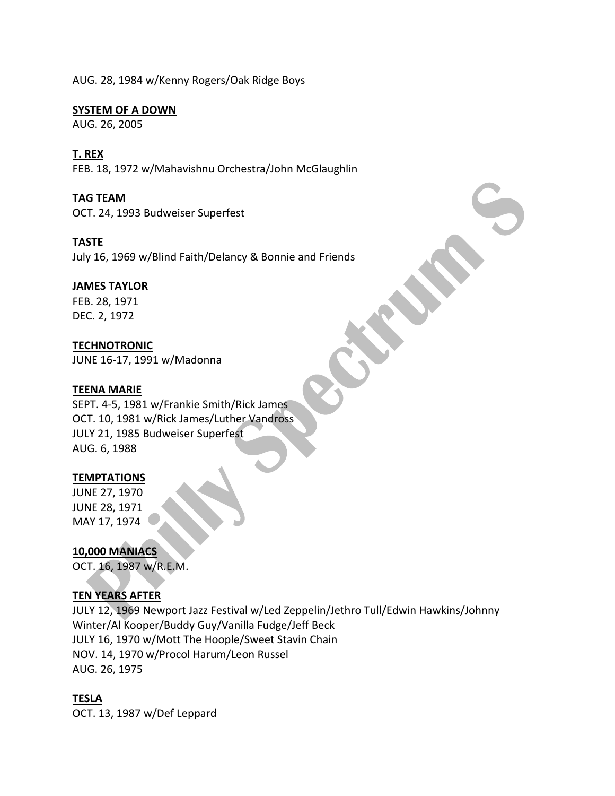AUG. 28, 1984 w/Kenny Rogers/Oak Ridge Boys

#### **SYSTEM OF A DOWN**

AUG. 26, 2005

## **T. REX**

FEB. 18, 1972 w/Mahavishnu Orchestra/John McGlaughlin

#### **TAG TEAM**

OCT. 24, 1993 Budweiser Superfest

## **TASTE**

July 16, 1969 w/Blind Faith/Delancy & Bonnie and Friends

## **JAMES TAYLOR**

FEB. 28, 1971 DEC. 2, 1972

## **TECHNOTRONIC**

JUNE 16-17, 1991 w/Madonna

#### **TEENA MARIE**

SEPT. 4-5, 1981 w/Frankie Smith/Rick James OCT. 10, 1981 w/Rick James/Luther Vandross JULY 21, 1985 Budweiser Superfest AUG. 6, 1988

#### **TEMPTATIONS**

JUNE 27, 1970 JUNE 28, 1971 MAY 17, 1974

**10,000 MANIACS** OCT. 16, 1987 w/R.E.M.

## **TEN YEARS AFTER**

JULY 12, 1969 Newport Jazz Festival w/Led Zeppelin/Jethro Tull/Edwin Hawkins/Johnny Winter/Al Kooper/Buddy Guy/Vanilla Fudge/Jeff Beck JULY 16, 1970 w/Mott The Hoople/Sweet Stavin Chain NOV. 14, 1970 w/Procol Harum/Leon Russel AUG. 26, 1975

## **TESLA**

OCT. 13, 1987 w/Def Leppard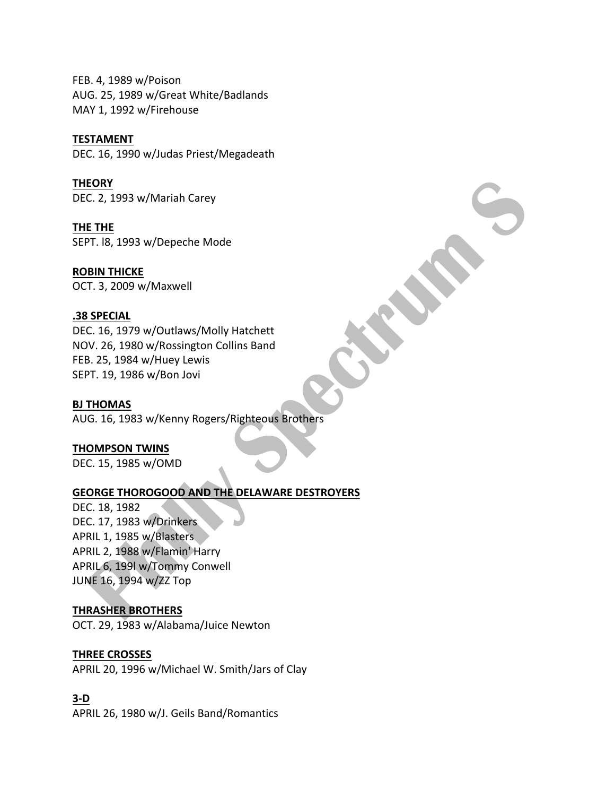FEB. 4, 1989 w/Poison AUG. 25, 1989 w/Great White/Badlands MAY 1, 1992 w/Firehouse

#### **TESTAMENT**

DEC. 16, 1990 w/Judas Priest/Megadeath

**THEORY** DEC. 2, 1993 w/Mariah Carey

**THE THE** SEPT. 18, 1993 w/Depeche Mode

**ROBIN THICKE** OCT. 3, 2009 w/Maxwell

## **.38 SPECIAL**

DEC. 16, 1979 w/Outlaws/Molly Hatchett NOV. 26, 1980 w/Rossington Collins Band FEB. 25, 1984 w/Huey Lewis SEPT. 19, 1986 w/Bon Jovi

#### **BJ THOMAS**

AUG. 16, 1983 w/Kenny Rogers/Righteous Brothers

#### **THOMPSON TWINS**

DEC. 15, 1985 w/OMD

## **GEORGE THOROGOOD AND THE DELAWARE DESTROYERS**

DEC. 18, 1982 DEC. 17, 1983 w/Drinkers APRIL 1, 1985 w/Blasters APRIL 2, 1988 w/Flamin' Harry APRIL 6, 199l w/Tommy Conwell JUNE 16, 1994 w/ZZ Top

## **THRASHER BROTHERS**

OCT. 29, 1983 w/Alabama/Juice Newton

## **THREE CROSSES**

APRIL 20, 1996 w/Michael W. Smith/Jars of Clay

## **3-D**

APRIL 26, 1980 w/J. Geils Band/Romantics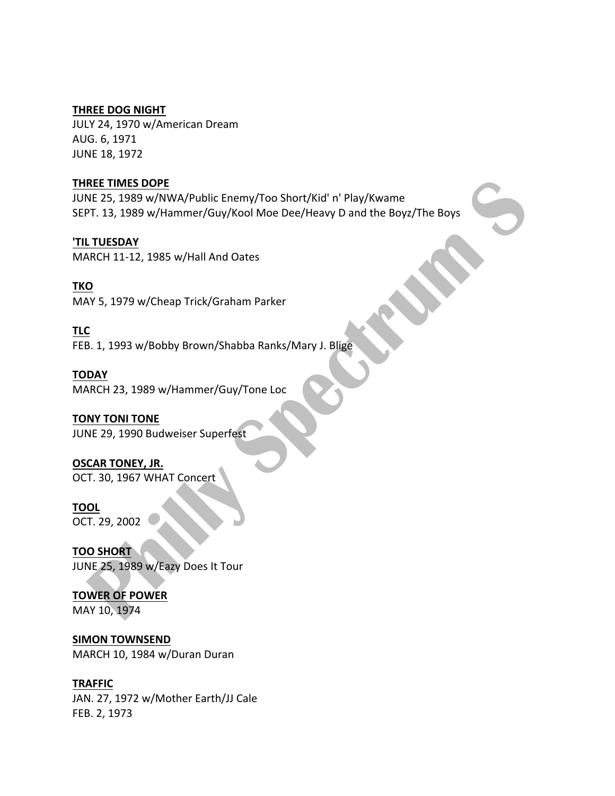#### **THREE DOG NIGHT**

JULY 24, 1970 w/American Dream AUG. 6, 1971 **JUNE 18, 1972** 

#### **THREE TIMES DOPE**

JUNE 25, 1989 w/NWA/Public Enemy/Too Short/Kid' n' Play/Kwame SEPT. 13, 1989 w/Hammer/Guy/Kool Moe Dee/Heavy D and the Boyz/The Boys

**'TIL TUESDAY** MARCH 11-12, 1985 w/Hall And Oates

**TKO** MAY 5, 1979 w/Cheap Trick/Graham Parker

**TLC** FEB. 1, 1993 w/Bobby Brown/Shabba Ranks/Mary J. Blige

**TODAY** MARCH 23, 1989 w/Hammer/Guy/Tone Loc

# **TONY TONI TONE**

JUNE 29, 1990 Budweiser Superfest

**OSCAR TONEY, JR.** OCT. 30, 1967 WHAT Concert

# **TOOL**

OCT. 29, 2002

**TOO SHORT** JUNE 25, 1989 w/Eazy Does It Tour

**TOWER OF POWER** MAY 10, 1974

**SIMON TOWNSEND** MARCH 10, 1984 w/Duran Duran

## **TRAFFIC**

JAN. 27, 1972 w/Mother Earth/JJ Cale FEB. 2, 1973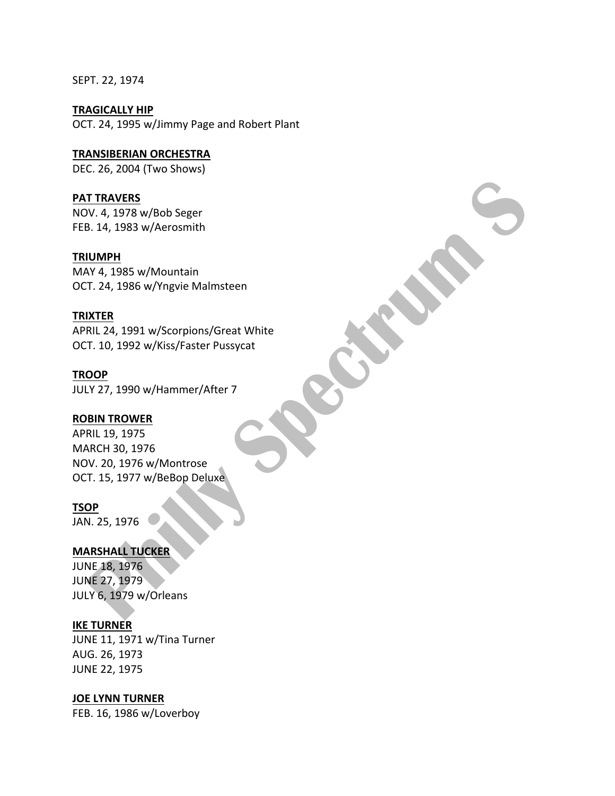SEPT. 22, 1974

**TRAGICALLY HIP** OCT. 24, 1995 w/Jimmy Page and Robert Plant

**TRANSIBERIAN ORCHESTRA** DEC. 26, 2004 (Two Shows)

**PAT TRAVERS** NOV. 4, 1978 w/Bob Seger FEB. 14, 1983 w/Aerosmith

#### **TRIUMPH**

MAY 4, 1985 w/Mountain OCT. 24, 1986 w/Yngvie Malmsteen

#### **TRIXTER**

APRIL 24, 1991 w/Scorpions/Great White OCT. 10, 1992 w/Kiss/Faster Pussycat

**TROOP** JULY 27, 1990 w/Hammer/After 7

#### **ROBIN TROWER**

APRIL 19, 1975 MARCH 30, 1976 NOV. 20, 1976 w/Montrose OCT. 15, 1977 w/BeBop Deluxe

#### **TSOP**

JAN. 25, 1976

## **MARSHALL TUCKER**

**JUNE 18, 1976** JUNE 27, 1979 JULY 6, 1979 w/Orleans

#### **IKE TURNER**

JUNE 11, 1971 w/Tina Turner AUG. 26, 1973 JUNE 22, 1975

#### **JOE LYNN TURNER**

FEB. 16, 1986 w/Loverboy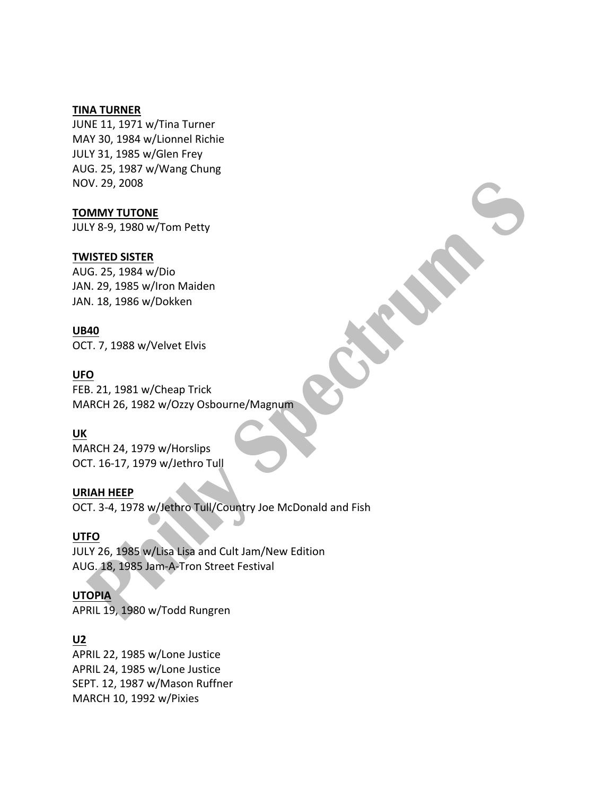#### **TINA TURNER**

JUNE 11, 1971 w/Tina Turner MAY 30, 1984 w/Lionnel Richie JULY 31, 1985 w/Glen Frey AUG. 25, 1987 w/Wang Chung NOV. 29, 2008

## **TOMMY TUTONE**

JULY 8-9, 1980 w/Tom Petty

#### **TWISTED SISTER**

AUG. 25, 1984 w/Dio JAN. 29, 1985 w/Iron Maiden JAN. 18, 1986 w/Dokken

#### **UB40**

OCT. 7, 1988 w/Velvet Elvis

#### **UFO**

FEB. 21, 1981 w/Cheap Trick MARCH 26, 1982 w/Ozzy Osbourne/Magnum

## **UK**

MARCH 24, 1979 w/Horslips OCT. 16-17, 1979 w/Jethro Tull

#### **URIAH HEEP**

OCT. 3-4, 1978 w/Jethro Tull/Country Joe McDonald and Fish

#### **UTFO**

JULY 26, 1985 w/Lisa Lisa and Cult Jam/New Edition AUG. 18, 1985 Jam-A-Tron Street Festival

#### **UTOPIA**

APRIL 19, 1980 w/Todd Rungren

## **U2**

APRIL 22, 1985 w/Lone Justice APRIL 24, 1985 w/Lone Justice SEPT. 12, 1987 w/Mason Ruffner MARCH 10, 1992 w/Pixies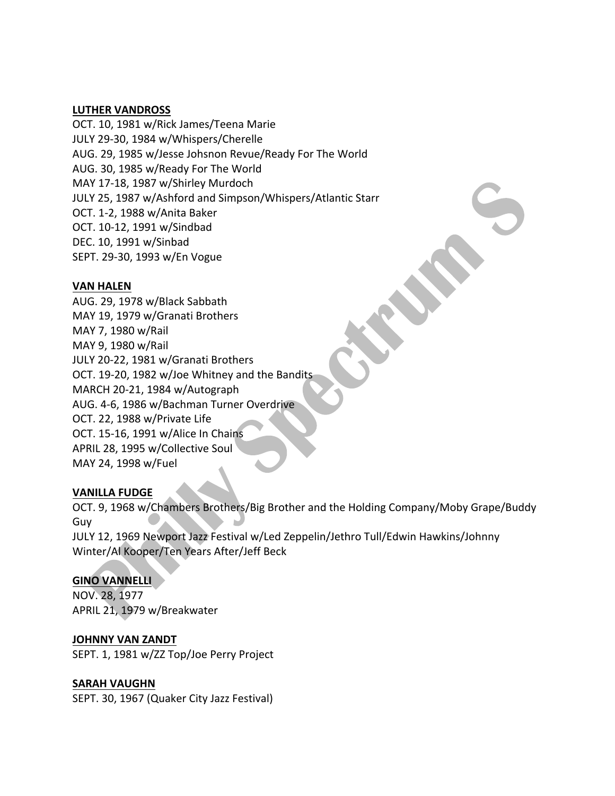#### **LUTHER VANDROSS**

OCT. 10, 1981 w/Rick James/Teena Marie JULY 29-30, 1984 w/Whispers/Cherelle AUG. 29, 1985 w/Jesse Johsnon Revue/Ready For The World AUG. 30, 1985 w/Ready For The World MAY 17-18, 1987 w/Shirley Murdoch JULY 25, 1987 w/Ashford and Simpson/Whispers/Atlantic Starr OCT. 1-2, 1988 w/Anita Baker OCT. 10-12, 1991 w/Sindbad DEC. 10, 1991 w/Sinbad SEPT. 29-30, 1993 w/En Vogue

## **VAN HALEN**

AUG. 29, 1978 w/Black Sabbath MAY 19, 1979 w/Granati Brothers MAY 7, 1980 w/Rail MAY 9, 1980 w/Rail JULY 20-22, 1981 w/Granati Brothers OCT. 19-20, 1982 w/Joe Whitney and the Bandits MARCH 20-21, 1984 w/Autograph AUG. 4-6, 1986 w/Bachman Turner Overdrive OCT. 22, 1988 w/Private Life OCT. 15-16, 1991 w/Alice In Chains APRIL 28, 1995 w/Collective Soul MAY 24, 1998 w/Fuel

## **VANILLA FUDGE**

OCT. 9, 1968 w/Chambers Brothers/Big Brother and the Holding Company/Moby Grape/Buddy Guy JULY 12, 1969 Newport Jazz Festival w/Led Zeppelin/Jethro Tull/Edwin Hawkins/Johnny Winter/Al Kooper/Ten Years After/Jeff Beck

## **GINO VANNELLI**

NOV. 28, 1977 APRIL 21, 1979 w/Breakwater

#### **JOHNNY VAN ZANDT**

SEPT. 1, 1981 w/ZZ Top/Joe Perry Project

## **SARAH VAUGHN**

SEPT. 30, 1967 (Quaker City Jazz Festival)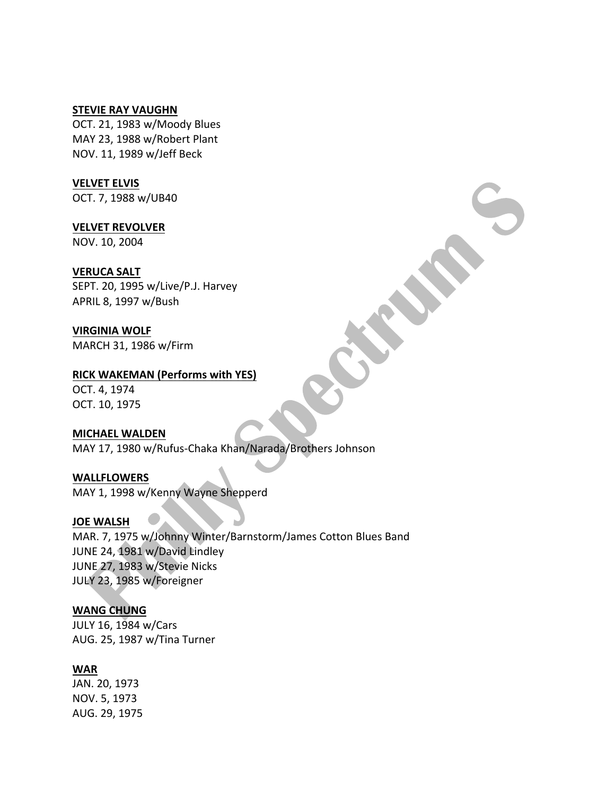#### **STEVIE RAY VAUGHN**

OCT. 21, 1983 w/Moody Blues MAY 23, 1988 w/Robert Plant NOV. 11, 1989 w/Jeff Beck

#### **VELVET ELVIS**

OCT. 7, 1988 w/UB40

#### **VELVET REVOLVER**

NOV. 10, 2004

#### **VERUCA SALT**

SEPT. 20, 1995 w/Live/P.J. Harvey APRIL 8, 1997 w/Bush

#### **VIRGINIA WOLF** MARCH 31, 1986 w/Firm

## **RICK WAKEMAN (Performs with YES)**

OCT. 4, 1974 OCT. 10, 1975

#### **MICHAEL WALDEN**

MAY 17, 1980 w/Rufus-Chaka Khan/Narada/Brothers Johnson

**WALLFLOWERS** MAY 1, 1998 w/Kenny Wayne Shepperd

#### **JOE WALSH**

MAR. 7, 1975 w/Johnny Winter/Barnstorm/James Cotton Blues Band JUNE 24, 1981 w/David Lindley JUNE 27, 1983 w/Stevie Nicks JULY 23, 1985 w/Foreigner

## WANG CHUNG

JULY 16, 1984 w/Cars AUG. 25, 1987 w/Tina Turner

## **WAR**

JAN. 20, 1973 NOV. 5, 1973 AUG. 29, 1975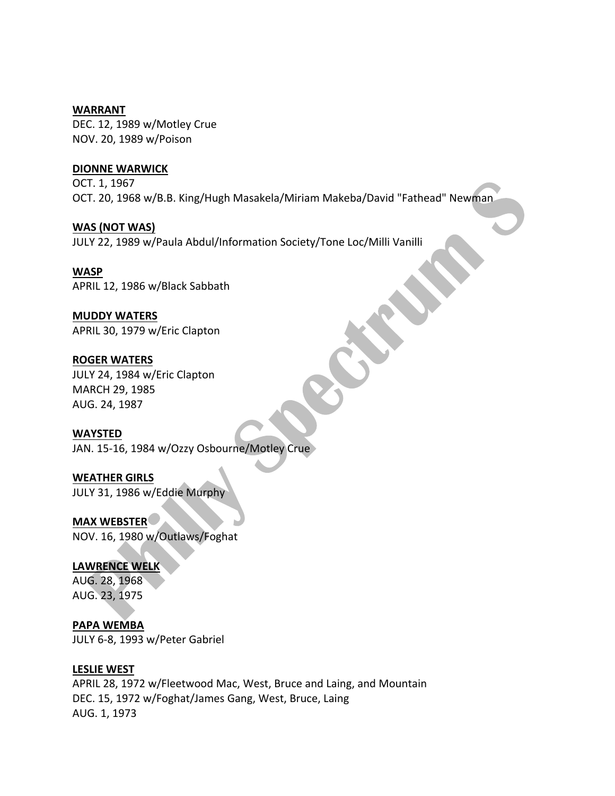#### **WARRANT**

DEC. 12, 1989 w/Motley Crue NOV. 20, 1989 w/Poison

## **DIONNE WARWICK**

OCT. 1, 1967 OCT. 20, 1968 w/B.B. King/Hugh Masakela/Miriam Makeba/David "Fathead" Newman

**WAS** (NOT WAS)

JULY 22, 1989 w/Paula Abdul/Information Society/Tone Loc/Milli Vanilli

#### **WASP**

APRIL 12, 1986 w/Black Sabbath

## **MUDDY WATERS**

APRIL 30, 1979 w/Eric Clapton

## **ROGER WATERS**

JULY 24, 1984 w/Eric Clapton MARCH 29, 1985 AUG. 24, 1987

## **WAYSTED**

JAN. 15-16, 1984 w/Ozzy Osbourne/Motley Crue

# **WEATHER GIRLS**

JULY 31, 1986 w/Eddie Murphy

## **MAX WEBSTER**

NOV. 16, 1980 w/Outlaws/Foghat

## LAWRENCE WELK

AUG. 28, 1968 AUG. 23, 1975

## **PAPA WEMBA** JULY 6-8, 1993 w/Peter Gabriel

## **LESLIE WEST**

APRIL 28, 1972 w/Fleetwood Mac, West, Bruce and Laing, and Mountain DEC. 15, 1972 w/Foghat/James Gang, West, Bruce, Laing AUG. 1, 1973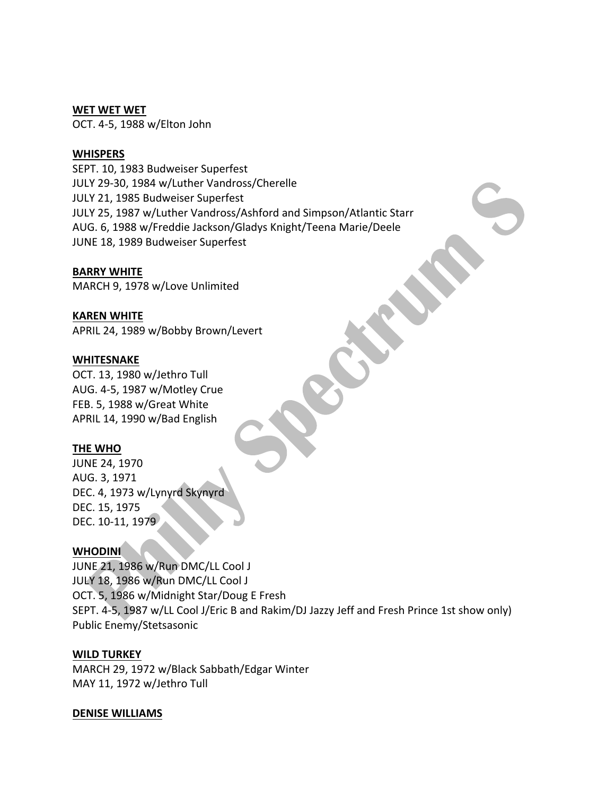#### WET WET WET

OCT. 4-5, 1988 w/Elton John

#### **WHISPERS**

SEPT. 10, 1983 Budweiser Superfest JULY 29-30, 1984 w/Luther Vandross/Cherelle JULY 21, 1985 Budweiser Superfest JULY 25, 1987 w/Luther Vandross/Ashford and Simpson/Atlantic Starr AUG. 6, 1988 w/Freddie Jackson/Gladys Knight/Teena Marie/Deele JUNE 18, 1989 Budweiser Superfest

#### **BARRY WHITE**

MARCH 9, 1978 w/Love Unlimited

#### **KAREN WHITE**

APRIL 24, 1989 w/Bobby Brown/Levert

#### **WHITESNAKE**

OCT. 13, 1980 w/Jethro Tull AUG. 4-5, 1987 w/Motley Crue FEB. 5, 1988 w/Great White APRIL 14, 1990 w/Bad English

#### **THE WHO**

JUNE 24, 1970 AUG. 3, 1971 DEC. 4, 1973 w/Lynyrd Skynyrd DEC. 15, 1975 DEC. 10-11, 1979

#### **WHODINI**

JUNE 21, 1986 w/Run DMC/LL Cool J JULY 18, 1986 w/Run DMC/LL Cool J OCT. 5, 1986 w/Midnight Star/Doug E Fresh SEPT. 4-5, 1987 w/LL Cool J/Eric B and Rakim/DJ Jazzy Jeff and Fresh Prince 1st show only) Public Enemy/Stetsasonic

#### **WILD TURKEY**

MARCH 29, 1972 w/Black Sabbath/Edgar Winter MAY 11, 1972 w/Jethro Tull

#### **DENISE WILLIAMS**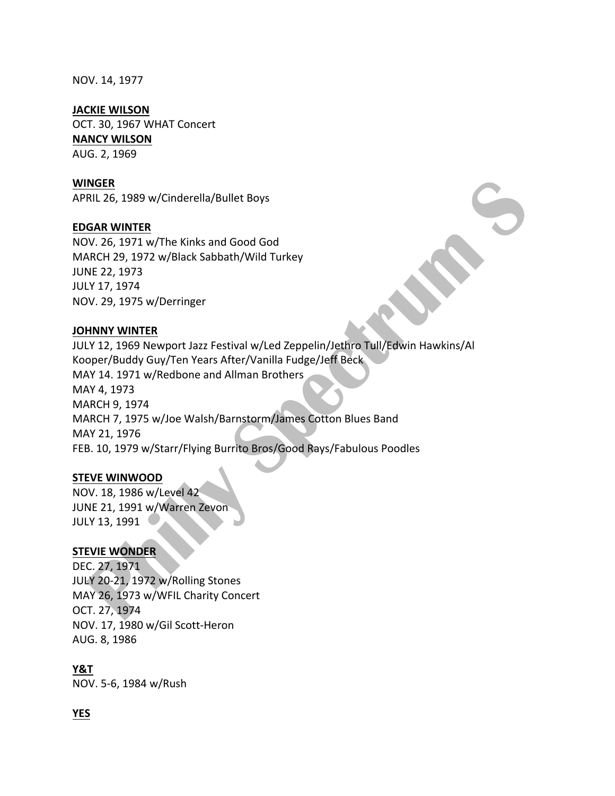NOV. 14, 1977

#### **JACKIE WILSON**

OCT. 30, 1967 WHAT Concert

#### **NANCY WILSON**

AUG. 2, 1969

#### **WINGER**

APRIL 26, 1989 w/Cinderella/Bullet Boys

#### **EDGAR WINTER**

NOV. 26, 1971 w/The Kinks and Good God MARCH 29, 1972 w/Black Sabbath/Wild Turkey JUNE 22, 1973 JULY 17, 1974 NOV. 29, 1975 w/Derringer

#### **JOHNNY WINTER**

JULY 12, 1969 Newport Jazz Festival w/Led Zeppelin/Jethro Tull/Edwin Hawkins/Al Kooper/Buddy Guy/Ten Years After/Vanilla Fudge/Jeff Beck MAY 14. 1971 w/Redbone and Allman Brothers MAY 4, 1973 MARCH 9, 1974 MARCH 7, 1975 w/Joe Walsh/Barnstorm/James Cotton Blues Band MAY 21, 1976 FEB. 10, 1979 w/Starr/Flying Burrito Bros/Good Rays/Fabulous Poodles

#### **STEVE WINWOOD**

NOV. 18, 1986 w/Level 42 JUNE 21, 1991 w/Warren Zevon JULY 13, 1991

#### **STEVIE WONDER**

DEC. 27, 1971 JULY 20-21, 1972 w/Rolling Stones MAY 26, 1973 w/WFIL Charity Concert OCT. 27, 1974 NOV. 17, 1980 w/Gil Scott-Heron AUG. 8, 1986

#### **Y&T**

NOV. 5-6, 1984 w/Rush

#### **YES**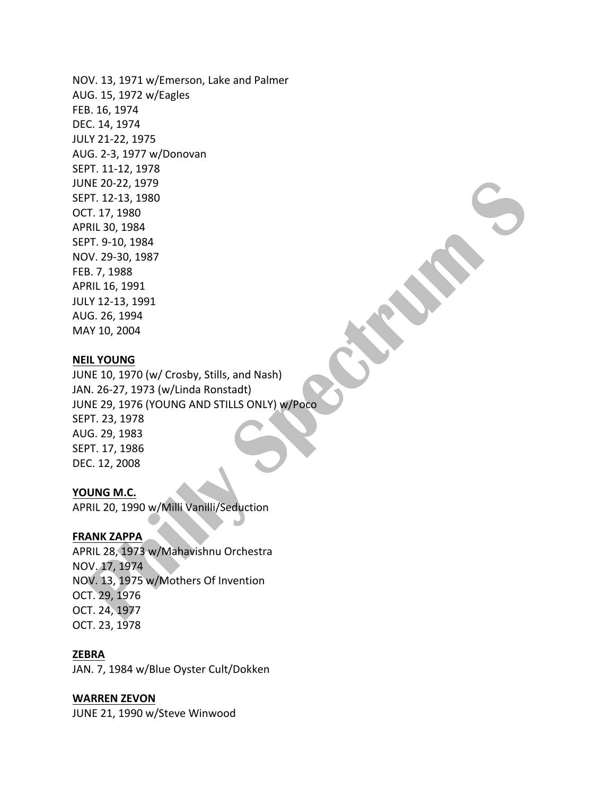NOV. 13, 1971 w/Emerson, Lake and Palmer AUG. 15, 1972 w/Eagles FEB. 16, 1974 DEC. 14, 1974 JULY 21-22, 1975 AUG. 2-3, 1977 w/Donovan SEPT. 11-12, 1978 JUNE 20-22, 1979 SEPT. 12-13, 1980 OCT. 17, 1980 APRIL 30, 1984 SEPT. 9-10, 1984 NOV. 29-30, 1987 FEB. 7, 1988 APRIL 16, 1991 JULY 12-13, 1991 AUG. 26, 1994 MAY 10, 2004

#### **NEIL YOUNG**

JUNE 10, 1970 (w/ Crosby, Stills, and Nash) JAN. 26-27, 1973 (w/Linda Ronstadt) JUNE 29, 1976 (YOUNG AND STILLS ONLY) w/Poco SEPT. 23, 1978 AUG. 29, 1983 SEPT. 17, 1986 DEC. 12, 2008

#### YOUNG M.C.

APRIL 20, 1990 w/Milli Vanilli/Seduction

#### **FRANK ZAPPA**

APRIL 28, 1973 w/Mahavishnu Orchestra NOV. 17, 1974 NOV. 13, 1975 w/Mothers Of Invention OCT. 29, 1976 OCT. 24, 1977 OCT. 23, 1978

#### **ZEBRA**

JAN. 7, 1984 w/Blue Oyster Cult/Dokken

#### **WARREN ZEVON**

JUNE 21, 1990 w/Steve Winwood